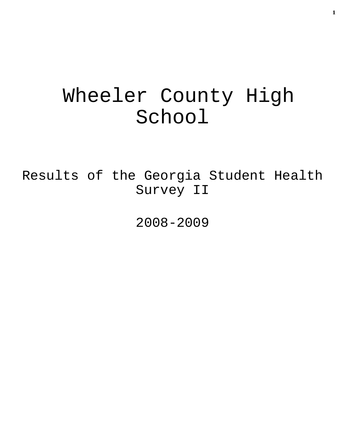# Wheeler County High School

Results of the Georgia Student Health Survey II

2008-2009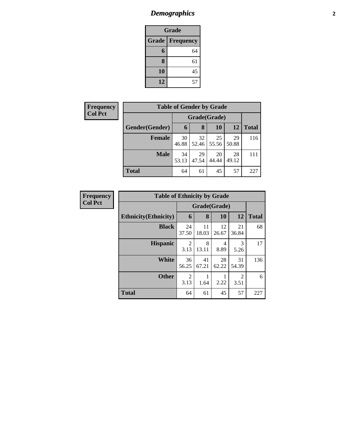### *Demographics* **2**

| Grade                     |    |  |  |  |  |
|---------------------------|----|--|--|--|--|
| Grade<br><b>Frequency</b> |    |  |  |  |  |
| 6                         | 64 |  |  |  |  |
| 8                         | 61 |  |  |  |  |
| 10                        | 45 |  |  |  |  |
| 12                        | 57 |  |  |  |  |

| <b>Frequency</b> | <b>Table of Gender by Grade</b> |             |             |             |             |              |  |
|------------------|---------------------------------|-------------|-------------|-------------|-------------|--------------|--|
| <b>Col Pct</b>   | Grade(Grade)                    |             |             |             |             |              |  |
|                  | Gender(Gender)                  | 6           | 8           | 10          | 12          | <b>Total</b> |  |
|                  | <b>Female</b>                   | 30<br>46.88 | 32<br>52.46 | 25<br>55.56 | 29<br>50.88 | 116          |  |
|                  | <b>Male</b>                     | 34<br>53.13 | 29<br>47.54 | 20<br>44.44 | 28<br>49.12 | 111          |  |
|                  | <b>Total</b>                    | 64          | 61          | 45          | 57          | 227          |  |

| <b>Frequency</b> | <b>Table of Ethnicity by Grade</b> |                        |             |             |                        |              |
|------------------|------------------------------------|------------------------|-------------|-------------|------------------------|--------------|
| <b>Col Pct</b>   |                                    | Grade(Grade)           |             |             |                        |              |
|                  | <b>Ethnicity</b> (Ethnicity)       | 6                      | 8           | 10          | 12                     | <b>Total</b> |
|                  | <b>Black</b>                       | 24<br>37.50            | 11<br>18.03 | 12<br>26.67 | 21<br>36.84            | 68           |
|                  | <b>Hispanic</b>                    | $\overline{2}$<br>3.13 | 8<br>13.11  | 4<br>8.89   | 3<br>5.26              | 17           |
|                  | <b>White</b>                       | 36<br>56.25            | 41<br>67.21 | 28<br>62.22 | 31<br>54.39            | 136          |
|                  | <b>Other</b>                       | 2<br>3.13              | 1.64        | 2.22        | $\mathfrak{D}$<br>3.51 | 6            |
|                  | <b>Total</b>                       | 64                     | 61          | 45          | 57                     | 227          |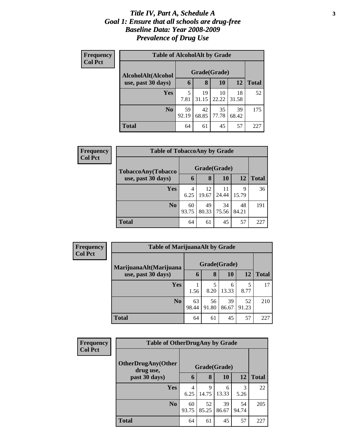#### *Title IV, Part A, Schedule A* **3** *Goal 1: Ensure that all schools are drug-free Baseline Data: Year 2008-2009 Prevalence of Drug Use*

| Frequency<br><b>Col Pct</b> | <b>Table of AlcoholAlt by Grade</b> |              |             |             |             |              |  |  |  |
|-----------------------------|-------------------------------------|--------------|-------------|-------------|-------------|--------------|--|--|--|
|                             | AlcoholAlt(Alcohol                  | Grade(Grade) |             |             |             |              |  |  |  |
|                             | use, past 30 days)                  | 6            | 8           | 10          | <b>12</b>   | <b>Total</b> |  |  |  |
|                             | <b>Yes</b>                          | 5<br>7.81    | 19<br>31.15 | 10<br>22.22 | 18<br>31.58 | 52           |  |  |  |
|                             | N <sub>0</sub>                      | 59<br>92.19  | 42<br>68.85 | 35<br>77.78 | 39<br>68.42 | 175          |  |  |  |
|                             | <b>Total</b>                        | 64           | 61          | 45          | 57          | 227          |  |  |  |

| Frequency      | <b>Table of TobaccoAny by Grade</b> |             |              |             |             |              |  |
|----------------|-------------------------------------|-------------|--------------|-------------|-------------|--------------|--|
| <b>Col Pct</b> | TobaccoAny(Tobacco                  |             | Grade(Grade) |             |             |              |  |
|                | use, past 30 days)                  | 6           | 8            | 10          | 12          | <b>Total</b> |  |
|                | <b>Yes</b>                          | 4<br>6.25   | 12<br>19.67  | 11<br>24.44 | 9<br>15.79  | 36           |  |
|                | N <sub>0</sub>                      | 60<br>93.75 | 49<br>80.33  | 34<br>75.56 | 48<br>84.21 | 191          |  |
|                | Total                               | 64          | 61           | 45          | 57          | 227          |  |

| Frequency<br><b>Col Pct</b> | <b>Table of MarijuanaAlt by Grade</b> |              |             |             |             |              |
|-----------------------------|---------------------------------------|--------------|-------------|-------------|-------------|--------------|
|                             | MarijuanaAlt(Marijuana                | Grade(Grade) |             |             |             |              |
|                             | use, past 30 days)                    | 6            | 8           | 10          | 12          | <b>Total</b> |
|                             | <b>Yes</b>                            | 1.56         | 5<br>8.20   | 6<br>13.33  | 5<br>8.77   | 17           |
|                             | N <sub>0</sub>                        | 63<br>98.44  | 56<br>91.80 | 39<br>86.67 | 52<br>91.23 | 210          |
|                             | <b>Total</b>                          | 64           | 61          | 45          | 57          | 227          |

| <b>Frequency</b> | <b>Table of OtherDrugAny by Grade</b>  |             |              |             |             |              |
|------------------|----------------------------------------|-------------|--------------|-------------|-------------|--------------|
| <b>Col Pct</b>   | <b>OtherDrugAny(Other</b><br>drug use, |             | Grade(Grade) |             |             |              |
|                  | past 30 days)                          | 6           | 8            | 10          | 12          | <b>Total</b> |
|                  | <b>Yes</b>                             | 4<br>6.25   | 9<br>14.75   | 6<br>13.33  | 3<br>5.26   | 22           |
|                  | N <sub>0</sub>                         | 60<br>93.75 | 52<br>85.25  | 39<br>86.67 | 54<br>94.74 | 205          |
|                  | <b>Total</b>                           | 64          | 61           | 45          | 57          | 227          |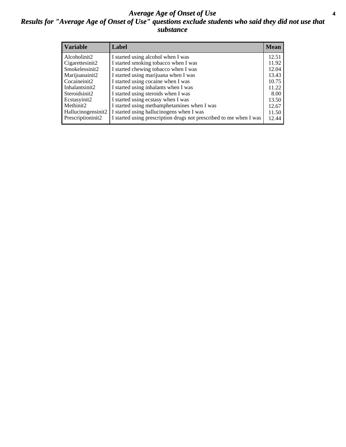#### *Average Age of Onset of Use* **4** *Results for "Average Age of Onset of Use" questions exclude students who said they did not use that substance*

| <b>Variable</b>    | Label                                                              | <b>Mean</b> |
|--------------------|--------------------------------------------------------------------|-------------|
| Alcoholinit2       | I started using alcohol when I was                                 | 12.51       |
| Cigarettesinit2    | I started smoking tobacco when I was                               | 11.92       |
| Smokelessinit2     | I started chewing tobacco when I was                               | 12.04       |
| Marijuanainit2     | I started using marijuana when I was                               | 13.43       |
| Cocaineinit2       | I started using cocaine when I was                                 | 10.75       |
| Inhalantsinit2     | I started using inhalants when I was                               | 11.22       |
| Steroidsinit2      | I started using steroids when I was                                | 8.00        |
| Ecstasyinit2       | I started using ecstasy when I was                                 | 13.50       |
| Methinit2          | I started using methamphetamines when I was                        | 12.67       |
| Hallucinogensinit2 | I started using hallucinogens when I was                           | 11.50       |
| Prescriptioninit2  | I started using prescription drugs not prescribed to me when I was | 12.44       |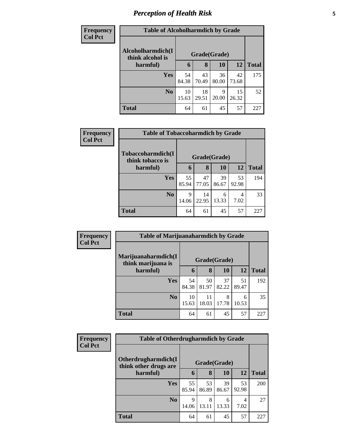### *Perception of Health Risk* **5**

| <b>Frequency</b> | <b>Table of Alcoholharmdich by Grade</b> |             |              |             |             |              |  |
|------------------|------------------------------------------|-------------|--------------|-------------|-------------|--------------|--|
| <b>Col Pct</b>   | Alcoholharmdich(I<br>think alcohol is    |             | Grade(Grade) |             |             |              |  |
|                  | harmful)                                 | 6           | 8            | 10          | 12          | <b>Total</b> |  |
|                  | <b>Yes</b>                               | 54<br>84.38 | 43<br>70.49  | 36<br>80.00 | 42<br>73.68 | 175          |  |
|                  | N <sub>o</sub>                           | 10<br>15.63 | 18<br>29.51  | 9<br>20.00  | 15<br>26.32 | 52           |  |
|                  | <b>Total</b>                             | 64          | 61           | 45          | 57          | 227          |  |

| Frequency      | <b>Table of Tobaccoharmdich by Grade</b> |             |              |             |             |              |  |  |
|----------------|------------------------------------------|-------------|--------------|-------------|-------------|--------------|--|--|
| <b>Col Pct</b> | Tobaccoharmdich(I                        |             | Grade(Grade) |             |             |              |  |  |
|                | think tobacco is<br>harmful)             | 6           | 8            | 10          | 12          | <b>Total</b> |  |  |
|                | Yes                                      | 55<br>85.94 | 47<br>77.05  | 39<br>86.67 | 53<br>92.98 | 194          |  |  |
|                | N <sub>0</sub>                           | 9<br>14.06  | 14<br>22.95  | 6<br>13.33  | 4<br>7.02   | 33           |  |  |
|                | <b>Total</b>                             | 64          | 61           | 45          | 57          | 227          |  |  |

| Frequency      | <b>Table of Marijuanaharmdich by Grade</b> |             |              |             |             |              |
|----------------|--------------------------------------------|-------------|--------------|-------------|-------------|--------------|
| <b>Col Pct</b> | Marijuanaharmdich(I<br>think marijuana is  |             | Grade(Grade) |             |             |              |
|                | harmful)                                   | 6           | 8            | 10          | 12          | <b>Total</b> |
|                | <b>Yes</b>                                 | 54<br>84.38 | 50<br>81.97  | 37<br>82.22 | 51<br>89.47 | 192          |
|                | N <sub>0</sub>                             | 10<br>15.63 | 11<br>18.03  | 8<br>17.78  | 6<br>10.53  | 35           |
|                | <b>Total</b>                               | 64          | 61           | 45          | 57          | 227          |

| <b>Frequency</b> | <b>Table of Otherdrugharmdich by Grade</b>   |             |              |             |             |              |
|------------------|----------------------------------------------|-------------|--------------|-------------|-------------|--------------|
| <b>Col Pct</b>   | Otherdrugharmdich(I<br>think other drugs are |             | Grade(Grade) |             |             |              |
|                  | harmful)                                     | 6           | 8            | 10          | <b>12</b>   | <b>Total</b> |
|                  | <b>Yes</b>                                   | 55<br>85.94 | 53<br>86.89  | 39<br>86.67 | 53<br>92.98 | 200          |
|                  | N <sub>o</sub>                               | 9<br>14.06  | 8<br>13.11   | 6<br>13.33  | 4<br>7.02   | 27           |
|                  | <b>Total</b>                                 | 64          | 61           | 45          | 57          | 227          |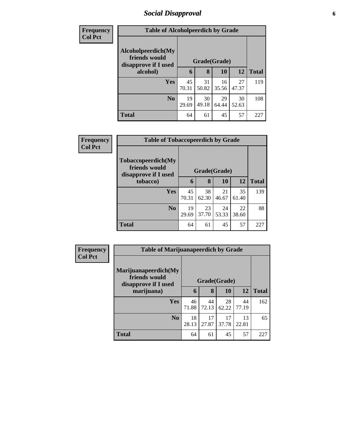#### *Social Disapproval* **6**

| <b>Frequency</b> | <b>Table of Alcoholpeerdich by Grade</b>                    |             |             |              |             |              |  |
|------------------|-------------------------------------------------------------|-------------|-------------|--------------|-------------|--------------|--|
| <b>Col Pct</b>   |                                                             |             |             |              |             |              |  |
|                  | Alcoholpeerdich(My<br>friends would<br>disapprove if I used |             |             | Grade(Grade) |             |              |  |
|                  | alcohol)                                                    | 6           | 8           | 10           | 12          | <b>Total</b> |  |
|                  | Yes                                                         | 45<br>70.31 | 31<br>50.82 | 16<br>35.56  | 27<br>47.37 | 119          |  |
|                  | N <sub>0</sub>                                              | 19<br>29.69 | 30<br>49.18 | 29<br>64.44  | 30<br>52.63 | 108          |  |
|                  | <b>Total</b>                                                | 64          | 61          | 45           | 57          | 227          |  |

| <b>Frequency</b> |                                                             | <b>Table of Tobaccopeerdich by Grade</b> |             |              |             |              |  |
|------------------|-------------------------------------------------------------|------------------------------------------|-------------|--------------|-------------|--------------|--|
| <b>Col Pct</b>   | Tobaccopeerdich(My<br>friends would<br>disapprove if I used |                                          |             | Grade(Grade) |             |              |  |
|                  | tobacco)                                                    | 6                                        | 8           | 10           | 12          | <b>Total</b> |  |
|                  | <b>Yes</b>                                                  | 45<br>70.31                              | 38<br>62.30 | 21<br>46.67  | 35<br>61.40 | 139          |  |
|                  | No                                                          | 19<br>29.69                              | 23<br>37.70 | 24<br>53.33  | 22<br>38.60 | 88           |  |
|                  | <b>Total</b>                                                | 64                                       | 61          | 45           | 57          | 227          |  |

| Frequency      | <b>Table of Marijuanapeerdich by Grade</b>                    |              |             |             |             |              |
|----------------|---------------------------------------------------------------|--------------|-------------|-------------|-------------|--------------|
| <b>Col Pct</b> | Marijuanapeerdich(My<br>friends would<br>disapprove if I used | Grade(Grade) |             |             |             |              |
|                | marijuana)                                                    | 6            | 8           | 10          | <b>12</b>   | <b>Total</b> |
|                | <b>Yes</b>                                                    | 46<br>71.88  | 44<br>72.13 | 28<br>62.22 | 44<br>77.19 | 162          |
|                | N <sub>0</sub>                                                | 18<br>28.13  | 17<br>27.87 | 17<br>37.78 | 13<br>22.81 | 65           |
|                | <b>Total</b>                                                  | 64           | 61          | 45          | 57          | 227          |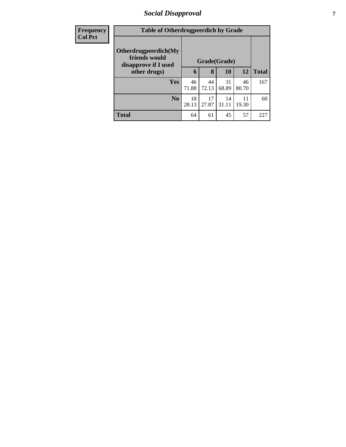#### *Social Disapproval* **7**

| <b>Frequency</b> |                                                                               | <b>Table of Otherdrugpeerdich by Grade</b> |             |             |             |              |  |
|------------------|-------------------------------------------------------------------------------|--------------------------------------------|-------------|-------------|-------------|--------------|--|
| <b>Col Pct</b>   | Otherdrugpeerdich(My<br>friends would<br>disapprove if I used<br>other drugs) | Grade(Grade)                               |             |             |             |              |  |
|                  |                                                                               | 6                                          | 8           | <b>10</b>   | 12          | <b>Total</b> |  |
|                  | Yes                                                                           | 46<br>71.88                                | 44<br>72.13 | 31<br>68.89 | 46<br>80.70 | 167          |  |
|                  | N <sub>0</sub>                                                                | 18<br>28.13                                | 17<br>27.87 | 14<br>31.11 | 11<br>19.30 | 60           |  |
|                  | <b>Total</b>                                                                  | 64                                         | 61          | 45          | 57          | 227          |  |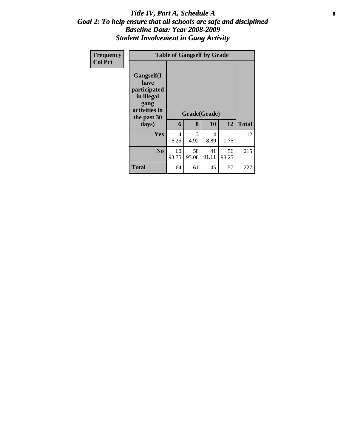#### Title IV, Part A, Schedule A **8** *Goal 2: To help ensure that all schools are safe and disciplined Baseline Data: Year 2008-2009 Student Involvement in Gang Activity*

| Frequency<br><b>Col Pct</b> |                                                                                                   | <b>Table of Gangself by Grade</b> |             |                    |             |              |  |  |  |  |
|-----------------------------|---------------------------------------------------------------------------------------------------|-----------------------------------|-------------|--------------------|-------------|--------------|--|--|--|--|
|                             | Gangself(I<br>have<br>participated<br>in illegal<br>gang<br>activities in<br>the past 30<br>days) | 6                                 | 8           | Grade(Grade)<br>10 | 12          | <b>Total</b> |  |  |  |  |
|                             | Yes                                                                                               | 4<br>6.25                         | 3<br>4.92   | 4<br>8.89          | 1<br>1.75   | 12           |  |  |  |  |
|                             | N <sub>0</sub>                                                                                    | 60<br>93.75                       | 58<br>95.08 | 41<br>91.11        | 56<br>98.25 | 215          |  |  |  |  |
|                             | <b>Total</b>                                                                                      | 64                                | 61          | 45                 | 57          | 227          |  |  |  |  |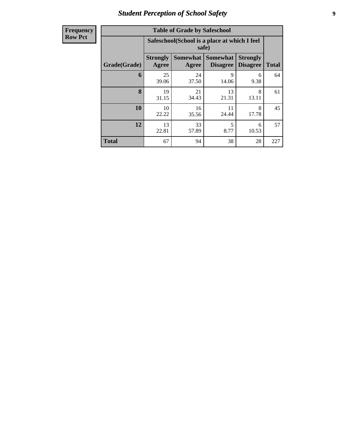#### *Student Perception of School Safety* **9**

| <b>Frequency</b><br>Row Pct |
|-----------------------------|
|                             |

| <b>Table of Grade by Safeschool</b> |                          |                                                        |                             |                                    |              |  |  |  |  |
|-------------------------------------|--------------------------|--------------------------------------------------------|-----------------------------|------------------------------------|--------------|--|--|--|--|
|                                     |                          | Safeschool (School is a place at which I feel<br>safe) |                             |                                    |              |  |  |  |  |
| Grade(Grade)                        | <b>Strongly</b><br>Agree | <b>Somewhat</b><br>Agree                               | Somewhat<br><b>Disagree</b> | <b>Strongly</b><br><b>Disagree</b> | <b>Total</b> |  |  |  |  |
| 6                                   | 25<br>39.06              | 24<br>37.50                                            | 9<br>14.06                  | 6<br>9.38                          | 64           |  |  |  |  |
| 8                                   | 19<br>31.15              | 21<br>34.43                                            | 13<br>21.31                 | 8<br>13.11                         | 61           |  |  |  |  |
| 10                                  | 10<br>22.22              | 16<br>35.56                                            | 11<br>24.44                 | 8<br>17.78                         | 45           |  |  |  |  |
| 12                                  | 13<br>22.81              | 5<br>33<br>6<br>8.77<br>57.89<br>10.53                 |                             |                                    |              |  |  |  |  |
| <b>Total</b>                        | 67                       | 94                                                     | 38                          | 28                                 | 227          |  |  |  |  |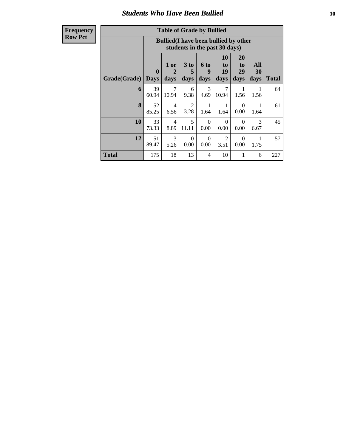#### *Students Who Have Been Bullied* **10**

**Frequency Row Pct**

| <b>Table of Grade by Bullied</b> |                             |                                                                               |                        |                              |                        |                        |                   |              |
|----------------------------------|-----------------------------|-------------------------------------------------------------------------------|------------------------|------------------------------|------------------------|------------------------|-------------------|--------------|
|                                  |                             | <b>Bullied</b> (I have been bullied by other<br>students in the past 30 days) |                        |                              |                        |                        |                   |              |
| Grade(Grade)                     | $\mathbf{0}$<br><b>Days</b> | 1 or<br>$\overline{2}$<br>days                                                | 3 to<br>5<br>days      | 6 <sub>to</sub><br>9<br>days | 10<br>to<br>19<br>days | 20<br>to<br>29<br>days | All<br>30<br>days | <b>Total</b> |
| 6                                | 39<br>60.94                 | $\tau$<br>10.94                                                               | 6<br>9.38              | 3<br>4.69                    | 7<br>10.94             | 1<br>1.56              | 1.56              | 64           |
| 8                                | 52<br>85.25                 | 4<br>6.56                                                                     | $\mathfrak{D}$<br>3.28 | 1<br>1.64                    | 1<br>1.64              | $\Omega$<br>0.00       | 1.64              | 61           |
| 10                               | 33<br>73.33                 | $\overline{4}$<br>8.89                                                        | 5<br>11.11             | $\Omega$<br>0.00             | $\Omega$<br>0.00       | $\Omega$<br>0.00       | 3<br>6.67         | 45           |
| 12                               | 51<br>89.47                 | 3<br>5.26                                                                     | $\Omega$<br>0.00       | $\Omega$<br>0.00             | $\mathfrak{D}$<br>3.51 | $\Omega$<br>0.00       | 1.75              | 57           |
| <b>Total</b>                     | 175                         | 18                                                                            | 13                     | 4                            | 10                     | 1                      | 6                 | 227          |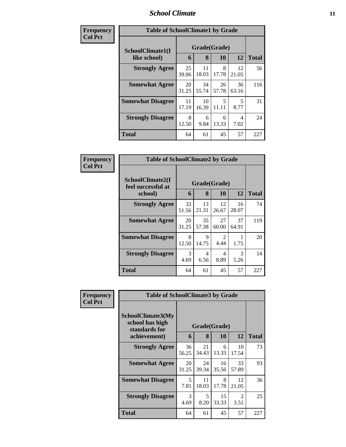#### *School Climate* **11**

| Frequency      | <b>Table of SchoolClimate1 by Grade</b> |             |                   |             |             |              |  |
|----------------|-----------------------------------------|-------------|-------------------|-------------|-------------|--------------|--|
| <b>Col Pct</b> | SchoolClimate1(I<br>like school)        | 6           | Grade(Grade)<br>8 | 10          | 12          | <b>Total</b> |  |
|                | <b>Strongly Agree</b>                   | 25<br>39.06 | 11<br>18.03       | 8<br>17.78  | 12<br>21.05 | 56           |  |
|                | <b>Somewhat Agree</b>                   | 20<br>31.25 | 34<br>55.74       | 26<br>57.78 | 36<br>63.16 | 116          |  |
|                | <b>Somewhat Disagree</b>                | 11<br>17.19 | 10<br>16.39       | 5<br>11.11  | 5<br>8.77   | 31           |  |
|                | <b>Strongly Disagree</b>                | 8<br>12.50  | 6<br>9.84         | 6<br>13.33  | 4<br>7.02   | 24           |  |
|                | <b>Total</b>                            | 64          | 61                | 45          | 57          | 227          |  |

| Frequency      | <b>Table of SchoolClimate2 by Grade</b>           |             |                   |                        |             |              |
|----------------|---------------------------------------------------|-------------|-------------------|------------------------|-------------|--------------|
| <b>Col Pct</b> | SchoolClimate2(I<br>feel successful at<br>school) | 6           | Grade(Grade)<br>8 | 10                     | 12          | <b>Total</b> |
|                | <b>Strongly Agree</b>                             | 33<br>51.56 | 13<br>21.31       | 12<br>26.67            | 16<br>28.07 | 74           |
|                | <b>Somewhat Agree</b>                             | 20<br>31.25 | 35<br>57.38       | 27<br>60.00            | 37<br>64.91 | 119          |
|                | <b>Somewhat Disagree</b>                          | 8<br>12.50  | 9<br>14.75        | $\mathfrak{D}$<br>4.44 | 1.75        | 20           |
|                | <b>Strongly Disagree</b>                          | 3<br>4.69   | 4<br>6.56         | 4<br>8.89              | 3<br>5.26   | 14           |
|                | Total                                             | 64          | 61                | 45                     | 57          | 227          |

| Frequency      | <b>Table of SchoolClimate3 by Grade</b>                               |             |                   |             |                        |              |
|----------------|-----------------------------------------------------------------------|-------------|-------------------|-------------|------------------------|--------------|
| <b>Col Pct</b> | SchoolClimate3(My<br>school has high<br>standards for<br>achievement) | 6           | Grade(Grade)<br>8 | <b>10</b>   | 12                     | <b>Total</b> |
|                |                                                                       |             |                   |             |                        |              |
|                | <b>Strongly Agree</b>                                                 | 36<br>56.25 | 21<br>34.43       | 6<br>13.33  | 10<br>17.54            | 73           |
|                | <b>Somewhat Agree</b>                                                 | 20<br>31.25 | 24<br>39.34       | 16<br>35.56 | 33<br>57.89            | 93           |
|                | <b>Somewhat Disagree</b>                                              | 5<br>7.81   | 11<br>18.03       | 8<br>17.78  | 12<br>21.05            | 36           |
|                | <b>Strongly Disagree</b>                                              | 3<br>4.69   | 5<br>8.20         | 15<br>33.33 | $\mathfrak{D}$<br>3.51 | 25           |
|                | Total                                                                 | 64          | 61                | 45          | 57                     | 227          |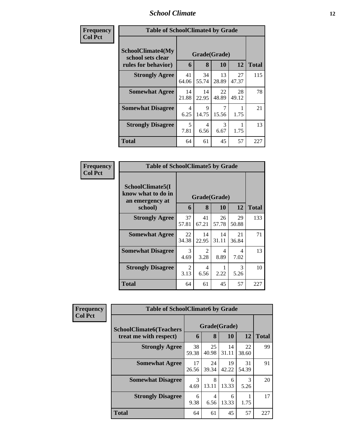### *School Climate* **12**

| Frequency      | <b>Table of SchoolClimate4 by Grade</b>                              |             |                   |             |             |              |  |
|----------------|----------------------------------------------------------------------|-------------|-------------------|-------------|-------------|--------------|--|
| <b>Col Pct</b> | <b>SchoolClimate4(My</b><br>school sets clear<br>rules for behavior) | 6           | Grade(Grade)<br>8 | <b>10</b>   | 12          | <b>Total</b> |  |
|                | <b>Strongly Agree</b>                                                | 41<br>64.06 | 34<br>55.74       | 13<br>28.89 | 27<br>47.37 | 115          |  |
|                | <b>Somewhat Agree</b>                                                | 14<br>21.88 | 14<br>22.95       | 22<br>48.89 | 28<br>49.12 | 78           |  |
|                | <b>Somewhat Disagree</b>                                             | 4<br>6.25   | 9<br>14.75        | 7<br>15.56  | 1.75        | 21           |  |
|                | <b>Strongly Disagree</b>                                             | 5<br>7.81   | 4<br>6.56         | 3<br>6.67   | 1.75        | 13           |  |
|                | <b>Total</b>                                                         | 64          | 61                | 45          | 57          | 227          |  |

| Frequency      | <b>Table of SchoolClimate5 by Grade</b>                   |             |              |             |                       |              |  |  |
|----------------|-----------------------------------------------------------|-------------|--------------|-------------|-----------------------|--------------|--|--|
| <b>Col Pct</b> | SchoolClimate5(I<br>know what to do in<br>an emergency at |             | Grade(Grade) |             |                       |              |  |  |
|                | school)                                                   | 6           | 8            | 10          | 12                    | <b>Total</b> |  |  |
|                | <b>Strongly Agree</b>                                     | 37<br>57.81 | 41<br>67.21  | 26<br>57.78 | 29<br>50.88           | 133          |  |  |
|                | <b>Somewhat Agree</b>                                     | 22<br>34.38 | 14<br>22.95  | 14<br>31.11 | 21<br>36.84           | 71           |  |  |
|                | <b>Somewhat Disagree</b>                                  | 3<br>4.69   | 2<br>3.28    | 4<br>8.89   | 4<br>7.02             | 13           |  |  |
|                | <b>Strongly Disagree</b>                                  | 2<br>3.13   | 4<br>6.56    | 2.22        | $\mathcal{E}$<br>5.26 | 10           |  |  |
|                | Total                                                     | 64          | 61           | 45          | 57                    | 227          |  |  |

| Frequency      | <b>Table of SchoolClimate6 by Grade</b>                  |             |                   |             |             |              |  |
|----------------|----------------------------------------------------------|-------------|-------------------|-------------|-------------|--------------|--|
| <b>Col Pct</b> | <b>SchoolClimate6(Teachers</b><br>treat me with respect) | 6           | Grade(Grade)<br>8 | 10          | 12          | <b>Total</b> |  |
|                | <b>Strongly Agree</b>                                    | 38<br>59.38 | 25<br>40.98       | 14<br>31.11 | 22<br>38.60 | 99           |  |
|                | <b>Somewhat Agree</b>                                    | 17<br>26.56 | 24<br>39.34       | 19<br>42.22 | 31<br>54.39 | 91           |  |
|                | <b>Somewhat Disagree</b>                                 | 3<br>4.69   | 8<br>13.11        | 6<br>13.33  | 3<br>5.26   | 20           |  |
|                | <b>Strongly Disagree</b>                                 | 6<br>9.38   | 4<br>6.56         | 6<br>13.33  | 1.75        | 17           |  |
|                | <b>Total</b>                                             | 64          | 61                | 45          | 57          | 227          |  |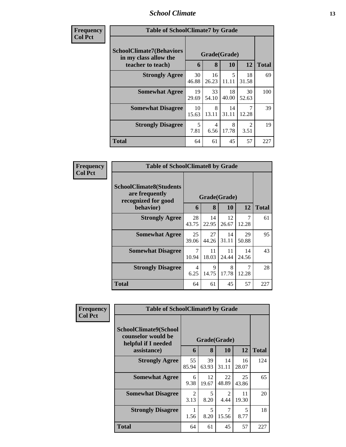#### *School Climate* **13**

| Frequency<br>Col Pet |
|----------------------|
|----------------------|

п

| ncy | <b>Table of SchoolClimate7 by Grade</b>                  |              |             |             |                        |              |  |  |
|-----|----------------------------------------------------------|--------------|-------------|-------------|------------------------|--------------|--|--|
|     | <b>SchoolClimate7(Behaviors</b><br>in my class allow the | Grade(Grade) |             |             |                        |              |  |  |
|     | teacher to teach)                                        | 6            | 8           | 10          | 12                     | <b>Total</b> |  |  |
|     | <b>Strongly Agree</b>                                    | 30<br>46.88  | 16<br>26.23 | 5<br>11.11  | 18<br>31.58            | 69           |  |  |
|     | <b>Somewhat Agree</b>                                    | 19<br>29.69  | 33<br>54.10 | 18<br>40.00 | 30<br>52.63            | 100          |  |  |
|     | <b>Somewhat Disagree</b>                                 | 10<br>15.63  | 8<br>13.11  | 14<br>31.11 | 7<br>12.28             | 39           |  |  |
|     | <b>Strongly Disagree</b>                                 | 5<br>7.81    | 4<br>6.56   | 8<br>17.78  | $\mathfrak{D}$<br>3.51 | 19           |  |  |
|     | <b>Total</b>                                             | 64           | 61          | 45          | 57                     | 227          |  |  |

| Frequency      | <b>Table of SchoolClimate8 by Grade</b>                                 |                        |             |              |             |              |
|----------------|-------------------------------------------------------------------------|------------------------|-------------|--------------|-------------|--------------|
| <b>Col Pct</b> | <b>SchoolClimate8(Students</b><br>are frequently<br>recognized for good |                        |             | Grade(Grade) |             |              |
|                | behavior)                                                               | 6                      | 8           | 10           | 12          | <b>Total</b> |
|                | <b>Strongly Agree</b>                                                   | 28<br>43.75            | 14<br>22.95 | 12<br>26.67  | 7<br>12.28  | 61           |
|                | <b>Somewhat Agree</b>                                                   | 25<br>39.06            | 27<br>44.26 | 14<br>31.11  | 29<br>50.88 | 95           |
|                | <b>Somewhat Disagree</b>                                                | 7<br>10.94             | 11<br>18.03 | 11<br>24.44  | 14<br>24.56 | 43           |
|                | <b>Strongly Disagree</b>                                                | $\overline{4}$<br>6.25 | 9<br>14.75  | 8<br>17.78   | 7<br>12.28  | 28           |
|                | <b>Total</b>                                                            | 64                     | 61          | 45           | 57          | 227          |

| Frequency<br><b>Col Pct</b> | <b>Table of SchoolClimate9 by Grade</b>                            |                        |             |                        |             |              |  |  |
|-----------------------------|--------------------------------------------------------------------|------------------------|-------------|------------------------|-------------|--------------|--|--|
|                             | SchoolClimate9(School<br>counselor would be<br>helpful if I needed | Grade(Grade)           |             |                        |             |              |  |  |
|                             | assistance)                                                        | 6                      | 8           | <b>10</b>              | 12          | <b>Total</b> |  |  |
|                             | <b>Strongly Agree</b>                                              | 55<br>85.94            | 39<br>63.93 | 14<br>31.11            | 16<br>28.07 | 124          |  |  |
|                             | <b>Somewhat Agree</b>                                              | 6<br>9.38              | 12<br>19.67 | 22<br>48.89            | 25<br>43.86 | 65           |  |  |
|                             | <b>Somewhat Disagree</b>                                           | $\mathfrak{D}$<br>3.13 | 5<br>8.20   | $\mathfrak{D}$<br>4.44 | 11<br>19.30 | 20           |  |  |
|                             | <b>Strongly Disagree</b>                                           | 1.56                   | 5<br>8.20   | 7<br>15.56             | 5<br>8.77   | 18           |  |  |
|                             | <b>Total</b>                                                       | 64                     | 61          | 45                     | 57          | 227          |  |  |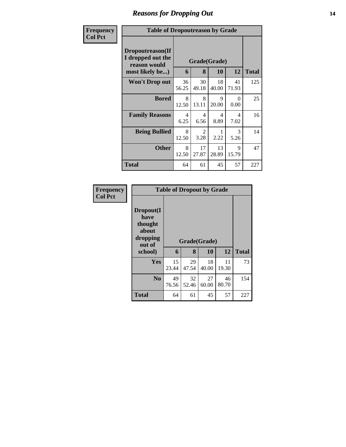# *Reasons for Dropping Out* **14**

| Frequency      | <b>Table of Dropoutreason by Grade</b>                                   |                   |              |             |                        |     |  |  |  |
|----------------|--------------------------------------------------------------------------|-------------------|--------------|-------------|------------------------|-----|--|--|--|
| <b>Col Pct</b> | Dropoutreason(If<br>I dropped out the<br>reason would<br>most likely be) | Grade(Grade)<br>6 | <b>Total</b> |             |                        |     |  |  |  |
|                | <b>Won't Drop out</b>                                                    | 36<br>56.25       | 30<br>49.18  | 18<br>40.00 | 41<br>71.93            | 125 |  |  |  |
|                | <b>Bored</b>                                                             | 8<br>12.50        | 8<br>13.11   | 9<br>20.00  | 0<br>0.00              | 25  |  |  |  |
|                | <b>Family Reasons</b>                                                    | 4<br>6.25         | 4<br>6.56    | 4<br>8.89   | $\overline{4}$<br>7.02 | 16  |  |  |  |
|                | <b>Being Bullied</b>                                                     | 8<br>12.50        | 2<br>3.28    | 2.22        | $\mathcal{R}$<br>5.26  | 14  |  |  |  |
|                | <b>Other</b>                                                             | 8<br>12.50        | 17<br>27.87  | 13<br>28.89 | 9<br>15.79             | 47  |  |  |  |
|                | Total                                                                    | 64                | 61           | 45          | 57                     | 227 |  |  |  |

| Frequency      | <b>Table of Dropout by Grade</b>                            |             |                   |             |             |              |  |  |
|----------------|-------------------------------------------------------------|-------------|-------------------|-------------|-------------|--------------|--|--|
| <b>Col Pct</b> | Dropout(I<br>have<br>thought<br>about<br>dropping<br>out of | 6           | Grade(Grade)<br>8 | 10          | 12          | <b>Total</b> |  |  |
|                | school)                                                     |             |                   |             |             |              |  |  |
|                | <b>Yes</b>                                                  | 15<br>23.44 | 29<br>47.54       | 18<br>40.00 | 11<br>19.30 | 73           |  |  |
|                | N <sub>0</sub>                                              | 49<br>76.56 | 32<br>52.46       | 27<br>60.00 | 46<br>80.70 | 154          |  |  |
|                | <b>Total</b>                                                | 64          | 61                | 45          | 57          | 227          |  |  |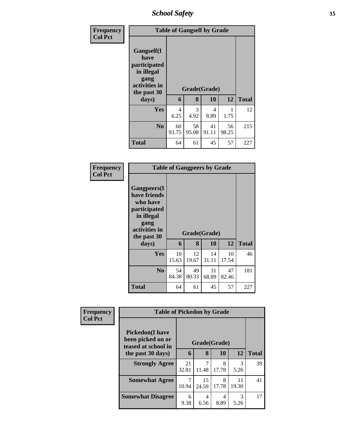*School Safety* **15**

| Frequency<br><b>Col Pct</b> | <b>Table of Gangself by Grade</b>                                                                 |             |             |                    |             |              |  |
|-----------------------------|---------------------------------------------------------------------------------------------------|-------------|-------------|--------------------|-------------|--------------|--|
|                             | Gangself(I<br>have<br>participated<br>in illegal<br>gang<br>activities in<br>the past 30<br>days) | 6           | 8           | Grade(Grade)<br>10 | 12          | <b>Total</b> |  |
|                             |                                                                                                   |             |             |                    |             |              |  |
|                             | Yes                                                                                               | 4<br>6.25   | 3<br>4.92   | 4<br>8.89          | 1.75        | 12           |  |
|                             | N <sub>0</sub>                                                                                    | 60<br>93.75 | 58<br>95.08 | 41<br>91.11        | 56<br>98.25 | 215          |  |
|                             | <b>Total</b>                                                                                      | 64          | 61          | 45                 | 57          | 227          |  |

| Frequency |
|-----------|
| Col Pet   |

| <b>Table of Gangpeers by Grade</b>                                                                                    |             |             |              |             |              |  |  |  |
|-----------------------------------------------------------------------------------------------------------------------|-------------|-------------|--------------|-------------|--------------|--|--|--|
| <b>Gangpeers</b> (I<br>have friends<br>who have<br>participated<br>in illegal<br>gang<br>activities in<br>the past 30 |             |             | Grade(Grade) |             |              |  |  |  |
| days)                                                                                                                 | 6           | 8           | 10           | 12          | <b>Total</b> |  |  |  |
| Yes                                                                                                                   | 10<br>15.63 | 12<br>19.67 | 14<br>31.11  | 10<br>17.54 | 46           |  |  |  |
| N <sub>0</sub>                                                                                                        | 54<br>84.38 | 49<br>80.33 | 31<br>68.89  | 47<br>82.46 | 181          |  |  |  |
| Total                                                                                                                 | 64          | 61          | 45           | 57          | 227          |  |  |  |

| Frequency<br><b>Col Pct</b> | <b>Table of Pickedon by Grade</b>                                   |             |              |            |             |              |
|-----------------------------|---------------------------------------------------------------------|-------------|--------------|------------|-------------|--------------|
|                             | <b>Pickedon</b> (I have<br>been picked on or<br>teased at school in |             | Grade(Grade) |            |             |              |
|                             | the past 30 days)                                                   | 6           | 8            | 10         | 12          | <b>Total</b> |
|                             | <b>Strongly Agree</b>                                               | 21<br>32.81 | 11.48        | 8<br>17.78 | 3<br>5.26   | 39           |
|                             | <b>Somewhat Agree</b>                                               | 10.94       | 15<br>24.59  | 8<br>17.78 | 11<br>19.30 | 41           |
|                             | <b>Somewhat Disagree</b>                                            | 6<br>9.38   | 4<br>6.56    | 4<br>8.89  | 3<br>5.26   | 17           |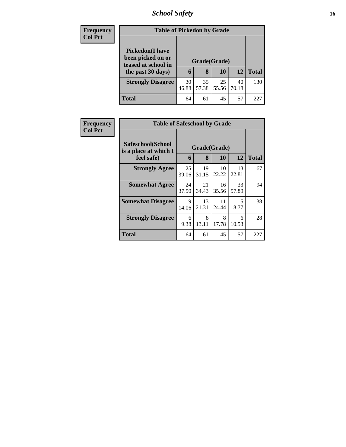## *School Safety* **16**

| <b>Frequency</b> | <b>Table of Pickedon by Grade</b>                                   |              |             |             |             |              |
|------------------|---------------------------------------------------------------------|--------------|-------------|-------------|-------------|--------------|
| <b>Col Pct</b>   | <b>Pickedon</b> (I have<br>been picked on or<br>teased at school in | Grade(Grade) |             |             |             |              |
|                  | the past 30 days)                                                   | 6            | 8           | 10          | 12          | <b>Total</b> |
|                  | <b>Strongly Disagree</b>                                            | 30<br>46.88  | 35<br>57.38 | 25<br>55.56 | 40<br>70.18 | 130          |
|                  | <b>Total</b>                                                        | 64           | 61          | 45          | 57          | 227          |

| Frequency      | <b>Table of Safeschool by Grade</b>        |              |             |             |             |              |
|----------------|--------------------------------------------|--------------|-------------|-------------|-------------|--------------|
| <b>Col Pct</b> | Safeschool(School<br>is a place at which I | Grade(Grade) |             |             |             |              |
|                | feel safe)                                 | 6            | 8           | 10          | 12          | <b>Total</b> |
|                | <b>Strongly Agree</b>                      | 25<br>39.06  | 19<br>31.15 | 10<br>22.22 | 13<br>22.81 | 67           |
|                | <b>Somewhat Agree</b>                      | 24<br>37.50  | 21<br>34.43 | 16<br>35.56 | 33<br>57.89 | 94           |
|                | <b>Somewhat Disagree</b>                   | 9<br>14.06   | 13<br>21.31 | 11<br>24.44 | 5<br>8.77   | 38           |
|                | <b>Strongly Disagree</b>                   | 6<br>9.38    | 8<br>13.11  | 8<br>17.78  | 6<br>10.53  | 28           |
|                | Total                                      | 64           | 61          | 45          | 57          | 227          |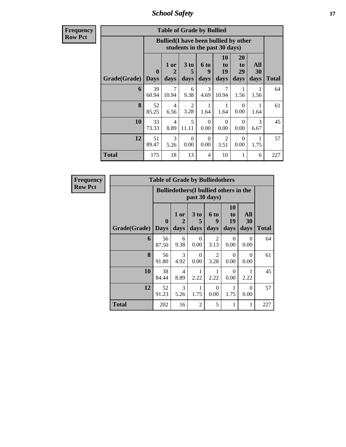*School Safety* **17**

**Frequency Row Pct**

Г

| <b>Table of Grade by Bullied</b> |                             |                                                                                            |                              |                   |                        |                               |                   |              |  |  |  |  |
|----------------------------------|-----------------------------|--------------------------------------------------------------------------------------------|------------------------------|-------------------|------------------------|-------------------------------|-------------------|--------------|--|--|--|--|
|                                  |                             | <b>Bullied</b> (I have been bullied by other<br>students in the past 30 days)              |                              |                   |                        |                               |                   |              |  |  |  |  |
| Grade(Grade)                     | $\mathbf{0}$<br><b>Days</b> | 1 or<br>$\mathbf{2}$<br>days                                                               | 3 <sub>to</sub><br>5<br>days | 6 to<br>9<br>days | 10<br>to<br>19<br>days | <b>20</b><br>to<br>29<br>days | All<br>30<br>days | <b>Total</b> |  |  |  |  |
| 6                                | 39<br>60.94                 | 7<br>10.94                                                                                 | 6<br>9.38                    | 3<br>4.69         | 7<br>10.94             | 1<br>1.56                     | 1.56              | 64           |  |  |  |  |
| 8                                | 52<br>85.25                 | 4<br>6.56                                                                                  | 2<br>3.28                    | 1<br>1.64         | 1<br>1.64              | $\Omega$<br>0.00              | 1.64              | 61           |  |  |  |  |
| 10                               | 33<br>73.33                 | $\overline{4}$<br>8.89                                                                     | 5<br>11.11                   | $\Omega$<br>0.00  | $\Omega$<br>0.00       | $\Omega$<br>0.00              | 3<br>6.67         | 45           |  |  |  |  |
| 12                               | 51<br>89.47                 | 3<br>2<br>$\Omega$<br>$\Omega$<br>$\Omega$<br>0.00<br>0.00<br>0.00<br>3.51<br>5.26<br>1.75 |                              |                   |                        |                               |                   |              |  |  |  |  |
| <b>Total</b>                     | 175                         | 18                                                                                         | 13                           | 4                 | 10                     | 1                             | 6                 | 227          |  |  |  |  |

| <b>Frequency</b> |                     | <b>Table of Grade by Bulliedothers</b> |                                               |                              |                        |                               |                   |              |
|------------------|---------------------|----------------------------------------|-----------------------------------------------|------------------------------|------------------------|-------------------------------|-------------------|--------------|
| <b>Row Pct</b>   |                     |                                        | <b>Bulliedothers</b> (I bullied others in the |                              | past 30 days)          |                               |                   |              |
|                  | <b>Grade(Grade)</b> | $\boldsymbol{0}$<br><b>Days</b>        | 1 or<br>2<br>days                             | 3 <sub>to</sub><br>5<br>days | 6 to<br>9<br>days      | <b>10</b><br>to<br>19<br>days | All<br>30<br>days | <b>Total</b> |
|                  | 6                   | 56<br>87.50                            | 6<br>9.38                                     | $\Omega$<br>0.00             | $\mathfrak{D}$<br>3.13 | $\Omega$<br>0.00              | $\Omega$<br>0.00  | 64           |
|                  | 8                   | 56<br>91.80                            | 3<br>4.92                                     | $\Omega$<br>0.00             | $\overline{2}$<br>3.28 | $\Omega$<br>0.00              | $\Omega$<br>0.00  | 61           |
|                  | 10                  | 38<br>84.44                            | 4<br>8.89                                     | 2.22                         | 2.22                   | 0<br>0.00                     | 2.22              | 45           |
|                  | 12                  | 52<br>91.23                            | 3<br>5.26                                     | 1.75                         | $\theta$<br>0.00       | 1.75                          | $\theta$<br>0.00  | 57           |
|                  | <b>Total</b>        | 202                                    | 16                                            | $\overline{2}$               | 5                      |                               | 1                 | 227          |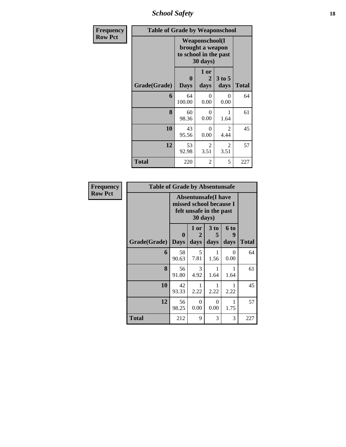*School Safety* **18**

| Frequency      | <b>Table of Grade by Weaponschool</b> |                                                                                 |                              |                  |              |
|----------------|---------------------------------------|---------------------------------------------------------------------------------|------------------------------|------------------|--------------|
| <b>Row Pct</b> |                                       | <b>Weaponschool</b> (I<br>brought a weapon<br>to school in the past<br>30 days) |                              |                  |              |
|                | Grade(Grade)                          | $\bf{0}$<br><b>Days</b>                                                         | 1 or<br>$\mathbf{2}$<br>days | $3$ to 5<br>days | <b>Total</b> |
|                | 6                                     | 64<br>100.00                                                                    | 0<br>0.00                    | $\Omega$<br>0.00 | 64           |
|                | 8                                     | 60<br>98.36                                                                     | 0<br>0.00                    | 1.64             | 61           |
|                | 10                                    | 43<br>95.56                                                                     | $\Omega$<br>0.00             | 2<br>4.44        | 45           |
|                | 12                                    | 53<br>92.98                                                                     | 2<br>3.51                    | 2<br>3.51        | 57           |
|                | Total                                 | 220                                                                             | 2                            | 5                | 227          |

| Frequency      | <b>Table of Grade by Absentunsafe</b> |                                                                                  |                   |                              |                   |              |
|----------------|---------------------------------------|----------------------------------------------------------------------------------|-------------------|------------------------------|-------------------|--------------|
| <b>Row Pct</b> |                                       | <b>Absentunsafe(I have</b><br>missed school because I<br>felt unsafe in the past |                   |                              |                   |              |
|                | Grade(Grade)   Days                   | 0                                                                                | 1 or<br>2<br>days | 3 <sub>to</sub><br>5<br>days | 6 to<br>9<br>days | <b>Total</b> |
|                | 6                                     | 58<br>90.63                                                                      | 5<br>7.81         | 1.56                         | $\Omega$<br>0.00  | 64           |
|                | 8                                     | 56<br>91.80                                                                      | 3<br>4.92         | 1.64                         | 1<br>1.64         | 61           |
|                | 10                                    | 42<br>93.33                                                                      | 2.22              | 2.22                         | 2.22              | 45           |
|                | 12                                    | 56<br>98.25                                                                      | 0<br>0.00         | 0<br>0.00                    | 1<br>1.75         | 57           |
|                | <b>Total</b>                          | 212                                                                              | 9                 | 3                            | 3                 | 227          |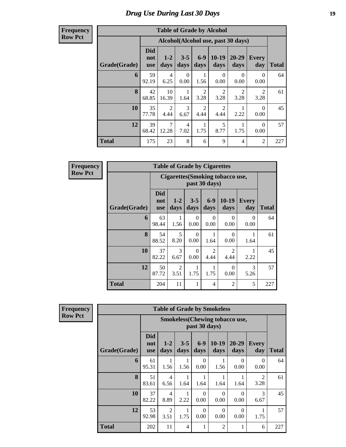**Frequency Row Pct**

| <b>Table of Grade by Alcohol</b> |                                 |                 |                  |                        |                 |                                    |                        |              |  |  |
|----------------------------------|---------------------------------|-----------------|------------------|------------------------|-----------------|------------------------------------|------------------------|--------------|--|--|
|                                  |                                 |                 |                  |                        |                 | Alcohol(Alcohol use, past 30 days) |                        |              |  |  |
| Grade(Grade)                     | <b>Did</b><br>not<br><b>use</b> | $1 - 2$<br>days | $3 - 5$<br>days  | $6-9$<br>days          | $10-19$<br>days | $20 - 29$<br>days                  | Every<br>day           | <b>Total</b> |  |  |
| 6                                | 59<br>92.19                     | 4<br>6.25       | $\Omega$<br>0.00 | 1<br>1.56              | 0<br>0.00       | $\Omega$<br>0.00                   | $\Omega$<br>0.00       | 64           |  |  |
| 8                                | 42<br>68.85                     | 10<br>16.39     | 1<br>1.64        | $\overline{2}$<br>3.28 | 2<br>3.28       | $\mathfrak{D}$<br>3.28             | $\mathfrak{D}$<br>3.28 | 61           |  |  |
| 10                               | 35<br>77.78                     | 2<br>4.44       | 3<br>6.67        | $\overline{2}$<br>4.44 | 2<br>4.44       | 2.22                               | $\Omega$<br>0.00       | 45           |  |  |
| 12                               | 39<br>68.42                     | 7<br>12.28      | 4<br>7.02        | 1<br>1.75              | 5<br>8.77       | 1.75                               | $\Omega$<br>0.00       | 57           |  |  |
| <b>Total</b>                     | 175                             | 23              | 8                | 6                      | 9               | $\overline{4}$                     | 2                      | 227          |  |  |

**Frequency Row Pct**

г

| <b>Table of Grade by Cigarettes</b> |                                 |                                                                                                 |                  |                        |                        |                  |     |  |  |  |  |  |  |  |
|-------------------------------------|---------------------------------|-------------------------------------------------------------------------------------------------|------------------|------------------------|------------------------|------------------|-----|--|--|--|--|--|--|--|
|                                     |                                 | Cigarettes (Smoking tobacco use,<br>past 30 days)                                               |                  |                        |                        |                  |     |  |  |  |  |  |  |  |
| Grade(Grade)                        | <b>Did</b><br>not<br><b>use</b> | $6 - 9$<br>$10-19$<br>$1 - 2$<br>$3 - 5$<br><b>Every</b><br>days<br>day<br>days<br>days<br>days |                  |                        |                        |                  |     |  |  |  |  |  |  |  |
| 6                                   | 63<br>98.44                     | 1<br>1.56                                                                                       | $\Omega$<br>0.00 | 0<br>0.00              | $\Omega$<br>0.00       | $\Omega$<br>0.00 | 64  |  |  |  |  |  |  |  |
| 8                                   | 54<br>88.52                     | 5<br>8.20                                                                                       | $\Omega$<br>0.00 | 1.64                   | $\Omega$<br>0.00       | 1<br>1.64        | 61  |  |  |  |  |  |  |  |
| 10                                  | 37<br>82.22                     | 3<br>6.67                                                                                       | 0<br>0.00        | $\mathfrak{D}$<br>4.44 | $\mathfrak{D}$<br>4.44 | 2.22             | 45  |  |  |  |  |  |  |  |
| 12                                  | 50<br>87.72                     | 2<br>3<br>0<br>3.51<br>1.75<br>1.75<br>0.00<br>5.26                                             |                  |                        |                        |                  |     |  |  |  |  |  |  |  |
| <b>Total</b>                        | 204                             | 11                                                                                              | 1                | 4                      | 2                      | 5                | 227 |  |  |  |  |  |  |  |

**Frequency Row Pct**

| <b>Table of Grade by Smokeless</b> |                                                                                                                        |                                                         |                 |                  |                  |                   |                        |              |  |  |
|------------------------------------|------------------------------------------------------------------------------------------------------------------------|---------------------------------------------------------|-----------------|------------------|------------------|-------------------|------------------------|--------------|--|--|
|                                    |                                                                                                                        | <b>Smokeless</b> (Chewing tobacco use,<br>past 30 days) |                 |                  |                  |                   |                        |              |  |  |
| Grade(Grade)                       | <b>Did</b><br>not<br><b>use</b>                                                                                        | $1 - 2$<br>days                                         | $3 - 5$<br>days | $6-9$<br>days    | $10-19$<br>days  | $20 - 29$<br>days | <b>Every</b><br>day    | <b>Total</b> |  |  |
| 6                                  | 61<br>95.31                                                                                                            | 1<br>1.56                                               | 1<br>1.56       | $\Omega$<br>0.00 | 1<br>1.56        | $\Omega$<br>0.00  | $\Omega$<br>0.00       | 64           |  |  |
| 8                                  | 51<br>83.61                                                                                                            | 4<br>6.56                                               | 1<br>1.64       | 1.64             | 1<br>1.64        | 1.64              | $\overline{2}$<br>3.28 | 61           |  |  |
| 10                                 | 37<br>82.22                                                                                                            | 4<br>8.89                                               | 1<br>2.22       | $\Omega$<br>0.00 | $\Omega$<br>0.00 | $\Omega$<br>0.00  | 3<br>6.67              | 45           |  |  |
| 12                                 | 53<br>$\overline{c}$<br>$\Omega$<br>1<br>$\Omega$<br>$\Omega$<br>92.98<br>0.00<br>1.75<br>0.00<br>0.00<br>3.51<br>1.75 |                                                         |                 |                  |                  |                   |                        |              |  |  |
| <b>Total</b>                       | 202                                                                                                                    | 11                                                      | 4               | 1                | $\overline{2}$   | 1                 | 6                      | 227          |  |  |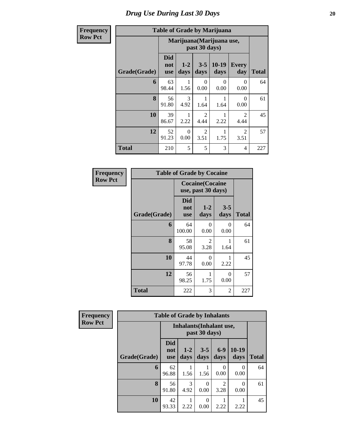#### **Row Pct**

| <b>Frequency</b> |              | <b>Table of Grade by Marijuana</b> |                           |                        |                 |                        |              |  |  |  |  |  |
|------------------|--------------|------------------------------------|---------------------------|------------------------|-----------------|------------------------|--------------|--|--|--|--|--|
| <b>Row Pct</b>   |              |                                    | Marijuana (Marijuana use, |                        |                 |                        |              |  |  |  |  |  |
|                  | Grade(Grade) | <b>Did</b><br>not<br><b>use</b>    | $1 - 2$<br>days           | $3 - 5$<br>days        | $10-19$<br>days | <b>Every</b><br>day    | <b>Total</b> |  |  |  |  |  |
|                  | 6            | 63<br>98.44                        | 1.56                      | 0<br>0.00              | 0<br>0.00       | 0<br>0.00              | 64           |  |  |  |  |  |
|                  | 8            | 56<br>91.80                        | 3<br>4.92                 | 1.64                   | 1.64            | 0<br>0.00              | 61           |  |  |  |  |  |
|                  | 10           | 39<br>86.67                        | 2.22                      | $\mathfrak{D}$<br>4.44 | 2.22            | $\mathfrak{D}$<br>4.44 | 45           |  |  |  |  |  |
|                  | 12           | 52<br>91.23                        | $\Omega$<br>0.00          | $\mathfrak{D}$<br>3.51 | 1.75            | $\mathfrak{D}$<br>3.51 | 57           |  |  |  |  |  |
|                  | <b>Total</b> | 210                                | 5                         | 5                      | 3               | 4                      | 227          |  |  |  |  |  |

| Frequency      |              | <b>Table of Grade by Cocaine</b> |                                              |                  |              |
|----------------|--------------|----------------------------------|----------------------------------------------|------------------|--------------|
| <b>Row Pct</b> |              |                                  | <b>Cocaine(Cocaine</b><br>use, past 30 days) |                  |              |
|                | Grade(Grade) | <b>Did</b><br>not<br><b>use</b>  | $1-2$<br>days                                | $3 - 5$<br>days  | <b>Total</b> |
|                | 6            | 64<br>100.00                     | 0<br>0.00                                    | 0<br>0.00        | 64           |
|                | 8            | 58<br>95.08                      | 2<br>3.28                                    | 1.64             | 61           |
|                | 10           | 44<br>97.78                      | $\theta$<br>0.00                             | 2.22             | 45           |
|                | 12           | 56<br>98.25                      | 1<br>1.75                                    | $\Omega$<br>0.00 | 57           |
|                | <b>Total</b> | 222                              | 3                                            | 2                | 227          |

| Frequency      |              | <b>Table of Grade by Inhalants</b> |                 |                  |                        |                  |              |
|----------------|--------------|------------------------------------|-----------------|------------------|------------------------|------------------|--------------|
| <b>Row Pct</b> |              | <b>Inhalants</b> (Inhalant use,    |                 |                  |                        |                  |              |
|                | Grade(Grade) | <b>Did</b><br>not<br><b>use</b>    | $1 - 2$<br>days | $3 - 5$<br>days  | $6 - 9$<br>days        | 10-19<br>days    | <b>Total</b> |
|                | 6            | 62<br>96.88                        | 1.56            | 1.56             | 0.00                   | $\theta$<br>0.00 | 64           |
|                | 8            | 56<br>91.80                        | 3<br>4.92       | $\theta$<br>0.00 | $\mathfrak{D}$<br>3.28 | 0<br>0.00        | 61           |
|                | 10           | 42<br>93.33                        | 2.22            | $\theta$<br>0.00 | 2.22                   | 2.22             | 45           |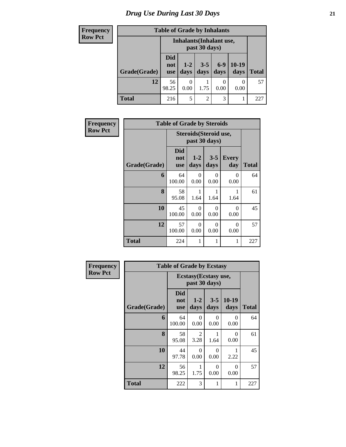| <b>Frequency</b> | <b>Table of Grade by Inhalants</b> |                          |                                 |                 |               |                 |              |  |  |
|------------------|------------------------------------|--------------------------|---------------------------------|-----------------|---------------|-----------------|--------------|--|--|
| <b>Row Pct</b>   |                                    |                          | <b>Inhalants</b> (Inhalant use, | past 30 days)   |               |                 |              |  |  |
|                  | Grade(Grade)                       | Did<br>not<br><b>use</b> | $1-2$<br>days                   | $3 - 5$<br>days | $6-9$<br>days | $10-19$<br>days | <b>Total</b> |  |  |
|                  | 12                                 | 56<br>98.25              | 0<br>0.00                       | 1.75            | 0.00          | 0.00            | 57           |  |  |
|                  | Total                              | 216                      | 5                               | $\overline{c}$  | 3             |                 | 227          |  |  |

| <b>Frequency</b> | <b>Table of Grade by Steroids</b> |                                 |                                         |                  |                     |              |  |  |
|------------------|-----------------------------------|---------------------------------|-----------------------------------------|------------------|---------------------|--------------|--|--|
| <b>Row Pct</b>   |                                   |                                 | Steroids (Steroid use,<br>past 30 days) |                  |                     |              |  |  |
|                  | Grade(Grade)                      | <b>Did</b><br>not<br><b>use</b> | $1-2$<br>days                           | $3 - 5$<br>days  | <b>Every</b><br>day | <b>Total</b> |  |  |
|                  | 6                                 | 64<br>100.00                    | 0<br>0.00                               | $\Omega$<br>0.00 | $\theta$<br>0.00    | 64           |  |  |
|                  | 8                                 | 58<br>95.08                     | 1.64                                    | 1.64             | 1.64                | 61           |  |  |
|                  | 10                                | 45<br>100.00                    | $\Omega$<br>0.00                        | $\Omega$<br>0.00 | 0<br>0.00           | 45           |  |  |
|                  | 12                                | 57<br>100.00                    | $\Omega$<br>0.00                        | $\Omega$<br>0.00 | $\Omega$<br>0.00    | 57           |  |  |
|                  | <b>Total</b>                      | 224                             | 1                                       | 1                | 1                   | 227          |  |  |

| Frequency      |              | <b>Table of Grade by Ecstasy</b> |                                       |                  |                  |              |  |  |
|----------------|--------------|----------------------------------|---------------------------------------|------------------|------------------|--------------|--|--|
| <b>Row Pct</b> |              |                                  | Ecstasy(Ecstasy use,<br>past 30 days) |                  |                  |              |  |  |
|                | Grade(Grade) | <b>Did</b><br>not<br><b>use</b>  | $1 - 2$<br>days                       | $3 - 5$<br>days  | $10-19$<br>days  | <b>Total</b> |  |  |
|                | 6            | 64<br>100.00                     | $\Omega$<br>0.00                      | 0<br>0.00        | $\Omega$<br>0.00 | 64           |  |  |
|                | 8            | 58<br>95.08                      | 2<br>3.28                             | 1.64             | $\Omega$<br>0.00 | 61           |  |  |
|                | 10           | 44<br>97.78                      | $\Omega$<br>0.00                      | $\Omega$<br>0.00 | 1<br>2.22        | 45           |  |  |
|                | 12           | 56<br>98.25                      | 1<br>1.75                             | $\Omega$<br>0.00 | $\Omega$<br>0.00 | 57           |  |  |
|                | <b>Total</b> | 222                              | 3                                     | 1                | 1                | 227          |  |  |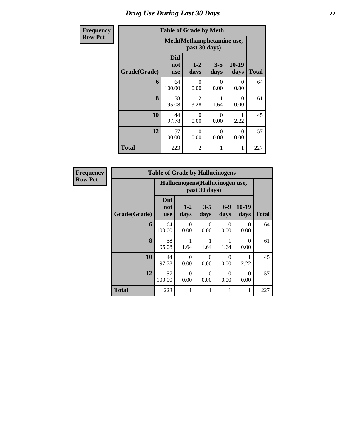| <b>Frequency</b> | <b>Table of Grade by Meth</b> |                                 |                                     |                           |                  |              |  |  |
|------------------|-------------------------------|---------------------------------|-------------------------------------|---------------------------|------------------|--------------|--|--|
| <b>Row Pct</b>   |                               |                                 | past 30 days)                       | Meth(Methamphetamine use, |                  |              |  |  |
|                  | Grade(Grade)                  | <b>Did</b><br>not<br><b>use</b> | $1 - 2$<br>days                     | $3 - 5$<br>days           | $10-19$<br>days  | <b>Total</b> |  |  |
|                  | 6                             | 64<br>100.00                    | $\Omega$<br>0.00                    | 0<br>0.00                 | 0<br>0.00        | 64           |  |  |
|                  | 8                             | 58<br>95.08                     | $\mathcal{D}_{\mathcal{L}}$<br>3.28 | 1.64                      | $\Omega$<br>0.00 | 61           |  |  |
|                  | 10                            | 44<br>97.78                     | $\Omega$<br>0.00                    | $\Omega$<br>0.00          | 2.22             | 45           |  |  |
|                  | 12                            | 57<br>100.00                    | $\Omega$<br>0.00                    | $\Omega$<br>0.00          | $\Omega$<br>0.00 | 57           |  |  |
|                  | <b>Total</b>                  | 223                             | $\overline{2}$                      | 1                         | 1                | 227          |  |  |

| Frequency      | <b>Table of Grade by Hallucinogens</b> |                                 |                                                   |                  |                  |                  |              |  |  |  |
|----------------|----------------------------------------|---------------------------------|---------------------------------------------------|------------------|------------------|------------------|--------------|--|--|--|
| <b>Row Pct</b> |                                        |                                 | Hallucinogens (Hallucinogen use,<br>past 30 days) |                  |                  |                  |              |  |  |  |
|                | Grade(Grade)                           | <b>Did</b><br>not<br><b>use</b> | $1 - 2$<br>days                                   | $3 - 5$<br>days  | $6-9$<br>days    | $10-19$<br>days  | <b>Total</b> |  |  |  |
|                | 6                                      | 64<br>100.00                    | 0<br>0.00                                         | 0<br>0.00        | $\Omega$<br>0.00 | 0<br>0.00        | 64           |  |  |  |
|                | 8                                      | 58<br>95.08                     | 1.64                                              | 1.64             | 1.64             | $\Omega$<br>0.00 | 61           |  |  |  |
|                | 10                                     | 44<br>97.78                     | 0<br>0.00                                         | 0<br>0.00        | $\Omega$<br>0.00 | 2.22             | 45           |  |  |  |
|                | 12                                     | 57<br>100.00                    | $\Omega$<br>0.00                                  | $\Omega$<br>0.00 | $\Omega$<br>0.00 | $\Omega$<br>0.00 | 57           |  |  |  |
|                | <b>Total</b>                           | 223                             |                                                   |                  | 1                | 1                | 227          |  |  |  |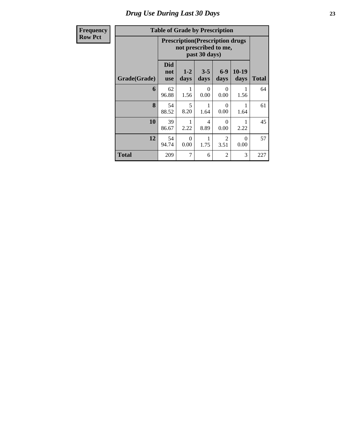| r requency     |  |
|----------------|--|
| <b>Row Pct</b> |  |

#### **Table of Grade by Prescription**

| $_{\rm{curv, y}}$ | Table of Graue by Frescription |                                 |                                                                                   |                  |                        |                  |              |  |  |  |
|-------------------|--------------------------------|---------------------------------|-----------------------------------------------------------------------------------|------------------|------------------------|------------------|--------------|--|--|--|
| Pct               |                                |                                 | <b>Prescription</b> (Prescription drugs<br>not prescribed to me,<br>past 30 days) |                  |                        |                  |              |  |  |  |
|                   | Grade(Grade)                   | <b>Did</b><br>not<br><b>use</b> | $1 - 2$<br>days                                                                   | $3 - 5$<br>days  | $6-9$<br>days          | 10-19<br>days    | <b>Total</b> |  |  |  |
|                   | 6                              | 62<br>96.88                     | 1<br>1.56                                                                         | $\theta$<br>0.00 | 0<br>0.00              | 1.56             | 64           |  |  |  |
|                   | 8                              | 54<br>88.52                     | 5<br>8.20                                                                         | 1.64             | $\Omega$<br>0.00       | 1<br>1.64        | 61           |  |  |  |
|                   | 10                             | 39<br>86.67                     | 1<br>2.22                                                                         | 4<br>8.89        | $\Omega$<br>0.00       | 1<br>2.22        | 45           |  |  |  |
|                   | 12                             | 54<br>94.74                     | $\theta$<br>0.00                                                                  | 1<br>1.75        | $\overline{2}$<br>3.51 | $\Omega$<br>0.00 | 57           |  |  |  |
|                   | <b>Total</b>                   | 209                             | 7                                                                                 | 6                | 2                      | 3                | 227          |  |  |  |

٦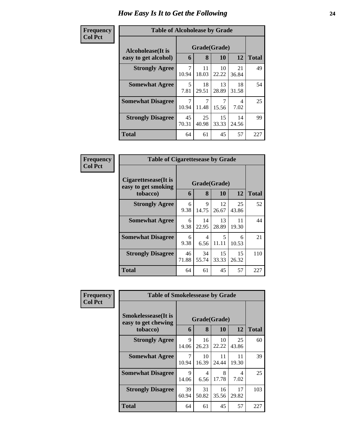#### **Frequen Col Pct**

| ncy | <b>Table of Alcoholease by Grade</b>                                            |             |             |             |             |              |  |
|-----|---------------------------------------------------------------------------------|-------------|-------------|-------------|-------------|--------------|--|
|     | Grade(Grade)<br>Alcoholease(It is<br>12<br>8<br>10<br>6<br>easy to get alcohol) |             |             |             |             |              |  |
|     |                                                                                 |             |             |             |             | <b>Total</b> |  |
|     | <b>Strongly Agree</b>                                                           | 7<br>10.94  | 11<br>18.03 | 10<br>22.22 | 21<br>36.84 | 49           |  |
|     | <b>Somewhat Agree</b>                                                           | 5<br>7.81   | 18<br>29.51 | 13<br>28.89 | 18<br>31.58 | 54           |  |
|     | <b>Somewhat Disagree</b>                                                        | 7<br>10.94  | 11.48       | 15.56       | 4<br>7.02   | 25           |  |
|     | <b>Strongly Disagree</b>                                                        | 45<br>70.31 | 25<br>40.98 | 15<br>33.33 | 14<br>24.56 | 99           |  |
|     | <b>Total</b>                                                                    | 64          | 61          | 45          | 57          | 227          |  |

| Frequency      | <b>Table of Cigarettesease by Grade</b>                 |             |                   |                                   |             |              |
|----------------|---------------------------------------------------------|-------------|-------------------|-----------------------------------|-------------|--------------|
| <b>Col Pct</b> | Cigarettesease(It is<br>easy to get smoking<br>tobacco) | 6           | Grade(Grade)<br>8 | 10                                | 12          | <b>Total</b> |
|                | <b>Strongly Agree</b>                                   | 6<br>9.38   | 9<br>14.75        | 12<br>26.67                       | 25<br>43.86 | 52           |
|                | <b>Somewhat Agree</b>                                   | 6<br>9.38   | 14<br>22.95       | 13<br>28.89                       | 11<br>19.30 | 44           |
|                | <b>Somewhat Disagree</b>                                | 6<br>9.38   | 4<br>6.56         | $\overline{\mathcal{L}}$<br>11.11 | 6<br>10.53  | 21           |
|                | <b>Strongly Disagree</b>                                | 46<br>71.88 | 34<br>55.74       | 15<br>33.33                       | 15<br>26.32 | 110          |
|                | Total                                                   | 64          | 61                | 45                                | 57          | 227          |

| <b>Frequency</b> | <b>Table of Smokelessease by Grade</b>                         |                                    |             |             |             |              |  |  |  |
|------------------|----------------------------------------------------------------|------------------------------------|-------------|-------------|-------------|--------------|--|--|--|
| <b>Col Pct</b>   | <b>Smokelessease</b> (It is<br>easy to get chewing<br>tobacco) | Grade(Grade)<br>8<br>12<br>10<br>6 |             |             |             | <b>Total</b> |  |  |  |
|                  | <b>Strongly Agree</b>                                          | 9<br>14.06                         | 16<br>26.23 | 10<br>22.22 | 25<br>43.86 | 60           |  |  |  |
|                  | <b>Somewhat Agree</b>                                          | 7<br>10.94                         | 10<br>16.39 | 11<br>24.44 | 11<br>19.30 | 39           |  |  |  |
|                  | <b>Somewhat Disagree</b>                                       | 9<br>14.06                         | 4<br>6.56   | 8<br>17.78  | 4<br>7.02   | 25           |  |  |  |
|                  | <b>Strongly Disagree</b>                                       | 39<br>60.94                        | 31<br>50.82 | 16<br>35.56 | 17<br>29.82 | 103          |  |  |  |
|                  | <b>Total</b>                                                   | 64                                 | 61          | 45          | 57          | 227          |  |  |  |

٦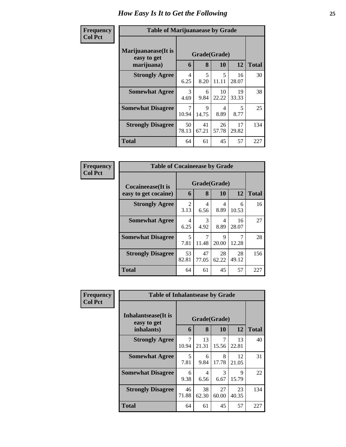| Frequency      | <b>Table of Marijuanaease by Grade</b>           |                       |             |                           |             |              |  |  |
|----------------|--------------------------------------------------|-----------------------|-------------|---------------------------|-------------|--------------|--|--|
| <b>Col Pct</b> | Marijuanaease(It is<br>easy to get<br>marijuana) | 6                     | 8           | Grade(Grade)<br><b>10</b> | 12          | <b>Total</b> |  |  |
|                | <b>Strongly Agree</b>                            | 4<br>6.25             | 5<br>8.20   | 5<br>11.11                | 16<br>28.07 | 30           |  |  |
|                | <b>Somewhat Agree</b>                            | $\mathcal{R}$<br>4.69 | 6<br>9.84   | 10<br>22.22               | 19<br>33.33 | 38           |  |  |
|                | <b>Somewhat Disagree</b>                         | 7<br>10.94            | 9<br>14.75  | 4<br>8.89                 | 5<br>8.77   | 25           |  |  |
|                | <b>Strongly Disagree</b>                         | 50<br>78.13           | 41<br>67.21 | 26<br>57.78               | 17<br>29.82 | 134          |  |  |
|                | Total                                            | 64                    | 61          | 45                        | 57          | 227          |  |  |

| Frequency      | <b>Table of Cocaineease by Grade</b>              |                        |                   |             |             |              |  |
|----------------|---------------------------------------------------|------------------------|-------------------|-------------|-------------|--------------|--|
| <b>Col Pct</b> | <b>Cocaineease</b> (It is<br>easy to get cocaine) | 6                      | Grade(Grade)<br>8 | 10          | 12          | <b>Total</b> |  |
|                | <b>Strongly Agree</b>                             | $\mathfrak{D}$<br>3.13 | 4<br>6.56         | 4<br>8.89   | 6<br>10.53  | 16           |  |
|                | <b>Somewhat Agree</b>                             | 4<br>6.25              | 3<br>4.92         | 4<br>8.89   | 16<br>28.07 | 27           |  |
|                | <b>Somewhat Disagree</b>                          | 5<br>7.81              | 7<br>11.48        | 9<br>20.00  | 12.28       | 28           |  |
|                | <b>Strongly Disagree</b>                          | 53<br>82.81            | 47<br>77.05       | 28<br>62.22 | 28<br>49.12 | 156          |  |
|                | <b>Total</b>                                      | 64                     | 61                | 45          | 57          | 227          |  |

| <b>Frequency</b> | <b>Table of Inhalantsease by Grade</b>           |                         |             |              |             |     |  |  |  |  |  |
|------------------|--------------------------------------------------|-------------------------|-------------|--------------|-------------|-----|--|--|--|--|--|
| <b>Col Pct</b>   | Inhalantsease(It is<br>easy to get<br>inhalants) | Grade(Grade)<br>6       | 12          | <b>Total</b> |             |     |  |  |  |  |  |
|                  | <b>Strongly Agree</b>                            | $\overline{7}$<br>10.94 | 13<br>21.31 | 7<br>15.56   | 13<br>22.81 | 40  |  |  |  |  |  |
|                  | <b>Somewhat Agree</b>                            | 5<br>7.81               | 6<br>9.84   | 8<br>17.78   | 12<br>21.05 | 31  |  |  |  |  |  |
|                  | <b>Somewhat Disagree</b>                         | 6<br>9.38               | 4<br>6.56   | 3<br>6.67    | 9<br>15.79  | 22  |  |  |  |  |  |
|                  | <b>Strongly Disagree</b>                         | 46<br>71.88             | 38<br>62.30 | 27<br>60.00  | 23<br>40.35 | 134 |  |  |  |  |  |
|                  | <b>Total</b>                                     | 64                      | 61          | 45           | 57          | 227 |  |  |  |  |  |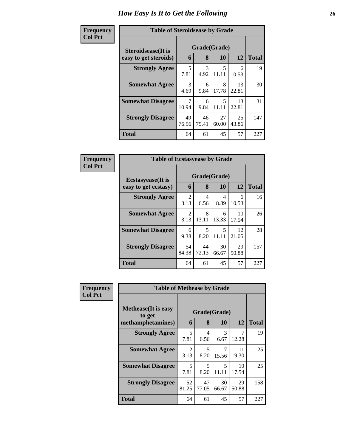| Frequency      |                            | <b>Table of Steroidsease by Grade</b> |             |             |             |              |  |  |  |  |  |  |  |
|----------------|----------------------------|---------------------------------------|-------------|-------------|-------------|--------------|--|--|--|--|--|--|--|
| <b>Col Pct</b> | <b>Steroidsease</b> (It is | Grade(Grade)                          |             |             |             |              |  |  |  |  |  |  |  |
|                | easy to get steroids)      | 6                                     | 8           | 10          | 12          | <b>Total</b> |  |  |  |  |  |  |  |
|                | <b>Strongly Agree</b>      | 5<br>7.81                             | 3<br>4.92   | 5<br>11.11  | 6<br>10.53  | 19           |  |  |  |  |  |  |  |
|                | <b>Somewhat Agree</b>      | 3<br>4.69                             | 6<br>9.84   | 8<br>17.78  | 13<br>22.81 | 30           |  |  |  |  |  |  |  |
|                | <b>Somewhat Disagree</b>   | 10.94                                 | 6<br>9.84   | 5<br>11.11  | 13<br>22.81 | 31           |  |  |  |  |  |  |  |
|                | <b>Strongly Disagree</b>   | 49<br>76.56                           | 46<br>75.41 | 27<br>60.00 | 25<br>43.86 | 147          |  |  |  |  |  |  |  |
|                | <b>Total</b>               | 64                                    | 61          | 45          | 57          | 227          |  |  |  |  |  |  |  |

| Frequency      | <b>Table of Ecstasyease by Grade</b>              |             |                   |             |             |              |  |  |  |  |  |
|----------------|---------------------------------------------------|-------------|-------------------|-------------|-------------|--------------|--|--|--|--|--|
| <b>Col Pct</b> | <b>Ecstasyease</b> (It is<br>easy to get ecstasy) | 6           | Grade(Grade)<br>8 | 10          | 12          | <b>Total</b> |  |  |  |  |  |
|                | <b>Strongly Agree</b>                             | 2<br>3.13   | 4<br>6.56         | 4<br>8.89   | 6<br>10.53  | 16           |  |  |  |  |  |
|                | <b>Somewhat Agree</b>                             | 2<br>3.13   | 8<br>13.11        | 6<br>13.33  | 10<br>17.54 | 26           |  |  |  |  |  |
|                | <b>Somewhat Disagree</b>                          | 6<br>9.38   | 5<br>8.20         | 5<br>11.11  | 12<br>21.05 | 28           |  |  |  |  |  |
|                | <b>Strongly Disagree</b>                          | 54<br>84.38 | 44<br>72.13       | 30<br>66.67 | 29<br>50.88 | 157          |  |  |  |  |  |
|                | <b>Total</b>                                      | 64          | 61                | 45          | 57          | 227          |  |  |  |  |  |

| <b>Frequency</b> | <b>Table of Methease by Grade</b>     |                        |                        |             |             |              |
|------------------|---------------------------------------|------------------------|------------------------|-------------|-------------|--------------|
| <b>Col Pct</b>   | <b>Methease</b> (It is easy<br>to get | Grade(Grade)           |                        |             |             |              |
|                  | methamphetamines)                     | 6                      | 8                      | 10          | 12          | <b>Total</b> |
|                  | <b>Strongly Agree</b>                 | 5<br>7.81              | $\overline{4}$<br>6.56 | 3<br>6.67   | 7<br>12.28  | 19           |
|                  | <b>Somewhat Agree</b>                 | $\mathfrak{D}$<br>3.13 | 5<br>8.20              | 7<br>15.56  | 11<br>19.30 | 25           |
|                  | <b>Somewhat Disagree</b>              | 5<br>7.81              | 5<br>8.20              | 5<br>11.11  | 10<br>17.54 | 25           |
|                  | <b>Strongly Disagree</b>              | 52<br>81.25            | 47<br>77.05            | 30<br>66.67 | 29<br>50.88 | 158          |
|                  | <b>Total</b>                          | 64                     | 61                     | 45          | 57          | 227          |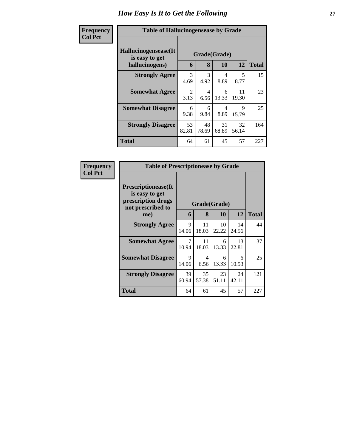| Frequency<br><b>Col Pct</b> | <b>Table of Hallucinogensease by Grade</b>               |             |                   |             |             |              |
|-----------------------------|----------------------------------------------------------|-------------|-------------------|-------------|-------------|--------------|
|                             | Hallucinogensease(It<br>is easy to get<br>hallucinogens) | 6           | Grade(Grade)<br>8 | <b>10</b>   | 12          | <b>Total</b> |
|                             | <b>Strongly Agree</b>                                    | 3<br>4.69   | 3<br>4.92         | 4<br>8.89   | 5<br>8.77   | 15           |
|                             | <b>Somewhat Agree</b>                                    | 2<br>3.13   | 4<br>6.56         | 6<br>13.33  | 11<br>19.30 | 23           |
|                             | <b>Somewhat Disagree</b>                                 | 6<br>9.38   | 6<br>9.84         | 4<br>8.89   | 9<br>15.79  | 25           |
|                             | <b>Strongly Disagree</b>                                 | 53<br>82.81 | 48<br>78.69       | 31<br>68.89 | 32<br>56.14 | 164          |
|                             | <b>Total</b>                                             | 64          | 61                | 45          | 57          | 227          |

| Frequency      | <b>Table of Prescriptionease by Grade</b>                                                |              |             |             |             |              |
|----------------|------------------------------------------------------------------------------------------|--------------|-------------|-------------|-------------|--------------|
| <b>Col Pct</b> | <b>Prescriptionease</b> (It<br>is easy to get<br>prescription drugs<br>not prescribed to | Grade(Grade) |             |             |             |              |
|                | me)                                                                                      | 6            | 8           | <b>10</b>   | 12          | <b>Total</b> |
|                | <b>Strongly Agree</b>                                                                    | 9<br>14.06   | 11<br>18.03 | 10<br>22.22 | 14<br>24.56 | 44           |
|                | <b>Somewhat Agree</b>                                                                    | 7<br>10.94   | 11<br>18.03 | 6<br>13.33  | 13<br>22.81 | 37           |
|                | <b>Somewhat Disagree</b>                                                                 | 9<br>14.06   | 4<br>6.56   | 6<br>13.33  | 6<br>10.53  | 25           |
|                | <b>Strongly Disagree</b>                                                                 | 39<br>60.94  | 35<br>57.38 | 23<br>51.11 | 24<br>42.11 | 121          |
|                | Total                                                                                    | 64           | 61          | 45          | 57          | 227          |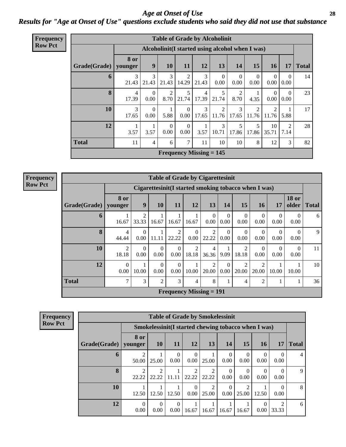*Age at Onset of Use* **28** *Results for "Age at Onset of Use" questions exclude students who said they did not use that substance*

| <b>Frequency</b> |              |            |                  |                        |                                             |                         | <b>Table of Grade by Alcoholinit</b>             |                        |                         |                  |                  |              |
|------------------|--------------|------------|------------------|------------------------|---------------------------------------------|-------------------------|--------------------------------------------------|------------------------|-------------------------|------------------|------------------|--------------|
| <b>Row Pct</b>   |              |            |                  |                        |                                             |                         | Alcoholinit (I started using alcohol when I was) |                        |                         |                  |                  |              |
|                  |              | 8 or       |                  |                        |                                             |                         |                                                  |                        |                         |                  |                  |              |
|                  | Grade(Grade) | younger    | 9                | 10                     | 11                                          | 12                      | 13                                               | 14                     | 15                      | <b>16</b>        | 17               | <b>Total</b> |
|                  | 6            | 3<br>21.43 | 21.43            | 3<br>21.43             | 2<br>14.29                                  | 3<br>21.43              | $\Omega$<br>0.00                                 | $\Omega$<br>0.00       | $\Omega$<br>0.00        | $\Omega$<br>0.00 | $\Omega$<br>0.00 | 14           |
|                  | 8            | 4<br>17.39 | $\Omega$<br>0.00 | $\overline{2}$<br>8.70 | 5<br>21.74                                  | $\overline{4}$<br>17.39 | 5<br>21.74                                       | $\mathfrak{D}$<br>8.70 | 4.35                    | $\Omega$<br>0.00 | $\Omega$<br>0.00 | 23           |
|                  | 10           | 3<br>17.65 | $\Omega$<br>0.00 | 5.88                   | $\Omega$<br>0.00                            | 3<br>17.65              | $\mathcal{D}$<br>11.76                           | 3<br>17.65             | $\mathfrak{D}$<br>11.76 | 2<br>11.76       | 5.88             | 17           |
|                  | 12           | 3.57       | 3.57             | $\Omega$<br>0.00       | $\Omega$<br>0.00                            | 3.57                    | 3<br>10.71                                       | 5<br>17.86             | 5<br>17.86              | 10<br>35.71      | 2<br>7.14        | 28           |
|                  | <b>Total</b> | 11         | 4                | 6                      | 7                                           | 11                      | 10                                               | 10                     | 8                       | 12               | 3                | 82           |
|                  |              |            |                  |                        | <b>Frequency Missing <math>= 145</math></b> |                         |                                                  |                        |                         |                  |                  |              |

|                                                                                     |                                                                                                                             |                                                      |                  |                  |                        | <b>Table of Grade by Cigarettesinit</b> |                  |                         |                  |                  |                  |    |  |  |
|-------------------------------------------------------------------------------------|-----------------------------------------------------------------------------------------------------------------------------|------------------------------------------------------|------------------|------------------|------------------------|-----------------------------------------|------------------|-------------------------|------------------|------------------|------------------|----|--|--|
|                                                                                     |                                                                                                                             | Cigarettesinit(I started smoking tobacco when I was) |                  |                  |                        |                                         |                  |                         |                  |                  |                  |    |  |  |
| Grade(Grade)                                                                        | 8 or<br><b>18 or</b><br>15<br>9<br>13<br><b>10</b><br>11<br>12<br>14<br><b>16</b><br>17<br>older<br><b>Total</b><br>younger |                                                      |                  |                  |                        |                                         |                  |                         |                  |                  |                  |    |  |  |
| 6                                                                                   | 16.67                                                                                                                       | 2<br>33.33                                           | 16.67            | 16.67            | 16.67                  | $\Omega$<br>0.00                        | $\Omega$<br>0.00 | $\theta$<br>0.00        | $\theta$<br>0.00 | $\Omega$<br>0.00 | $\theta$<br>0.00 | 6  |  |  |
| 8                                                                                   | 4<br>44.44                                                                                                                  | $\Omega$<br>0.00                                     | 11.11            | 2<br>22.22       | $\overline{0}$<br>0.00 | $\overline{2}$<br>22.22                 | $\theta$<br>0.00 | $\theta$<br>0.00        | $\Omega$<br>0.00 | $\Omega$<br>0.00 | $\theta$<br>0.00 | 9  |  |  |
| 10                                                                                  | $\overline{2}$<br>18.18                                                                                                     | $\Omega$<br>0.00                                     | $\theta$<br>0.00 | $\Omega$<br>0.00 | 2<br>18.18             | 4<br>36.36                              | 9.09             | $\overline{2}$<br>18.18 | $\Omega$<br>0.00 | $\Omega$<br>0.00 | $\Omega$<br>0.00 | 11 |  |  |
| 12                                                                                  | $\theta$<br>0.00                                                                                                            | 10.00                                                | $\Omega$<br>0.00 | $\Omega$<br>0.00 | 10.00                  | $\overline{2}$<br>20.00                 | $\theta$<br>0.00 | $\overline{2}$<br>20.00 | 2<br>20.00       | 10.00            | 10.00            | 10 |  |  |
| <b>Total</b><br>3<br>8<br>7<br>3<br>$\overline{2}$<br>$\overline{2}$<br>1<br>4<br>4 |                                                                                                                             |                                                      |                  |                  |                        |                                         |                  |                         |                  |                  |                  | 36 |  |  |
|                                                                                     |                                                                                                                             |                                                      |                  |                  |                        | <b>Frequency Missing = 191</b>          |                  |                         |                  |                  |                  |    |  |  |

| <b>Frequency</b> |  |
|------------------|--|
| <b>Row Pct</b>   |  |

**Freq**  $Row$ 

| <b>Table of Grade by Smokelessinit</b> |                         |                                                     |                  |                                      |                         |                  |                         |                  |                        |              |  |  |
|----------------------------------------|-------------------------|-----------------------------------------------------|------------------|--------------------------------------|-------------------------|------------------|-------------------------|------------------|------------------------|--------------|--|--|
|                                        |                         | Smokelessinit(I started chewing tobacco when I was) |                  |                                      |                         |                  |                         |                  |                        |              |  |  |
| Grade(Grade)                           | 8 or<br>younger         | <b>10</b>                                           | 11               | 12                                   | 13                      | 14               | 15                      | 16               | 17                     | <b>Total</b> |  |  |
| 6                                      | 2<br>50.00              | 25.00                                               | $\Omega$<br>0.00 | 0<br>0.00                            | 25.00                   | $\Omega$<br>0.00 | $\Omega$<br>0.00        | $\Omega$<br>0.00 | $\Omega$<br>0.00       | 4            |  |  |
| 8                                      | $\mathfrak{D}$<br>22.22 | $\mathfrak{D}$<br>22.22                             | 11.11            | $\mathcal{D}_{\mathcal{L}}$<br>22.22 | $\mathfrak{D}$<br>22.22 | $\theta$<br>0.00 | $\theta$<br>0.00        | 0.00             | $\Omega$<br>0.00       | 9            |  |  |
| 10                                     | 12.50                   | 12.50                                               | 12.50            | 0.00                                 | $\mathfrak{D}$<br>25.00 | $\Omega$<br>0.00 | $\overline{2}$<br>25.00 | 12.50            | $\Omega$<br>0.00       | 8            |  |  |
| 12                                     | $\theta$<br>0.00        | $\Omega$<br>0.00                                    | 0<br>0.00        | 16.67                                | 16.67                   | 16.67            | 16.67                   | 0.00             | $\mathcal{D}$<br>33.33 | 6            |  |  |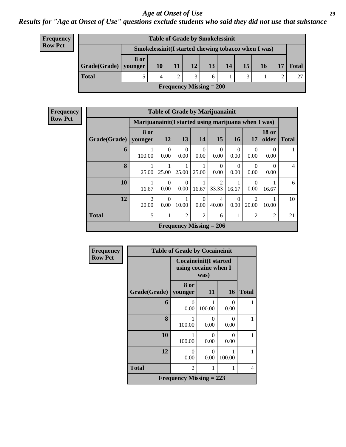#### *Results for "Age at Onset of Use" questions exclude students who said they did not use that substance*

| <b>Frequency</b> |
|------------------|
| <b>Row Pct</b>   |

| <b>Table of Grade by Smokelessinit</b> |      |                                                     |  |                 |    |    |    |    |  |                        |  |
|----------------------------------------|------|-----------------------------------------------------|--|-----------------|----|----|----|----|--|------------------------|--|
|                                        |      | Smokelessinit(I started chewing tobacco when I was) |  |                 |    |    |    |    |  |                        |  |
| $Grade(Grade)$ younger                 | 8 or | 10                                                  |  | 12 <sup>1</sup> | 13 | 14 | 15 | 16 |  | $17 \mid \text{Total}$ |  |
| <b>Total</b>                           |      | 4                                                   |  |                 | 6  |    | 3  |    |  |                        |  |
| <b>Frequency Missing = 200</b>         |      |                                                     |  |                 |    |    |    |    |  |                        |  |

| <b>Frequency</b><br>  Row Pct |
|-------------------------------|
|-------------------------------|

| <b>Table of Grade by Marijuanainit</b> |                         |                                                                           |                  |                  |                                |                  |                         |                  |                |  |
|----------------------------------------|-------------------------|---------------------------------------------------------------------------|------------------|------------------|--------------------------------|------------------|-------------------------|------------------|----------------|--|
|                                        |                         | Marijuanainit (I started using marijuana when I was)                      |                  |                  |                                |                  |                         |                  |                |  |
| Grade(Grade)                           | 8 or<br>younger         | <b>18 or</b><br>12<br>15<br>13<br>14<br>16<br>older<br>17<br><b>Total</b> |                  |                  |                                |                  |                         |                  |                |  |
| 6                                      | 100.00                  | $\Omega$<br>0.00                                                          | $\Omega$<br>0.00 | $\Omega$<br>0.00 | $\Omega$<br>0.00               | $\theta$<br>0.00 | $\Omega$<br>0.00        | $\Omega$<br>0.00 |                |  |
| 8                                      | 25.00                   | 25.00                                                                     | 25.00            | 25.00            | $\Omega$<br>0.00               | $\Omega$<br>0.00 | $\Omega$<br>0.00        | $\Omega$<br>0.00 | $\overline{4}$ |  |
| 10                                     | 16.67                   | $\Omega$<br>0.00                                                          | $\Omega$<br>0.00 | 16.67            | $\overline{2}$<br>33.33        | 16.67            | $\Omega$<br>0.00        | 16.67            | 6              |  |
| 12                                     | $\mathfrak{D}$<br>20.00 | $\Omega$<br>0.00                                                          | 10.00            | $\Omega$<br>0.00 | $\overline{4}$<br>40.00        | $\theta$<br>0.00 | $\overline{2}$<br>20.00 | 10.00            | 10             |  |
| <b>Total</b>                           | 5                       |                                                                           | $\overline{2}$   | $\overline{2}$   | 6                              | 1                | $\overline{2}$          | $\overline{2}$   | 21             |  |
|                                        |                         |                                                                           |                  |                  | <b>Frequency Missing = 206</b> |                  |                         |                  |                |  |

| Frequency      |                                | <b>Table of Grade by Cocaineinit</b>                 |                           |                  |              |  |  |  |
|----------------|--------------------------------|------------------------------------------------------|---------------------------|------------------|--------------|--|--|--|
| <b>Row Pct</b> |                                | <b>Cocaineinit(I started</b><br>using cocaine when I |                           |                  |              |  |  |  |
|                | Grade(Grade)                   | 8 or<br>younger                                      | 11                        | <b>16</b>        | <b>Total</b> |  |  |  |
|                | 6                              | $\Omega$<br>0.00                                     | 100.00                    | $\Omega$<br>0.00 |              |  |  |  |
|                | 8                              | 100.00                                               | $\mathbf{\Omega}$<br>0.00 | 0<br>0.00        |              |  |  |  |
|                | 10                             | 100.00                                               | 0<br>0.00                 | 0<br>0.00        | 1            |  |  |  |
|                | 12                             | 0<br>0.00                                            | 0<br>0.00                 | 100.00           |              |  |  |  |
|                | <b>Total</b>                   | 2                                                    |                           | 1                | 4            |  |  |  |
|                | <b>Frequency Missing = 223</b> |                                                      |                           |                  |              |  |  |  |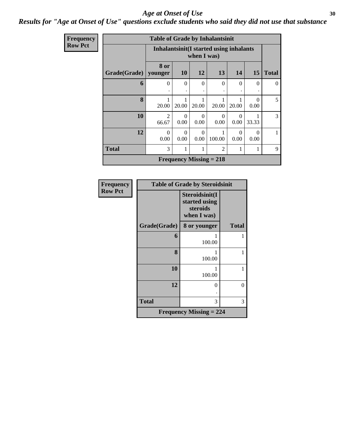#### *Results for "Age at Onset of Use" questions exclude students who said they did not use that substance*

| Frequency      |                        | <b>Table of Grade by Inhalantsinit</b> |                                                        |                  |                                |                  |                  |              |  |  |
|----------------|------------------------|----------------------------------------|--------------------------------------------------------|------------------|--------------------------------|------------------|------------------|--------------|--|--|
| <b>Row Pct</b> |                        |                                        | Inhalantsinit(I started using inhalants<br>when I was) |                  |                                |                  |                  |              |  |  |
|                | Grade(Grade)   younger | 8 or                                   | <b>10</b>                                              | 12               | 13                             | 14               | 15               | <b>Total</b> |  |  |
|                | 6                      | $\Omega$                               | $\Omega$                                               | $\Omega$         | $\Omega$                       | $\Omega$         | $\Omega$         | $\Omega$     |  |  |
|                | 8                      | 20.00                                  | 20.00                                                  | 20.00            | 20.00                          | 20.00            | $\Omega$<br>0.00 | 5            |  |  |
|                | 10                     | $\overline{2}$<br>66.67                | $\Omega$<br>0.00                                       | $\Omega$<br>0.00 | $\Omega$<br>0.00               | $\Omega$<br>0.00 | 33.33            | 3            |  |  |
|                | 12                     | $\Omega$<br>0.00                       | $\theta$<br>0.00                                       | $\Omega$<br>0.00 | 100.00                         | $\Omega$<br>0.00 | $\Omega$<br>0.00 |              |  |  |
|                | <b>Total</b>           | 3                                      |                                                        |                  | $\overline{2}$                 |                  |                  | 9            |  |  |
|                |                        |                                        |                                                        |                  | <b>Frequency Missing = 218</b> |                  |                  |              |  |  |

| Frequency      |              | <b>Table of Grade by Steroidsinit</b>                      |              |
|----------------|--------------|------------------------------------------------------------|--------------|
| <b>Row Pct</b> |              | Steroidsinit(I<br>started using<br>steroids<br>when I was) |              |
|                | Grade(Grade) | 8 or younger                                               | <b>Total</b> |
|                | 6            | 100.00                                                     |              |
|                | 8            | 100.00                                                     |              |
|                | 10           | 100.00                                                     | 1            |
|                | 12           | 0                                                          | 0            |
|                | <b>Total</b> | 3                                                          | 3            |
|                |              | <b>Frequency Missing = 224</b>                             |              |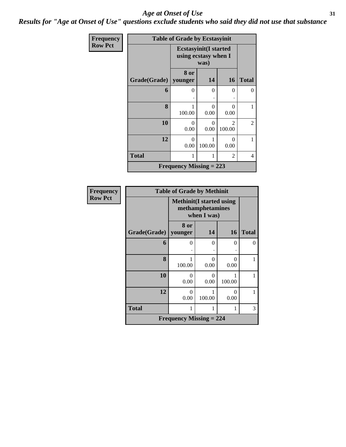*Results for "Age at Onset of Use" questions exclude students who said they did not use that substance*

| Frequency      |                     | <b>Table of Grade by Ecstasyinit</b> |                                                              |                          |              |  |  |
|----------------|---------------------|--------------------------------------|--------------------------------------------------------------|--------------------------|--------------|--|--|
| <b>Row Pct</b> |                     |                                      | <b>Ecstasyinit(I started</b><br>using ecstasy when I<br>was) |                          |              |  |  |
|                | <b>Grade(Grade)</b> | 8 or<br>younger                      | 14                                                           | <b>16</b>                | <b>Total</b> |  |  |
|                | 6                   | 0<br>۰                               | $\Omega$                                                     | 0                        | 0            |  |  |
|                | 8                   | 100.00                               | 0<br>0.00                                                    | $\theta$<br>0.00         | 1            |  |  |
|                | 10                  | 0<br>0.00                            | 0<br>0.00                                                    | $\mathfrak{D}$<br>100.00 | 2            |  |  |
|                | 12                  | $\Omega$<br>0.00                     | 100.00                                                       | $\Omega$<br>0.00         | 1            |  |  |
|                | <b>Total</b>        | $\overline{2}$                       |                                                              |                          |              |  |  |
|                |                     | <b>Frequency Missing = 223</b>       |                                                              |                          |              |  |  |

| <b>Frequency</b> |              | <b>Table of Grade by Methinit</b>                                   |                           |           |              |  |  |  |  |  |
|------------------|--------------|---------------------------------------------------------------------|---------------------------|-----------|--------------|--|--|--|--|--|
| <b>Row Pct</b>   |              | <b>Methinit</b> (I started using<br>methamphetamines<br>when I was) |                           |           |              |  |  |  |  |  |
|                  | Grade(Grade) | 8 or<br>  younger                                                   | 14                        | <b>16</b> | <b>Total</b> |  |  |  |  |  |
|                  | 6            | 0                                                                   | $\Omega$                  | $\Omega$  | 0            |  |  |  |  |  |
|                  | 8            | 100.00                                                              | $\mathbf{\Omega}$<br>0.00 | 0<br>0.00 |              |  |  |  |  |  |
|                  | 10           | 0<br>0.00                                                           | $\Omega$<br>0.00          | 100.00    | 1            |  |  |  |  |  |
|                  | 12           | $\mathbf{\Omega}$<br>0.00                                           | 100.00                    | 0<br>0.00 | 1            |  |  |  |  |  |
|                  | <b>Total</b> | 1                                                                   |                           | 1         | 3            |  |  |  |  |  |
|                  |              | <b>Frequency Missing = 224</b>                                      |                           |           |              |  |  |  |  |  |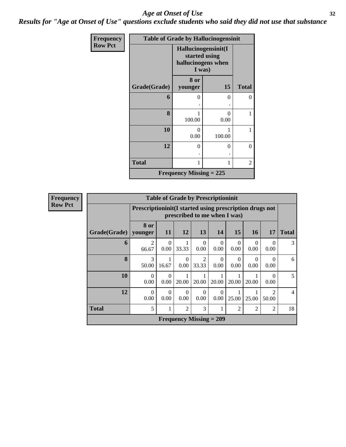*Results for "Age at Onset of Use" questions exclude students who said they did not use that substance*

| Frequency      |                     | <b>Table of Grade by Hallucinogensinit</b>                           |             |              |
|----------------|---------------------|----------------------------------------------------------------------|-------------|--------------|
| <b>Row Pct</b> |                     | Hallucinogensinit(I<br>started using<br>hallucinogens when<br>I was) |             |              |
|                | <b>Grade(Grade)</b> | 8 or<br>younger                                                      | 15          | <b>Total</b> |
|                | 6                   | 0                                                                    | 0           | 0            |
|                | 8                   | 1<br>100.00                                                          | 0<br>0.00   | 1            |
|                | 10                  | $\theta$<br>0.00                                                     | 1<br>100.00 | 1            |
|                | 12                  | $\theta$                                                             | $\theta$    | $\theta$     |
|                | <b>Total</b>        | 1                                                                    | 1           | 2            |
|                |                     | <b>Frequency Missing = 225</b>                                       |             |              |

| <b>Frequency</b> |              | <b>Table of Grade by Prescriptioninit</b> |                                                                                            |                  |                                |                  |                  |                  |                        |                |
|------------------|--------------|-------------------------------------------|--------------------------------------------------------------------------------------------|------------------|--------------------------------|------------------|------------------|------------------|------------------------|----------------|
| <b>Row Pct</b>   |              |                                           | Prescription in it (I started using prescription drugs not<br>prescribed to me when I was) |                  |                                |                  |                  |                  |                        |                |
|                  | Grade(Grade) | 8 or<br>younger                           | 11                                                                                         | <b>12</b>        | 13                             | 14               | 15               | <b>16</b>        | 17                     | <b>Total</b>   |
|                  | 6            | $\mathfrak{D}$<br>66.67                   | $\Omega$<br>0.00                                                                           | 33.33            | $\Omega$<br>0.00               | $\Omega$<br>0.00 | $\Omega$<br>0.00 | $\Omega$<br>0.00 | 0<br>0.00              | 3              |
|                  | 8            | 3<br>50.00                                | 16.67                                                                                      | $\Omega$<br>0.00 | 2<br>33.33                     | $\Omega$<br>0.00 | $\Omega$<br>0.00 | $\theta$<br>0.00 | 0.00                   | 6              |
|                  | 10           | $\Omega$<br>0.00                          | $\theta$<br>0.00                                                                           | 20.00            | 20.00                          | 20.00            | 20.00            | 20.00            | 0.00                   | 5              |
|                  | 12           | $\Omega$<br>0.00                          | $\Omega$<br>0.00                                                                           | 0<br>0.00        | $\Omega$<br>$0.00\,$           | $\Omega$<br>0.00 | 25.00            | 25.00            | $\mathcal{D}$<br>50.00 | $\overline{4}$ |
|                  | <b>Total</b> | 5                                         | 1                                                                                          | $\overline{c}$   | 3                              |                  | $\overline{2}$   | $\overline{2}$   | $\overline{2}$         | 18             |
|                  |              |                                           |                                                                                            |                  | <b>Frequency Missing = 209</b> |                  |                  |                  |                        |                |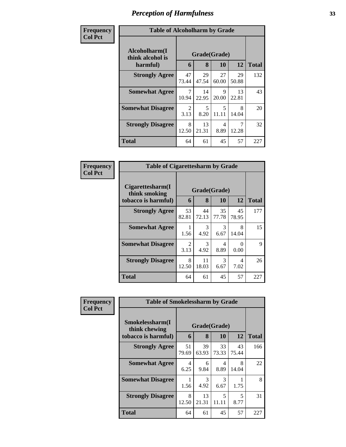| Frequency<br><b>Col Pct</b> | <b>Table of Alcoholharm by Grade</b>          |                                     |                   |                                   |             |              |  |
|-----------------------------|-----------------------------------------------|-------------------------------------|-------------------|-----------------------------------|-------------|--------------|--|
|                             | Alcoholharm(I<br>think alcohol is<br>harmful) | 6                                   | Grade(Grade)<br>8 | <b>10</b>                         | 12          | <b>Total</b> |  |
|                             | <b>Strongly Agree</b>                         | 47<br>73.44                         | 29<br>47.54       | 27<br>60.00                       | 29<br>50.88 | 132          |  |
|                             | <b>Somewhat Agree</b>                         | 7<br>10.94                          | 14<br>22.95       | 9<br>20.00                        | 13<br>22.81 | 43           |  |
|                             | <b>Somewhat Disagree</b>                      | $\mathcal{D}_{\mathcal{L}}$<br>3.13 | 5<br>8.20         | $\overline{\mathcal{L}}$<br>11.11 | 8<br>14.04  | 20           |  |
|                             | <b>Strongly Disagree</b>                      | 8<br>12.50                          | 13<br>21.31       | 4<br>8.89                         | 7<br>12.28  | 32           |  |
|                             | <b>Total</b>                                  | 64                                  | 61                | 45                                | 57          | 227          |  |

| Frequency      | <b>Table of Cigarettesharm by Grade</b>                  |                        |             |                    |             |              |  |
|----------------|----------------------------------------------------------|------------------------|-------------|--------------------|-------------|--------------|--|
| <b>Col Pct</b> | Cigarettesharm(I<br>think smoking<br>tobacco is harmful) | 6                      | 8           | Grade(Grade)<br>10 | 12          | <b>Total</b> |  |
|                | <b>Strongly Agree</b>                                    | 53<br>82.81            | 44<br>72.13 | 35<br>77.78        | 45<br>78.95 | 177          |  |
|                | <b>Somewhat Agree</b>                                    | 1.56                   | 3<br>4.92   | 3<br>6.67          | 8<br>14.04  | 15           |  |
|                | <b>Somewhat Disagree</b>                                 | $\mathfrak{D}$<br>3.13 | 3<br>4.92   | 4<br>8.89          | ∩<br>0.00   | 9            |  |
|                | <b>Strongly Disagree</b>                                 | 8<br>12.50             | 11<br>18.03 | 3<br>6.67          | 4<br>7.02   | 26           |  |
|                | Total                                                    | 64                     | 61          | 45                 | 57          | 227          |  |

| Frequency      | <b>Table of Smokelessharm by Grade</b> |              |             |             |             |              |  |
|----------------|----------------------------------------|--------------|-------------|-------------|-------------|--------------|--|
| <b>Col Pct</b> | Smokelessharm(I<br>think chewing       | Grade(Grade) |             |             |             |              |  |
|                | tobacco is harmful)                    | 6            | 8           | 10          | 12          | <b>Total</b> |  |
|                | <b>Strongly Agree</b>                  | 51<br>79.69  | 39<br>63.93 | 33<br>73.33 | 43<br>75.44 | 166          |  |
|                | <b>Somewhat Agree</b>                  | 4<br>6.25    | 6<br>9.84   | 4<br>8.89   | 8<br>14.04  | 22           |  |
|                | <b>Somewhat Disagree</b>               | 1.56         | 3<br>4.92   | 3<br>6.67   | 1.75        | 8            |  |
|                | <b>Strongly Disagree</b>               | 8<br>12.50   | 13<br>21.31 | 5<br>11.11  | 5<br>8.77   | 31           |  |
|                | <b>Total</b>                           | 64           | 61          | 45          | 57          | 227          |  |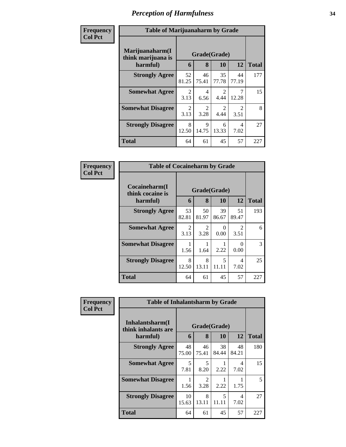| Frequency      | <b>Table of Marijuanaharm by Grade</b>            |                        |                        |                        |                        |              |  |
|----------------|---------------------------------------------------|------------------------|------------------------|------------------------|------------------------|--------------|--|
| <b>Col Pct</b> | Marijuanaharm(I<br>think marijuana is<br>harmful) | 6                      | Grade(Grade)<br>8      | 10                     | 12                     | <b>Total</b> |  |
|                | <b>Strongly Agree</b>                             | 52<br>81.25            | 46<br>75.41            | 35<br>77.78            | 44<br>77.19            | 177          |  |
|                | <b>Somewhat Agree</b>                             | 2<br>3.13              | 4<br>6.56              | $\mathfrak{D}$<br>4.44 | 7<br>12.28             | 15           |  |
|                | <b>Somewhat Disagree</b>                          | $\mathfrak{D}$<br>3.13 | $\overline{2}$<br>3.28 | $\mathfrak{D}$<br>4.44 | $\mathfrak{D}$<br>3.51 | 8            |  |
|                | <b>Strongly Disagree</b>                          | 8<br>12.50             | $\mathbf Q$<br>14.75   | 6<br>13.33             | 4<br>7.02              | 27           |  |
|                | <b>Total</b>                                      | 64                     | 61                     | 45                     | 57                     | 227          |  |

| Frequency      | <b>Table of Cocaineharm by Grade</b>          |                        |                        |             |                                     |               |
|----------------|-----------------------------------------------|------------------------|------------------------|-------------|-------------------------------------|---------------|
| <b>Col Pct</b> | Cocaineharm(I<br>think cocaine is<br>harmful) | 6                      | Grade(Grade)<br>8      | 10          | 12                                  | <b>Total</b>  |
|                | <b>Strongly Agree</b>                         | 53<br>82.81            | 50<br>81.97            | 39<br>86.67 | 51<br>89.47                         | 193           |
|                | <b>Somewhat Agree</b>                         | $\mathfrak{D}$<br>3.13 | $\mathfrak{D}$<br>3.28 | 0<br>0.00   | $\mathcal{D}_{\mathcal{A}}$<br>3.51 | 6             |
|                | <b>Somewhat Disagree</b>                      | 1.56                   | 1.64                   | 2.22        | 0.00                                | $\mathcal{R}$ |
|                | <b>Strongly Disagree</b>                      | 8<br>12.50             | 8<br>13.11             | 5<br>11.11  | 4<br>7.02                           | 25            |
|                | Total                                         | 64                     | 61                     | 45          | 57                                  | 227           |

| Frequency      | <b>Table of Inhalantsharm by Grade</b>                  |             |                       |             |             |              |  |
|----------------|---------------------------------------------------------|-------------|-----------------------|-------------|-------------|--------------|--|
| <b>Col Pct</b> | Inhalantsharm(I)<br>Grade(Grade)<br>think inhalants are |             |                       |             |             |              |  |
|                | harmful)                                                | 6           | 8                     | 10          | 12          | <b>Total</b> |  |
|                | <b>Strongly Agree</b>                                   | 48<br>75.00 | 46<br>75.41           | 38<br>84.44 | 48<br>84.21 | 180          |  |
|                | <b>Somewhat Agree</b>                                   | 5<br>7.81   | 5<br>8.20             | 2.22        | 4<br>7.02   | 15           |  |
|                | <b>Somewhat Disagree</b>                                | 1.56        | $\mathcal{L}$<br>3.28 | 2.22        | 1.75        | 5            |  |
|                | <b>Strongly Disagree</b>                                | 10<br>15.63 | 8<br>13.11            | 5<br>11.11  | 4<br>7.02   | 27           |  |
|                | <b>Total</b>                                            | 64          | 61                    | 45          | 57          | 227          |  |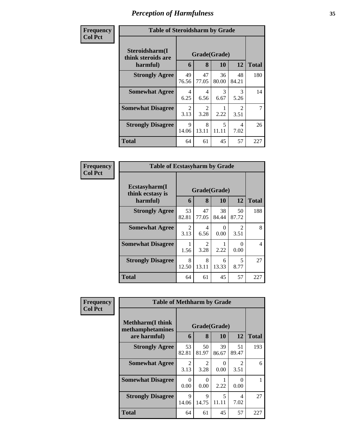| Frequency      | <b>Table of Steroidsharm by Grade</b>            |                        |                        |                           |                                     |                |  |  |
|----------------|--------------------------------------------------|------------------------|------------------------|---------------------------|-------------------------------------|----------------|--|--|
| <b>Col Pct</b> | Steroidsharm(I<br>think steroids are<br>harmful) | 6                      | 8                      | Grade(Grade)<br><b>10</b> | 12                                  | <b>Total</b>   |  |  |
|                | <b>Strongly Agree</b>                            | 49<br>76.56            | 47<br>77.05            | 36<br>80.00               | 48<br>84.21                         | 180            |  |  |
|                | <b>Somewhat Agree</b>                            | 4<br>6.25              | 4<br>6.56              | 3<br>6.67                 | $\mathcal{R}$<br>5.26               | 14             |  |  |
|                | <b>Somewhat Disagree</b>                         | $\mathfrak{D}$<br>3.13 | $\overline{2}$<br>3.28 | 2.22                      | $\mathcal{D}_{\mathcal{L}}$<br>3.51 | $\overline{7}$ |  |  |
|                | <b>Strongly Disagree</b>                         | $\mathbf Q$<br>14.06   | 8<br>13.11             | 5<br>11.11                | 4<br>7.02                           | 26             |  |  |
|                | Total                                            | 64                     | 61                     | 45                        | 57                                  | 227            |  |  |

| Frequency      | <b>Table of Ecstasyharm by Grade</b>                |                                     |             |                    |                                     |              |  |
|----------------|-----------------------------------------------------|-------------------------------------|-------------|--------------------|-------------------------------------|--------------|--|
| <b>Col Pct</b> | $E$ cstasyharm $(I$<br>think ecstasy is<br>harmful) | 6                                   | 8           | Grade(Grade)<br>10 | 12                                  | <b>Total</b> |  |
|                | <b>Strongly Agree</b>                               | 53<br>82.81                         | 47<br>77.05 | 38<br>84.44        | 50<br>87.72                         | 188          |  |
|                | <b>Somewhat Agree</b>                               | $\mathcal{D}_{\mathcal{L}}$<br>3.13 | 4<br>6.56   | 0<br>0.00          | $\mathcal{D}_{\mathcal{L}}$<br>3.51 | 8            |  |
|                | <b>Somewhat Disagree</b>                            | 1.56                                | 2<br>3.28   | 2.22               | 0<br>0.00                           | 4            |  |
|                | <b>Strongly Disagree</b>                            | 8<br>12.50                          | 8<br>13.11  | 6<br>13.33         | 5<br>8.77                           | 27           |  |
|                | <b>Total</b>                                        | 64                                  | 61          | 45                 | 57                                  | 227          |  |

| Frequency      | <b>Table of Methharm by Grade</b>            |                        |             |             |                                     |              |  |
|----------------|----------------------------------------------|------------------------|-------------|-------------|-------------------------------------|--------------|--|
| <b>Col Pct</b> | <b>Methharm</b> (I think<br>methamphetamines | Grade(Grade)           |             |             |                                     |              |  |
|                | are harmful)                                 | 6                      | 8           | 10          | 12                                  | <b>Total</b> |  |
|                | <b>Strongly Agree</b>                        | 53<br>82.81            | 50<br>81.97 | 39<br>86.67 | 51<br>89.47                         | 193          |  |
|                | <b>Somewhat Agree</b>                        | $\mathfrak{D}$<br>3.13 | 2<br>3.28   | 0<br>0.00   | $\mathcal{D}_{\mathcal{L}}$<br>3.51 | 6            |  |
|                | <b>Somewhat Disagree</b>                     | 0<br>0.00              | 0<br>0.00   | 2.22        | 0.00                                |              |  |
|                | <b>Strongly Disagree</b>                     | 9<br>14.06             | 9<br>14.75  | 5<br>11.11  | $\overline{4}$<br>7.02              | 27           |  |
|                | <b>Total</b>                                 | 64                     | 61          | 45          | 57                                  | 227          |  |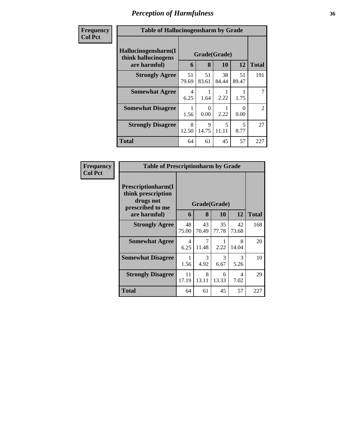| Frequency<br><b>Col Pct</b> | <b>Table of Hallucinogensharm by Grade</b>                                                       |             |             |             |             |                |  |
|-----------------------------|--------------------------------------------------------------------------------------------------|-------------|-------------|-------------|-------------|----------------|--|
|                             | Hallucinogensharm(I<br>Grade(Grade)<br>think hallucinogens<br>12<br>are harmful)<br>10<br>8<br>6 |             |             |             |             | <b>Total</b>   |  |
|                             | <b>Strongly Agree</b>                                                                            | 51<br>79.69 | 51<br>83.61 | 38<br>84.44 | 51<br>89.47 | 191            |  |
|                             | <b>Somewhat Agree</b>                                                                            | 4<br>6.25   | 1.64        | 2.22        | 1.75        |                |  |
|                             | <b>Somewhat Disagree</b>                                                                         | 1.56        | ∩<br>0.00   | 2.22        | ∩<br>0.00   | $\overline{2}$ |  |
|                             | <b>Strongly Disagree</b>                                                                         | 8<br>12.50  | 9<br>14.75  | 5<br>11.11  | 5<br>8.77   | 27             |  |
|                             | <b>Total</b>                                                                                     | 64          | 61          | 45          | 57          | 227            |  |

| Frequency      | <b>Table of Prescriptionharm by Grade</b>                                         |                        |              |             |                        |              |  |  |
|----------------|-----------------------------------------------------------------------------------|------------------------|--------------|-------------|------------------------|--------------|--|--|
| <b>Col Pct</b> | <b>Prescriptionharm(I)</b><br>think prescription<br>drugs not<br>prescribed to me |                        | Grade(Grade) |             |                        |              |  |  |
|                | are harmful)                                                                      | 6                      | 8            | <b>10</b>   | 12                     | <b>Total</b> |  |  |
|                | <b>Strongly Agree</b>                                                             | 48<br>75.00            | 43<br>70.49  | 35<br>77.78 | 42<br>73.68            | 168          |  |  |
|                | <b>Somewhat Agree</b>                                                             | $\overline{4}$<br>6.25 | 7<br>11.48   | 2.22        | 8<br>14.04             | 20           |  |  |
|                | <b>Somewhat Disagree</b>                                                          | 1<br>1.56              | 3<br>4.92    | 3<br>6.67   | $\mathcal{F}$<br>5.26  | 10           |  |  |
|                | <b>Strongly Disagree</b>                                                          | 11<br>17.19            | 8<br>13.11   | 6<br>13.33  | $\overline{4}$<br>7.02 | 29           |  |  |
|                | Total                                                                             | 64                     | 61           | 45          | 57                     | 227          |  |  |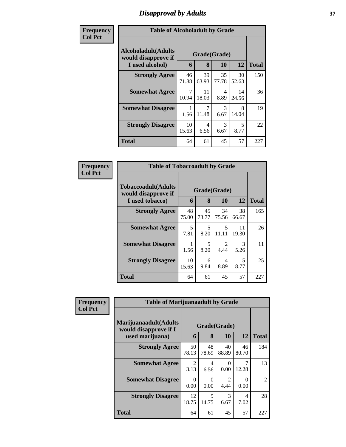# *Disapproval by Adults* **37**

| <b>Frequency</b> | <b>Table of Alcoholadult by Grade</b>                                 |             |                   |             |             |              |  |  |  |
|------------------|-----------------------------------------------------------------------|-------------|-------------------|-------------|-------------|--------------|--|--|--|
| <b>Col Pct</b>   | <b>Alcoholadult</b> (Adults<br>would disapprove if<br>I used alcohol) | 6           | Grade(Grade)<br>8 | 10          | 12          | <b>Total</b> |  |  |  |
|                  | <b>Strongly Agree</b>                                                 | 46<br>71.88 | 39<br>63.93       | 35<br>77.78 | 30<br>52.63 | 150          |  |  |  |
|                  | <b>Somewhat Agree</b>                                                 | 7<br>10.94  | 11<br>18.03       | 4<br>8.89   | 14<br>24.56 | 36           |  |  |  |
|                  | <b>Somewhat Disagree</b>                                              | 1.56        | 7<br>11.48        | 3<br>6.67   | 8<br>14.04  | 19           |  |  |  |
|                  | <b>Strongly Disagree</b>                                              | 10<br>15.63 | 4<br>6.56         | 3<br>6.67   | 5<br>8.77   | 22           |  |  |  |
|                  | <b>Total</b>                                                          | 64          | 61                | 45          | 57          | 227          |  |  |  |

| Frequency      | <b>Table of Tobaccoadult by Grade</b>                         |             |             |                                   |             |              |  |
|----------------|---------------------------------------------------------------|-------------|-------------|-----------------------------------|-------------|--------------|--|
| <b>Col Pct</b> | Tobaccoadult(Adults<br>would disapprove if<br>I used tobacco) | 6           | 8           | Grade(Grade)<br><b>10</b>         | 12          | <b>Total</b> |  |
|                | <b>Strongly Agree</b>                                         | 48<br>75.00 | 45<br>73.77 | 34<br>75.56                       | 38<br>66.67 | 165          |  |
|                | <b>Somewhat Agree</b>                                         | 5<br>7.81   | 5<br>8.20   | $\overline{\phantom{0}}$<br>11.11 | 11<br>19.30 | 26           |  |
|                | <b>Somewhat Disagree</b>                                      | 1.56        | 5<br>8.20   | $\mathfrak{D}$<br>4.44            | 3<br>5.26   | 11           |  |
|                | <b>Strongly Disagree</b>                                      | 10<br>15.63 | 6<br>9.84   | 4<br>8.89                         | 5<br>8.77   | 25           |  |
|                | <b>Total</b>                                                  | 64          | 61          | 45                                | 57          | 227          |  |

| Frequency      | <b>Table of Marijuanaadult by Grade</b>        |                        |             |                        |             |                |
|----------------|------------------------------------------------|------------------------|-------------|------------------------|-------------|----------------|
| <b>Col Pct</b> | Marijuanaadult(Adults<br>would disapprove if I | Grade(Grade)           |             |                        |             |                |
|                | used marijuana)                                | 6                      | 8           | 10                     | 12          | <b>Total</b>   |
|                | <b>Strongly Agree</b>                          | 50<br>78.13            | 48<br>78.69 | 40<br>88.89            | 46<br>80.70 | 184            |
|                | <b>Somewhat Agree</b>                          | $\mathfrak{D}$<br>3.13 | 4<br>6.56   | $\Omega$<br>0.00       | 12.28       | 13             |
|                | <b>Somewhat Disagree</b>                       | 0<br>0.00              | 0<br>0.00   | $\mathfrak{D}$<br>4.44 | 0<br>0.00   | $\overline{2}$ |
|                | <b>Strongly Disagree</b>                       | 12<br>18.75            | 9<br>14.75  | 3<br>6.67              | 4<br>7.02   | 28             |
|                | <b>Total</b>                                   | 64                     | 61          | 45                     | 57          | 227            |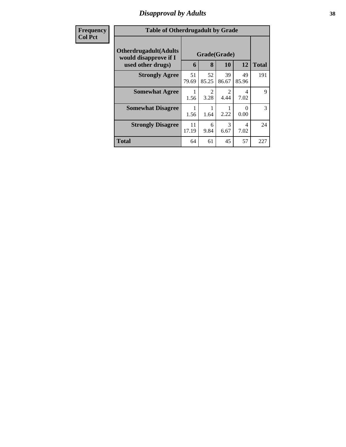# *Disapproval by Adults* **38**

| <b>Frequency</b> | <b>Table of Otherdrugadult by Grade</b>                |             |                        |                        |                                  |              |  |
|------------------|--------------------------------------------------------|-------------|------------------------|------------------------|----------------------------------|--------------|--|
| <b>Col Pct</b>   | <b>Otherdrugadult</b> (Adults<br>would disapprove if I |             | Grade(Grade)           |                        |                                  |              |  |
|                  | used other drugs)                                      | 6           | 8                      | 10                     | 12                               | <b>Total</b> |  |
|                  | <b>Strongly Agree</b>                                  | 51<br>79.69 | 52<br>85.25            | 39<br>86.67            | 49<br>85.96                      | 191          |  |
|                  | <b>Somewhat Agree</b>                                  | 1<br>1.56   | $\overline{2}$<br>3.28 | $\overline{c}$<br>4.44 | $\overline{\mathcal{A}}$<br>7.02 | 9            |  |
|                  | <b>Somewhat Disagree</b>                               | 1<br>1.56   | 1.64                   | 2.22                   | $\Omega$<br>0.00                 | 3            |  |
|                  | <b>Strongly Disagree</b>                               | 11<br>17.19 | 6<br>9.84              | 3<br>6.67              | 4<br>7.02                        | 24           |  |
|                  | <b>Total</b>                                           | 64          | 61                     | 45                     | 57                               | 227          |  |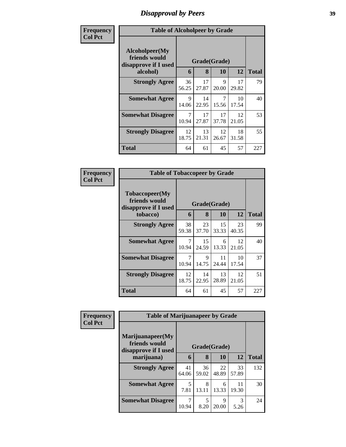# *Disapproval by Peers* **39**

| Frequency      | <b>Table of Alcoholpeer by Grade</b>                    |             |              |             |             |              |
|----------------|---------------------------------------------------------|-------------|--------------|-------------|-------------|--------------|
| <b>Col Pct</b> | Alcoholpeer(My<br>friends would<br>disapprove if I used |             | Grade(Grade) |             |             |              |
|                | alcohol)                                                | 6           | 8            | 10          | 12          | <b>Total</b> |
|                | <b>Strongly Agree</b>                                   | 36<br>56.25 | 17<br>27.87  | 9<br>20.00  | 17<br>29.82 | 79           |
|                | <b>Somewhat Agree</b>                                   | 9<br>14.06  | 14<br>22.95  | 7<br>15.56  | 10<br>17.54 | 40           |
|                | <b>Somewhat Disagree</b>                                | 7<br>10.94  | 17<br>27.87  | 17<br>37.78 | 12<br>21.05 | 53           |
|                | <b>Strongly Disagree</b>                                | 12<br>18.75 | 13<br>21.31  | 12<br>26.67 | 18<br>31.58 | 55           |
|                | Total                                                   | 64          | 61           | 45          | 57          | 227          |

| Frequency      | <b>Table of Tobaccopeer by Grade</b>                    |                 |              |             |             |              |
|----------------|---------------------------------------------------------|-----------------|--------------|-------------|-------------|--------------|
| <b>Col Pct</b> | Tobaccopeer(My<br>friends would<br>disapprove if I used |                 | Grade(Grade) |             |             |              |
|                | tobacco)                                                | 6               | 8            | 10          | 12          | <b>Total</b> |
|                | <b>Strongly Agree</b>                                   | 38<br>59.38     | 23<br>37.70  | 15<br>33.33 | 23<br>40.35 | 99           |
|                | <b>Somewhat Agree</b>                                   | $\tau$<br>10.94 | 15<br>24.59  | 6<br>13.33  | 12<br>21.05 | 40           |
|                | <b>Somewhat Disagree</b>                                | 7<br>10.94      | 9<br>14.75   | 11<br>24.44 | 10<br>17.54 | 37           |
|                | <b>Strongly Disagree</b>                                | 12<br>18.75     | 14<br>22.95  | 13<br>28.89 | 12<br>21.05 | 51           |
|                | Total                                                   | 64              | 61           | 45          | 57          | 227          |

| Frequency<br><b>Col Pct</b> | <b>Table of Marijuanapeer by Grade</b>                    |              |             |             |             |              |
|-----------------------------|-----------------------------------------------------------|--------------|-------------|-------------|-------------|--------------|
|                             | Marijuanapeer(My<br>friends would<br>disapprove if I used | Grade(Grade) |             |             |             |              |
|                             | marijuana)                                                | 6            | 8           | 10          | 12          | <b>Total</b> |
|                             | <b>Strongly Agree</b>                                     | 41<br>64.06  | 36<br>59.02 | 22<br>48.89 | 33<br>57.89 | 132          |
|                             | <b>Somewhat Agree</b>                                     | 5<br>7.81    | 8<br>13.11  | 6<br>13.33  | 11<br>19.30 | 30           |
|                             | <b>Somewhat Disagree</b>                                  | 10.94        | 5<br>8.20   | 9<br>20.00  | 3<br>5.26   | 24           |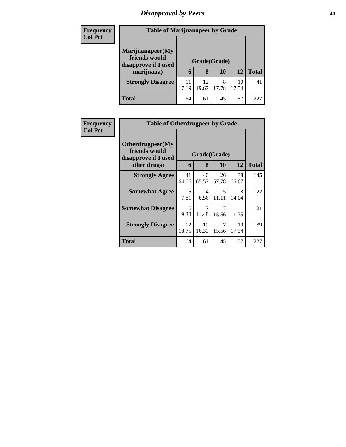# *Disapproval by Peers* **40**

| <b>Frequency</b> | <b>Table of Marijuanapeer by Grade</b>                    |             |              |            |             |              |  |  |
|------------------|-----------------------------------------------------------|-------------|--------------|------------|-------------|--------------|--|--|
| <b>Col Pct</b>   | Marijuanapeer(My<br>friends would<br>disapprove if I used |             | Grade(Grade) |            |             |              |  |  |
|                  | marijuana)                                                | 6           | 8            | 10         | 12          | <b>Total</b> |  |  |
|                  | <b>Strongly Disagree</b>                                  | 11<br>17.19 | 12<br>19.67  | 8<br>17.78 | 10<br>17.54 | 41           |  |  |
|                  | <b>Total</b>                                              | 64          | 61           | 45         | 57          | 227          |  |  |

| <b>Frequency</b> | <b>Table of Otherdrugpeer by Grade</b>                                    |             |                                  |                                   |             |              |
|------------------|---------------------------------------------------------------------------|-------------|----------------------------------|-----------------------------------|-------------|--------------|
| <b>Col Pct</b>   | Otherdrugpeer(My<br>friends would<br>disapprove if I used<br>other drugs) | 6           | 8                                | Grade(Grade)<br><b>10</b>         | 12          | <b>Total</b> |
|                  | <b>Strongly Agree</b>                                                     | 41<br>64.06 | 40<br>65.57                      | 26<br>57.78                       | 38<br>66.67 | 145          |
|                  | <b>Somewhat Agree</b>                                                     | 5<br>7.81   | $\overline{\mathcal{A}}$<br>6.56 | $\overline{\mathcal{L}}$<br>11.11 | 8<br>14.04  | 22           |
|                  | <b>Somewhat Disagree</b>                                                  | 6<br>9.38   | 11.48                            | 7<br>15.56                        | 1.75        | 21           |
|                  | <b>Strongly Disagree</b>                                                  | 12<br>18.75 | 10<br>16.39                      | 7<br>15.56                        | 10<br>17.54 | 39           |
|                  | Total                                                                     | 64          | 61                               | 45                                | 57          | 227          |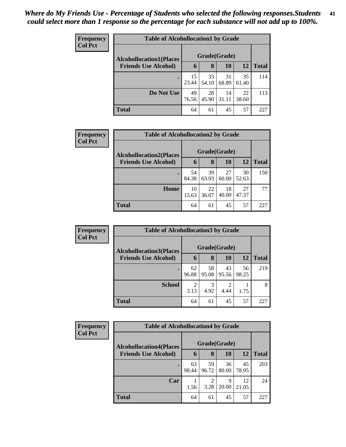| Frequency<br><b>Col Pct</b> | <b>Table of Alcohollocation1 by Grade</b> |              |                   |             |             |              |  |  |
|-----------------------------|-------------------------------------------|--------------|-------------------|-------------|-------------|--------------|--|--|
|                             | <b>Alcohollocation1(Places</b>            | Grade(Grade) |                   |             |             |              |  |  |
|                             | <b>Friends Use Alcohol)</b>               | 6            | 8                 | 10          | 12          | <b>Total</b> |  |  |
|                             |                                           | 15<br>23.44  | 33<br>54.10       | 31<br>68.89 | 35<br>61.40 | 114          |  |  |
|                             | Do Not Use                                | 49<br>76.56  | 28<br>45.90 31.11 | 14          | 22<br>38.60 | 113          |  |  |
|                             | <b>Total</b>                              | 64           | 61                | 45          | 57          | 227          |  |  |

| <b>Frequency</b> | <b>Table of Alcohollocation2 by Grade</b> |       |              |       |       |              |  |  |
|------------------|-------------------------------------------|-------|--------------|-------|-------|--------------|--|--|
| <b>Col Pct</b>   | <b>Alcohollocation2(Places</b>            |       | Grade(Grade) |       |       |              |  |  |
|                  | <b>Friends Use Alcohol)</b>               | 6     | 8            | 10    | 12    | <b>Total</b> |  |  |
|                  |                                           | 54    | 39           | 27    | 30    | 150          |  |  |
|                  |                                           | 84.38 | 63.93        | 60.00 | 52.63 |              |  |  |
|                  | Home                                      | 10    | 22           | 18    | 27    | 77           |  |  |
|                  |                                           | 15.63 | 36.07        | 40.00 | 47.37 |              |  |  |
|                  | <b>Total</b>                              | 64    | 61           | 45    | 57    | 227          |  |  |

| Frequency      | <b>Table of Alcohollocation 3 by Grade</b> |             |              |             |             |              |  |
|----------------|--------------------------------------------|-------------|--------------|-------------|-------------|--------------|--|
| <b>Col Pct</b> | <b>Alcohollocation3(Places</b>             |             | Grade(Grade) |             |             |              |  |
|                | <b>Friends Use Alcohol)</b>                | 6           | 8            | 10          | 12          | <b>Total</b> |  |
|                |                                            | 62<br>96.88 | 58<br>95.08  | 43<br>95.56 | 56<br>98.25 | 219          |  |
|                | <b>School</b>                              | ∍<br>3.13   | 3<br>4.92    | 4.44        | 1.75        | 8            |  |
|                | <b>Total</b>                               | 64          | 61           | 45          | 57          | 227          |  |

| Frequency      |                                | <b>Table of Alcohollocation4 by Grade</b> |                        |             |             |              |  |  |  |
|----------------|--------------------------------|-------------------------------------------|------------------------|-------------|-------------|--------------|--|--|--|
| <b>Col Pct</b> | <b>Alcohollocation4(Places</b> | Grade(Grade)                              |                        |             |             |              |  |  |  |
|                | <b>Friends Use Alcohol)</b>    | 6                                         | 8                      | 10          | 12          | <b>Total</b> |  |  |  |
|                |                                | 63<br>98.44                               | 59<br>96.72            | 36<br>80.00 | 45<br>78.95 | 203          |  |  |  |
|                | Car                            | 1.56                                      | $\overline{2}$<br>3.28 | 9<br>20.00  | 12<br>21.05 | 24           |  |  |  |
|                | <b>Total</b>                   | 64                                        | 61                     | 45          | 57          | 227          |  |  |  |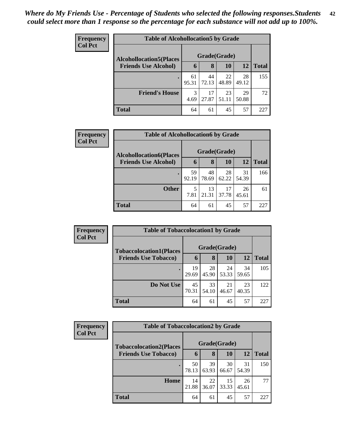| <b>Frequency</b> | <b>Table of Alcohollocation5 by Grade</b> |              |             |             |             |              |  |  |  |
|------------------|-------------------------------------------|--------------|-------------|-------------|-------------|--------------|--|--|--|
| <b>Col Pct</b>   | <b>Alcohollocation5(Places</b>            | Grade(Grade) |             |             |             |              |  |  |  |
|                  | <b>Friends Use Alcohol)</b>               | $\mathbf b$  | 8           | 10          | 12          | <b>Total</b> |  |  |  |
|                  |                                           | 61<br>95.31  | 44<br>72.13 | 22<br>48.89 | 28<br>49.12 | 155          |  |  |  |
|                  | <b>Friend's House</b>                     | 3<br>4.69    | 17<br>27.87 | 23<br>51.11 | 29<br>50.88 | 72           |  |  |  |
|                  | <b>Total</b>                              | 64           | 61          | 45          | 57          | 227          |  |  |  |

| Frequency      | <b>Table of Alcohollocation6 by Grade</b> |             |             |              |             |              |  |  |  |
|----------------|-------------------------------------------|-------------|-------------|--------------|-------------|--------------|--|--|--|
| <b>Col Pct</b> | <b>Alcohollocation6(Places</b>            |             |             | Grade(Grade) |             |              |  |  |  |
|                | <b>Friends Use Alcohol)</b>               | 6           | 8           | <b>10</b>    | <b>12</b>   | <b>Total</b> |  |  |  |
|                |                                           | 59<br>92.19 | 48<br>78.69 | 28<br>62.22  | 31<br>54.39 | 166          |  |  |  |
|                | <b>Other</b>                              | 5<br>7.81   | 13<br>21.31 | 17<br>37.78  | 26<br>45.61 | 61           |  |  |  |
|                | <b>Total</b>                              | 64          | 61          | 45           | 57          | 227          |  |  |  |

| Frequency      | <b>Table of Tobaccolocation1 by Grade</b> |              |             |             |             |              |  |  |  |
|----------------|-------------------------------------------|--------------|-------------|-------------|-------------|--------------|--|--|--|
| <b>Col Pct</b> | <b>Tobaccolocation1(Places</b>            | Grade(Grade) |             |             |             |              |  |  |  |
|                | <b>Friends Use Tobacco)</b>               | 6            | 8           | 10          | <b>12</b>   | <b>Total</b> |  |  |  |
|                |                                           | 19<br>29.69  | 28<br>45.90 | 24<br>53.33 | 34<br>59.65 | 105          |  |  |  |
|                | Do Not Use                                | 45<br>70.31  | 33<br>54.10 | 21<br>46.67 | 23<br>40.35 | 122          |  |  |  |
|                | <b>Total</b>                              | 64           | 61          | 45          | 57          | 227          |  |  |  |

| Frequency      |                                | <b>Table of Tobaccolocation2 by Grade</b> |             |             |             |              |  |  |  |  |
|----------------|--------------------------------|-------------------------------------------|-------------|-------------|-------------|--------------|--|--|--|--|
| <b>Col Pct</b> | <b>Tobaccolocation2(Places</b> | Grade(Grade)                              |             |             |             |              |  |  |  |  |
|                | <b>Friends Use Tobacco)</b>    | 6                                         | 8           | 10          | 12          | <b>Total</b> |  |  |  |  |
|                |                                | 50<br>78.13                               | 39<br>63.93 | 30<br>66.67 | 31<br>54.39 | 150          |  |  |  |  |
|                | Home                           | 14<br>21.88                               | 22<br>36.07 | 15<br>33.33 | 26<br>45.61 | 77           |  |  |  |  |
|                | <b>Total</b>                   | 64                                        | 61          | 45          | 57          | 227          |  |  |  |  |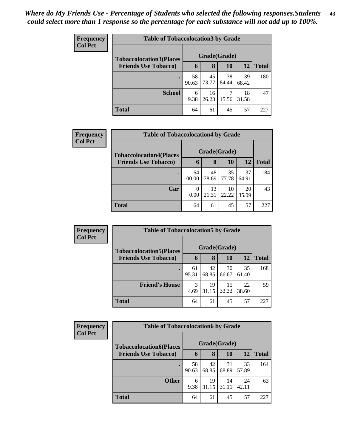| <b>Frequency</b><br><b>Col Pct</b> | <b>Table of Tobaccolocation 3 by Grade</b> |              |             |             |             |              |  |  |
|------------------------------------|--------------------------------------------|--------------|-------------|-------------|-------------|--------------|--|--|
|                                    | <b>Tobaccolocation3(Places</b>             | Grade(Grade) |             |             |             |              |  |  |
|                                    | <b>Friends Use Tobacco)</b>                | 6            | 8           | 10          | 12          | <b>Total</b> |  |  |
|                                    |                                            | 58<br>90.63  | 45<br>73.77 | 38<br>84.44 | 39<br>68.42 | 180          |  |  |
|                                    | <b>School</b>                              | 6<br>9.38    | 16<br>26.23 | 7<br>15.56  | 18<br>31.58 | 47           |  |  |
|                                    | <b>Total</b>                               | 64           | 61          | 45          | 57          | 227          |  |  |

| Frequency      | <b>Table of Tobaccolocation4 by Grade</b> |              |             |              |             |              |
|----------------|-------------------------------------------|--------------|-------------|--------------|-------------|--------------|
| <b>Col Pct</b> | <b>Tobaccolocation4(Places</b>            |              |             | Grade(Grade) |             |              |
|                | <b>Friends Use Tobacco)</b>               | 6            | 8           | <b>10</b>    | 12          | <b>Total</b> |
|                |                                           | 64<br>100.00 | 48<br>78.69 | 35<br>77.78  | 37<br>64.91 | 184          |
|                | Car                                       | 0<br>0.00    | 13<br>21.31 | 10<br>22.22  | 20<br>35.09 | 43           |
|                | <b>Total</b>                              | 64           | 61          | 45           | 57          | 227          |

| Frequency      | <b>Table of Tobaccolocation5 by Grade</b> |              |             |             |             |              |  |  |
|----------------|-------------------------------------------|--------------|-------------|-------------|-------------|--------------|--|--|
| <b>Col Pct</b> | <b>Tobaccolocation5(Places</b>            | Grade(Grade) |             |             |             |              |  |  |
|                | <b>Friends Use Tobacco)</b>               | 6            | 8           | 10          | 12          | <b>Total</b> |  |  |
|                |                                           | 61<br>95.31  | 42<br>68.85 | 30<br>66.67 | 35<br>61.40 | 168          |  |  |
|                | <b>Friend's House</b>                     | 3<br>4.69    | 19<br>31.15 | 15<br>33.33 | 22<br>38.60 | 59           |  |  |
|                | <b>Total</b>                              | 64           | 61          | 45          | 57          | 227          |  |  |

| <b>Frequency</b> |                                | <b>Table of Tobaccolocation6 by Grade</b> |             |             |             |              |  |  |  |
|------------------|--------------------------------|-------------------------------------------|-------------|-------------|-------------|--------------|--|--|--|
| <b>Col Pct</b>   | <b>Tobaccolocation6(Places</b> | Grade(Grade)                              |             |             |             |              |  |  |  |
|                  | <b>Friends Use Tobacco)</b>    | 6                                         | 8           | 10          | 12          | <b>Total</b> |  |  |  |
|                  |                                | 58<br>90.63                               | 42<br>68.85 | 31<br>68.89 | 33<br>57.89 | 164          |  |  |  |
|                  | <b>Other</b>                   | 6<br>9.38                                 | 19<br>31.15 | 14<br>31.11 | 24<br>42.11 | 63           |  |  |  |
|                  | <b>Total</b>                   | 64                                        | 61          | 45          | 57          | 227          |  |  |  |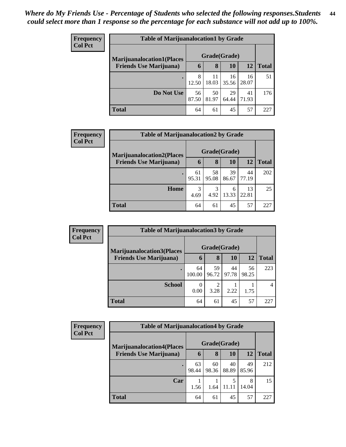| <b>Frequency</b> | <b>Table of Marijuanalocation1 by Grade</b> |             |              |             |             |              |
|------------------|---------------------------------------------|-------------|--------------|-------------|-------------|--------------|
| <b>Col Pct</b>   | <b>Marijuanalocation1(Places</b>            |             | Grade(Grade) |             |             |              |
|                  | <b>Friends Use Marijuana</b> )              | 6           | 8            | 10          | 12          | <b>Total</b> |
|                  |                                             | 8<br>12.50  | 11<br>18.03  | 16<br>35.56 | 16<br>28.07 | 51           |
|                  | Do Not Use                                  | 56<br>87.50 | 50<br>81.97  | 29<br>64.44 | 41<br>71.93 | 176          |
|                  | Total                                       | 64          | 61           | 45          | 57          | 227          |

| <b>Frequency</b> | <b>Table of Marijuanalocation2 by Grade</b> |             |              |             |             |              |  |  |  |
|------------------|---------------------------------------------|-------------|--------------|-------------|-------------|--------------|--|--|--|
| <b>Col Pct</b>   | <b>Marijuanalocation2(Places</b>            |             | Grade(Grade) |             |             |              |  |  |  |
|                  | <b>Friends Use Marijuana</b> )              | 6           | 8            | 10          | 12          | <b>Total</b> |  |  |  |
|                  | $\bullet$                                   | 61<br>95.31 | 58<br>95.08  | 39<br>86.67 | 44<br>77.19 | 202          |  |  |  |
|                  | Home                                        | 3<br>4.69   | 3<br>4.92    | 6<br>13.33  | 13<br>22.81 | 25           |  |  |  |
|                  | <b>Total</b>                                | 64          | 61           | 45          | 57          | 227          |  |  |  |

| Frequency      | <b>Table of Marijuanalocation3 by Grade</b> |              |             |             |             |                |  |  |  |
|----------------|---------------------------------------------|--------------|-------------|-------------|-------------|----------------|--|--|--|
| <b>Col Pct</b> | <b>Marijuanalocation3(Places</b>            | Grade(Grade) |             |             |             |                |  |  |  |
|                | <b>Friends Use Marijuana</b> )              | $\mathbf b$  | 8           | 10          | 12          | <b>Total</b>   |  |  |  |
|                |                                             | 64<br>100.00 | 59<br>96.72 | 44<br>97.78 | 56<br>98.25 | 223            |  |  |  |
|                | <b>School</b>                               | 0<br>0.00    | ◠<br>3.28   | 2.22        | 1.75        | $\overline{4}$ |  |  |  |
|                | <b>Total</b>                                | 64           | 61          | 45          | 57          | 227            |  |  |  |

| Frequency      |                                   | <b>Table of Marijuanalocation4 by Grade</b> |             |             |             |              |  |  |  |  |
|----------------|-----------------------------------|---------------------------------------------|-------------|-------------|-------------|--------------|--|--|--|--|
| <b>Col Pct</b> | <b>Marijuanalocation4(Places)</b> | Grade(Grade)                                |             |             |             |              |  |  |  |  |
|                | <b>Friends Use Marijuana</b> )    | 6                                           | 8           | <b>10</b>   | 12          | <b>Total</b> |  |  |  |  |
|                | $\bullet$                         | 63<br>98.44                                 | 60<br>98.36 | 40<br>88.89 | 49<br>85.96 | 212          |  |  |  |  |
|                | Car                               | 1.56                                        | 1.64        |             | 8<br>14.04  | 15           |  |  |  |  |
|                | <b>Total</b>                      | 64                                          | 61          | 45          | 57          | 227          |  |  |  |  |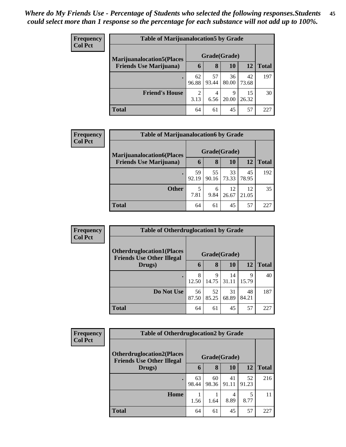| <b>Frequency</b> | <b>Table of Marijuanalocation5 by Grade</b> |                        |             |             |             |              |
|------------------|---------------------------------------------|------------------------|-------------|-------------|-------------|--------------|
| <b>Col Pct</b>   | <b>Marijuanalocation5</b> (Places           | Grade(Grade)           |             |             |             |              |
|                  | <b>Friends Use Marijuana</b> )              | 6                      | 8           | 10          | 12          | <b>Total</b> |
|                  |                                             | 62<br>96.88            | 57<br>93.44 | 36<br>80.00 | 42<br>73.68 | 197          |
|                  | <b>Friend's House</b>                       | $\mathfrak{D}$<br>3.13 | 4<br>6.56   | 9<br>20.00  | 15<br>26.32 | 30           |
|                  | <b>Total</b>                                | 64                     | 61          | 45          | 57          | 227          |

| Frequency      |                                  | <b>Table of Marijuanalocation6 by Grade</b> |             |             |             |              |  |  |  |  |
|----------------|----------------------------------|---------------------------------------------|-------------|-------------|-------------|--------------|--|--|--|--|
| <b>Col Pct</b> | <b>Marijuanalocation6(Places</b> | Grade(Grade)                                |             |             |             |              |  |  |  |  |
|                | <b>Friends Use Marijuana</b> )   | 6                                           | 8           | 10          | <b>12</b>   | <b>Total</b> |  |  |  |  |
|                | $\bullet$                        | 59<br>92.19                                 | 55<br>90.16 | 33<br>73.33 | 45<br>78.95 | 192          |  |  |  |  |
|                | <b>Other</b>                     | 5<br>7.81                                   | 6<br>9.84   | 12<br>26.67 | 12<br>21.05 | 35           |  |  |  |  |
|                | <b>Total</b>                     | 64                                          | 61          | 45          | 57          | 227          |  |  |  |  |

| Frequency      | <b>Table of Otherdruglocation1 by Grade</b>                          |              |             |             |             |              |
|----------------|----------------------------------------------------------------------|--------------|-------------|-------------|-------------|--------------|
| <b>Col Pct</b> | <b>Otherdruglocation1(Places</b><br><b>Friends Use Other Illegal</b> | Grade(Grade) |             |             |             |              |
|                | Drugs)                                                               | 6            | 8           | <b>10</b>   | 12          | <b>Total</b> |
|                |                                                                      | 8<br>12.50   | 9<br>14.75  | 14<br>31.11 | 9<br>15.79  | 40           |
|                | Do Not Use                                                           | 56<br>87.50  | 52<br>85.25 | 31<br>68.89 | 48<br>84.21 | 187          |
|                | <b>Total</b>                                                         | 64           | 61          | 45          | 57          | 227          |

| <b>Frequency</b> |                                                                       | <b>Table of Otherdruglocation2 by Grade</b> |             |             |             |              |  |
|------------------|-----------------------------------------------------------------------|---------------------------------------------|-------------|-------------|-------------|--------------|--|
| <b>Col Pct</b>   | <b>Otherdruglocation2(Places)</b><br><b>Friends Use Other Illegal</b> | Grade(Grade)                                |             |             |             |              |  |
|                  | Drugs)                                                                | 6                                           | 8           | 10          | 12          | <b>Total</b> |  |
|                  |                                                                       | 63<br>98.44                                 | 60<br>98.36 | 41<br>91.11 | 52<br>91.23 | 216          |  |
|                  | Home                                                                  | 1.56                                        | 1.64        | 8.89        | 8.77        | 11           |  |
|                  | <b>Total</b>                                                          | 64                                          | 61          | 45          | 57          | 227          |  |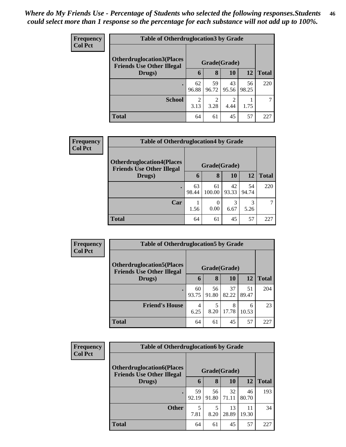| <b>Frequency</b> | <b>Table of Otherdruglocation3 by Grade</b>                          |              |             |                        |             |              |  |
|------------------|----------------------------------------------------------------------|--------------|-------------|------------------------|-------------|--------------|--|
| <b>Col Pct</b>   | <b>Otherdruglocation3(Places</b><br><b>Friends Use Other Illegal</b> | Grade(Grade) |             |                        |             |              |  |
|                  | Drugs)                                                               | 6            | 8           | 10                     | 12          | <b>Total</b> |  |
|                  |                                                                      | 62<br>96.88  | 59<br>96.72 | 43<br>95.56            | 56<br>98.25 | 220          |  |
|                  | <b>School</b>                                                        | 2<br>3.13    | ↑<br>3.28   | $\mathfrak{D}$<br>4.44 | 1.75        |              |  |
|                  | <b>Total</b>                                                         | 64           | 61          | 45                     | 57          | 227          |  |

| <b>Frequency</b> | <b>Table of Otherdruglocation4 by Grade</b>                           |              |                  |             |             |              |  |  |
|------------------|-----------------------------------------------------------------------|--------------|------------------|-------------|-------------|--------------|--|--|
| <b>Col Pct</b>   | <b>Otherdruglocation4(Places)</b><br><b>Friends Use Other Illegal</b> | Grade(Grade) |                  |             |             |              |  |  |
|                  | Drugs)                                                                | 6            | 8                | 10          | 12          | <b>Total</b> |  |  |
|                  | $\bullet$                                                             | 63<br>98.44  | 61<br>100.00     | 42<br>93.33 | 54<br>94.74 | 220          |  |  |
|                  | Car                                                                   | 1.56         | $\theta$<br>0.00 | 3<br>6.67   | 3<br>5.26   |              |  |  |
|                  | <b>Total</b>                                                          | 64           | 61               | 45          | 57          | 227          |  |  |

| Frequency      | <b>Table of Otherdruglocation5 by Grade</b>                           |              |             |             |             |              |  |
|----------------|-----------------------------------------------------------------------|--------------|-------------|-------------|-------------|--------------|--|
| <b>Col Pct</b> | <b>Otherdruglocation5(Places)</b><br><b>Friends Use Other Illegal</b> | Grade(Grade) |             |             |             |              |  |
|                | Drugs)                                                                | 6            | 8           | <b>10</b>   | 12          | <b>Total</b> |  |
|                | $\bullet$                                                             | 60<br>93.75  | 56<br>91.80 | 37<br>82.22 | 51<br>89.47 | 204          |  |
|                | <b>Friend's House</b>                                                 | 4<br>6.25    | 5<br>8.20   | 8<br>17.78  | 6<br>10.53  | 23           |  |
|                | <b>Total</b>                                                          | 64           | 61          | 45          | 57          | 227          |  |

| <b>Frequency</b> | <b>Table of Otherdruglocation6 by Grade</b>                          |              |             |             |             |              |  |
|------------------|----------------------------------------------------------------------|--------------|-------------|-------------|-------------|--------------|--|
| <b>Col Pct</b>   | <b>Otherdruglocation6(Places</b><br><b>Friends Use Other Illegal</b> | Grade(Grade) |             |             |             |              |  |
|                  | Drugs)                                                               | 6            | 8           | 10          | 12          | <b>Total</b> |  |
|                  | $\bullet$                                                            | 59<br>92.19  | 56<br>91.80 | 32<br>71.11 | 46<br>80.70 | 193          |  |
|                  | <b>Other</b>                                                         | 5<br>7.81    | 5<br>8.20   | 13<br>28.89 | 11<br>19.30 | 34           |  |
|                  | <b>Total</b>                                                         | 64           | 61          | 45          | 57          | 227          |  |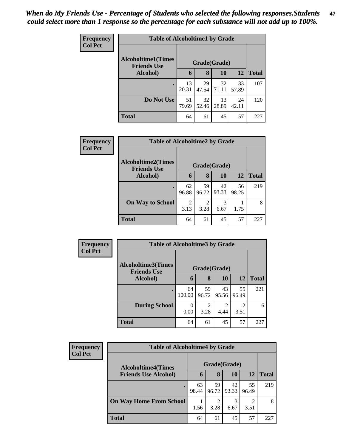| <b>Frequency</b> | <b>Table of Alcoholtime1 by Grade</b> |                                    |             |             |             |              |  |  |
|------------------|---------------------------------------|------------------------------------|-------------|-------------|-------------|--------------|--|--|
| <b>Col Pct</b>   | <b>Alcoholtime1(Times</b>             | Grade(Grade)<br><b>Friends Use</b> |             |             |             |              |  |  |
|                  | Alcohol)                              | 6                                  | 8           | 10          | 12          | <b>Total</b> |  |  |
|                  |                                       | 13<br>20.31                        | 29<br>47.54 | 32<br>71.11 | 33<br>57.89 | 107          |  |  |
|                  | Do Not Use                            | 51<br>79.69                        | 32<br>52.46 | 13<br>28.89 | 24<br>42.11 | 120          |  |  |
|                  | Total                                 | 64                                 | 61          | 45          | 57          | 227          |  |  |

| Frequency      | <b>Table of Alcoholtime2 by Grade</b>           |                        |                        |             |             |              |  |  |  |
|----------------|-------------------------------------------------|------------------------|------------------------|-------------|-------------|--------------|--|--|--|
| <b>Col Pct</b> | <b>Alcoholtime2(Times</b><br><b>Friends Use</b> | Grade(Grade)           |                        |             |             |              |  |  |  |
|                | Alcohol)                                        | 6                      | 8                      | 10          | 12          | <b>Total</b> |  |  |  |
|                |                                                 | 62<br>96.88            | 59<br>96.72            | 42<br>93.33 | 56<br>98.25 | 219          |  |  |  |
|                | <b>On Way to School</b>                         | $\overline{2}$<br>3.13 | $\mathfrak{D}$<br>3.28 | 3<br>6.67   | 1.75        | 8            |  |  |  |
|                | <b>Total</b>                                    | 64                     | 61                     | 45          | 57          | 227          |  |  |  |

| Frequency<br><b>Col Pct</b> | <b>Table of Alcoholtime3 by Grade</b>           |              |                        |                        |                        |              |
|-----------------------------|-------------------------------------------------|--------------|------------------------|------------------------|------------------------|--------------|
|                             | <b>Alcoholtime3(Times</b><br><b>Friends Use</b> |              |                        | Grade(Grade)           |                        |              |
|                             | Alcohol)                                        | 6            | 8                      | 10                     | 12                     | <b>Total</b> |
|                             | $\bullet$                                       | 64<br>100.00 | 59<br>96.72            | 43<br>95.56            | 55<br>96.49            | 221          |
|                             | <b>During School</b>                            | 0<br>0.00    | $\mathfrak{D}$<br>3.28 | $\overline{2}$<br>4.44 | $\mathfrak{D}$<br>3.51 | 6            |
|                             | <b>Total</b>                                    | 64           | 61                     | 45                     | 57                     | 227          |

| <b>Frequency</b><br><b>Col Pct</b> | <b>Table of Alcoholtime4 by Grade</b> |              |             |             |             |              |  |
|------------------------------------|---------------------------------------|--------------|-------------|-------------|-------------|--------------|--|
|                                    | <b>Alcoholtime4(Times</b>             | Grade(Grade) |             |             |             |              |  |
|                                    | <b>Friends Use Alcohol)</b>           | O            | 8           | 10          | 12          | <b>Total</b> |  |
|                                    |                                       | 63<br>98.44  | 59<br>96.72 | 42<br>93.33 | 55<br>96.49 | 219          |  |
|                                    | <b>On Way Home From School</b>        | 1.56         | 3.28        | 6.67        | 3.51        | 8            |  |
|                                    | <b>Total</b>                          | 64           | 61          | 45          | 57          | 227          |  |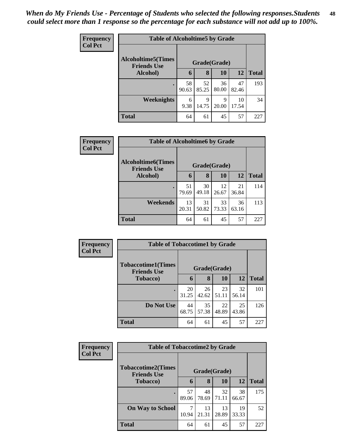| <b>Frequency</b> | <b>Table of Alcoholtime5 by Grade</b>                           |             |             |             |             |              |  |  |
|------------------|-----------------------------------------------------------------|-------------|-------------|-------------|-------------|--------------|--|--|
| <b>Col Pct</b>   | <b>Alcoholtime5(Times</b><br>Grade(Grade)<br><b>Friends Use</b> |             |             |             |             |              |  |  |
|                  | Alcohol)                                                        | 6           | 8           | <b>10</b>   | 12          | <b>Total</b> |  |  |
|                  |                                                                 | 58<br>90.63 | 52<br>85.25 | 36<br>80.00 | 47<br>82.46 | 193          |  |  |
|                  | <b>Weeknights</b>                                               | 6<br>9.38   | 9<br>14.75  | 9<br>20.00  | 10<br>17.54 | 34           |  |  |
|                  | <b>Total</b>                                                    | 64          | 61          | 45          | 57          | 227          |  |  |

| <b>Frequency</b> | <b>Table of Alcoholtime6 by Grade</b>           |             |              |             |             |              |
|------------------|-------------------------------------------------|-------------|--------------|-------------|-------------|--------------|
| <b>Col Pct</b>   | <b>Alcoholtime6(Times</b><br><b>Friends Use</b> |             | Grade(Grade) |             |             |              |
|                  | Alcohol)                                        | 6           | 8            | <b>10</b>   | 12          | <b>Total</b> |
|                  |                                                 | 51<br>79.69 | 30<br>49.18  | 12<br>26.67 | 21<br>36.84 | 114          |
|                  | Weekends                                        | 13<br>20.31 | 31<br>50.82  | 33<br>73.33 | 36<br>63.16 | 113          |
|                  | <b>Total</b>                                    | 64          | 61           | 45          | 57          | 227          |

| <b>Frequency</b> | <b>Table of Tobaccotime1 by Grade</b>           |              |                       |             |             |              |
|------------------|-------------------------------------------------|--------------|-----------------------|-------------|-------------|--------------|
| <b>Col Pct</b>   | <b>Tobaccotime1(Times</b><br><b>Friends Use</b> | Grade(Grade) |                       |             |             |              |
|                  | <b>Tobacco</b> )                                | 6            | 8                     | 10          | <b>12</b>   | <b>Total</b> |
|                  |                                                 | 20<br>31.25  | 26<br>$42.62$   51.11 | 23          | 32<br>56.14 | 101          |
|                  | Do Not Use                                      | 44<br>68.75  | 35<br>57.38           | 22<br>48.89 | 25<br>43.86 | 126          |
|                  | <b>Total</b>                                    | 64           | 61                    | 45          | 57          | 227          |

| Frequency      | <b>Table of Tobaccotime2 by Grade</b>                           |             |             |             |             |              |
|----------------|-----------------------------------------------------------------|-------------|-------------|-------------|-------------|--------------|
| <b>Col Pct</b> | <b>Tobaccotime2(Times</b><br>Grade(Grade)<br><b>Friends Use</b> |             |             |             |             |              |
|                | <b>Tobacco</b> )                                                | 6           | 8           | 10          | 12          | <b>Total</b> |
|                |                                                                 | 57<br>89.06 | 48<br>78.69 | 32<br>71.11 | 38<br>66.67 | 175          |
|                | <b>On Way to School</b>                                         | 7<br>10.94  | 13<br>21.31 | 13<br>28.89 | 19<br>33.33 | 52           |
|                | <b>Total</b>                                                    | 64          | 61          | 45          | 57          | 227          |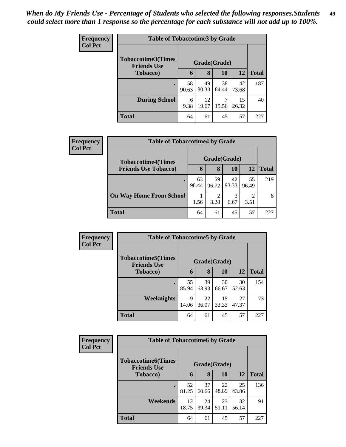| <b>Frequency</b> | <b>Table of Tobaccotime3 by Grade</b>                           |             |             |             |             |              |  |  |
|------------------|-----------------------------------------------------------------|-------------|-------------|-------------|-------------|--------------|--|--|
| <b>Col Pct</b>   | <b>Tobaccotime3(Times</b><br>Grade(Grade)<br><b>Friends Use</b> |             |             |             |             |              |  |  |
|                  | <b>Tobacco</b> )                                                | 6           | 8           | 10          | 12          | <b>Total</b> |  |  |
|                  |                                                                 | 58<br>90.63 | 49<br>80.33 | 38<br>84.44 | 42<br>73.68 | 187          |  |  |
|                  | <b>During School</b>                                            | 6<br>9.38   | 12<br>19.67 | 7<br>15.56  | 15<br>26.32 | 40           |  |  |
|                  | <b>Total</b>                                                    | 64          | 61          | 45          | 57          | 227          |  |  |

| Frequency<br><b>Col Pct</b> | <b>Table of Tobaccotime4 by Grade</b> |              |             |             |                        |              |  |  |
|-----------------------------|---------------------------------------|--------------|-------------|-------------|------------------------|--------------|--|--|
|                             | <b>Tobaccotime4(Times</b>             | Grade(Grade) |             |             |                        |              |  |  |
|                             | <b>Friends Use Tobacco)</b>           | h            | 8           | 10          | 12                     | <b>Total</b> |  |  |
|                             |                                       | 63<br>98.44  | 59<br>96.72 | 42<br>93.33 | 55<br>96.49            | 219          |  |  |
|                             | <b>On Way Home From School</b>        | 1.56         | 3.28        | 6.67        | $\mathfrak{D}$<br>3.51 | 8            |  |  |
|                             | <b>Total</b>                          | 64           | 61          | 45          | 57                     | 227          |  |  |

| <b>Frequency</b> | <b>Table of Tobaccotime5 by Grade</b>           |              |             |             |             |              |  |
|------------------|-------------------------------------------------|--------------|-------------|-------------|-------------|--------------|--|
| <b>Col Pct</b>   | <b>Tobaccotime5(Times</b><br><b>Friends Use</b> | Grade(Grade) |             |             |             |              |  |
|                  | <b>Tobacco</b> )                                | 6            | 8           | 10          | 12          | <b>Total</b> |  |
|                  |                                                 | 55<br>85.94  | 39<br>63.93 | 30<br>66.67 | 30<br>52.63 | 154          |  |
|                  | <b>Weeknights</b>                               | 9<br>14.06   | 22<br>36.07 | 15<br>33.33 | 27<br>47.37 | 73           |  |
|                  | <b>Total</b>                                    | 64           | 61          | 45          | 57          | 227          |  |

| Frequency      | <b>Table of Tobaccotime6 by Grade</b>           |              |             |             |             |              |  |
|----------------|-------------------------------------------------|--------------|-------------|-------------|-------------|--------------|--|
| <b>Col Pct</b> | <b>Tobaccotime6(Times</b><br><b>Friends Use</b> | Grade(Grade) |             |             |             |              |  |
|                | Tobacco)                                        | 6            | 8           | 10          | 12          | <b>Total</b> |  |
|                |                                                 | 52<br>81.25  | 37<br>60.66 | 22<br>48.89 | 25<br>43.86 | 136          |  |
|                | <b>Weekends</b>                                 | 12<br>18.75  | 24<br>39.34 | 23<br>51.11 | 32<br>56.14 | 91           |  |
|                | <b>Total</b>                                    | 64           | 61          | 45          | 57          | 227          |  |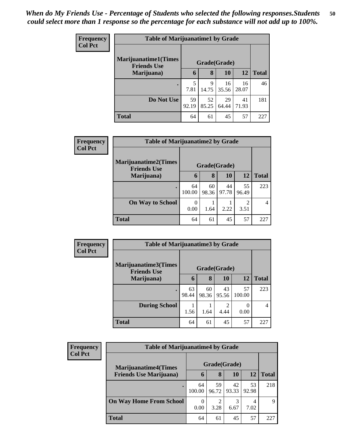| <b>Frequency</b> | <b>Table of Marijuanatime1 by Grade</b>            |             |              |             |             |              |  |
|------------------|----------------------------------------------------|-------------|--------------|-------------|-------------|--------------|--|
| <b>Col Pct</b>   | <b>Marijuanatime1</b> (Times<br><b>Friends Use</b> |             | Grade(Grade) |             |             |              |  |
|                  | Marijuana)                                         | 6           | 8            | 10          | 12          | <b>Total</b> |  |
|                  |                                                    | 5<br>7.81   | 9<br>14.75   | 16<br>35.56 | 16<br>28.07 | 46           |  |
|                  | Do Not Use                                         | 59<br>92.19 | 52<br>85.25  | 29<br>64.44 | 41<br>71.93 | 181          |  |
|                  | <b>Total</b>                                       | 64          | 61           | 45          | 57          | 227          |  |

| Frequency      | <b>Table of Marijuanatime2 by Grade</b>           |                  |             |             |                        |              |
|----------------|---------------------------------------------------|------------------|-------------|-------------|------------------------|--------------|
| <b>Col Pct</b> | <b>Marijuanatime2(Times</b><br><b>Friends Use</b> | Grade(Grade)     |             |             |                        |              |
|                | Marijuana)                                        | 6                | 8           | <b>10</b>   | <b>12</b>              | <b>Total</b> |
|                |                                                   | 64<br>100.00     | 60<br>98.36 | 44<br>97.78 | 55<br>96.49            | 223          |
|                | <b>On Way to School</b>                           | $\Omega$<br>0.00 | 1.64        | 2.22        | $\mathfrak{D}$<br>3.51 | 4            |
|                | <b>Total</b>                                      | 64               | 61          | 45          | 57                     | 227          |

| <b>Frequency</b> | <b>Table of Marijuanatime3 by Grade</b>            |              |             |                        |              |              |  |  |
|------------------|----------------------------------------------------|--------------|-------------|------------------------|--------------|--------------|--|--|
| <b>Col Pct</b>   | <b>Marijuanatime3</b> (Times<br><b>Friends Use</b> | Grade(Grade) |             |                        |              |              |  |  |
|                  | Marijuana)                                         | 6            | 8           | 10                     | 12           | <b>Total</b> |  |  |
|                  |                                                    | 63<br>98.44  | 60<br>98.36 | 43<br>95.56            | 57<br>100.00 | 223          |  |  |
|                  | <b>During School</b>                               | 1.56         | 1.64        | $\mathfrak{D}$<br>4.44 | 0.00         | 4            |  |  |
|                  | <b>Total</b>                                       | 64           | 61          | 45                     | 57           | 227          |  |  |

| <b>Frequency</b> | <b>Table of Marijuanatime4 by Grade</b> |              |              |             |                        |              |  |  |
|------------------|-----------------------------------------|--------------|--------------|-------------|------------------------|--------------|--|--|
| <b>Col Pct</b>   | <b>Marijuanatime4(Times</b>             |              | Grade(Grade) |             |                        |              |  |  |
|                  | <b>Friends Use Marijuana</b> )          | $\mathbf b$  | 8            | 10          | 12                     | <b>Total</b> |  |  |
|                  |                                         | 64<br>100.00 | 59<br>96.72  | 42<br>93.33 | 53<br>92.98            | 218          |  |  |
|                  | <b>On Way Home From School</b>          | 0.00         | 2<br>3.28    | 3<br>6.67   | $\overline{4}$<br>7.02 | 9            |  |  |
|                  | <b>Total</b>                            | 64           | 61           | 45          | 57                     | 227          |  |  |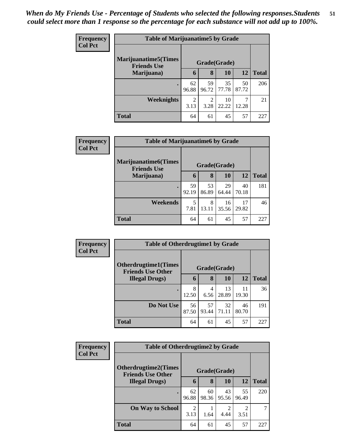| <b>Frequency</b> | <b>Table of Marijuanatime5 by Grade</b>            |                        |                        |             |             |              |  |
|------------------|----------------------------------------------------|------------------------|------------------------|-------------|-------------|--------------|--|
| <b>Col Pct</b>   | <b>Marijuanatime5</b> (Times<br><b>Friends Use</b> | Grade(Grade)           |                        |             |             |              |  |
|                  | Marijuana)                                         | 6                      | 8                      | 10          | 12          | <b>Total</b> |  |
|                  |                                                    | 62<br>96.88            | 59<br>96.72            | 35<br>77.78 | 50<br>87.72 | 206          |  |
|                  | <b>Weeknights</b>                                  | $\overline{2}$<br>3.13 | $\overline{2}$<br>3.28 | 10<br>22.22 | 12.28       | 21           |  |
|                  | <b>Total</b>                                       | 64                     | 61                     | 45          | 57          | 227          |  |

| Frequency      | <b>Table of Marijuanatime6 by Grade</b>           |              |             |             |             |              |  |
|----------------|---------------------------------------------------|--------------|-------------|-------------|-------------|--------------|--|
| <b>Col Pct</b> | <b>Marijuanatime6(Times</b><br><b>Friends Use</b> | Grade(Grade) |             |             |             |              |  |
|                | Marijuana)                                        | 6            | 8           | <b>10</b>   | 12          | <b>Total</b> |  |
|                |                                                   | 59<br>92.19  | 53<br>86.89 | 29<br>64.44 | 40<br>70.18 | 181          |  |
|                | Weekends                                          | 5<br>7.81    | 8<br>13.11  | 16<br>35.56 | 17<br>29.82 | 46           |  |
|                | <b>Total</b>                                      | 64           | 61          | 45          | 57          | 227          |  |

| Frequency      | <b>Table of Otherdrugtime1 by Grade</b>                 |              |             |             |             |              |  |
|----------------|---------------------------------------------------------|--------------|-------------|-------------|-------------|--------------|--|
| <b>Col Pct</b> | <b>Otherdrugtime1(Times</b><br><b>Friends Use Other</b> | Grade(Grade) |             |             |             |              |  |
|                | <b>Illegal Drugs)</b>                                   | 6            | 8           | 10          | <b>12</b>   | <b>Total</b> |  |
|                |                                                         | 8<br>12.50   | 4<br>6.56   | 13<br>28.89 | 11<br>19.30 | 36           |  |
|                | Do Not Use                                              | 56<br>87.50  | 57<br>93.44 | 32<br>71.11 | 46<br>80.70 | 191          |  |
|                | <b>Total</b>                                            | 64           | 61          | 45          | 57          | 227          |  |

| Frequency      | <b>Table of Otherdrugtime2 by Grade</b>                 |              |             |                        |             |              |
|----------------|---------------------------------------------------------|--------------|-------------|------------------------|-------------|--------------|
| <b>Col Pct</b> | <b>Otherdrugtime2(Times</b><br><b>Friends Use Other</b> | Grade(Grade) |             |                        |             |              |
|                | <b>Illegal Drugs</b> )                                  | 6            | 8           | <b>10</b>              | 12          | <b>Total</b> |
|                | $\bullet$                                               | 62<br>96.88  | 60<br>98.36 | 43<br>95.56            | 55<br>96.49 | 220          |
|                | <b>On Way to School</b>                                 | 2<br>3.13    | 1.64        | $\overline{2}$<br>4.44 | っ<br>3.51   |              |
|                | <b>Total</b>                                            | 64           | 61          | 45                     | 57          | 227          |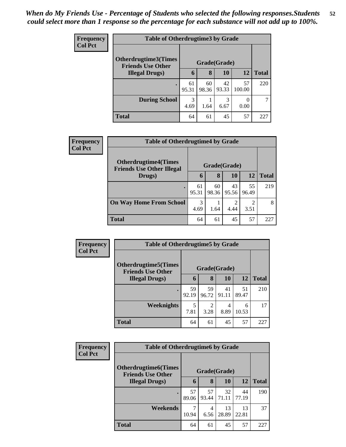| <b>Frequency</b> | <b>Table of Otherdrugtime3 by Grade</b>            |             |             |              |              |              |  |
|------------------|----------------------------------------------------|-------------|-------------|--------------|--------------|--------------|--|
| <b>Col Pct</b>   | <b>Otherdrugtime3(Times</b>                        |             |             | Grade(Grade) |              |              |  |
|                  | <b>Friends Use Other</b><br><b>Illegal Drugs</b> ) | 6           | 8           | 10           | 12           | <b>Total</b> |  |
|                  | $\bullet$                                          | 61<br>95.31 | 60<br>98.36 | 42<br>93.33  | 57<br>100.00 | 220          |  |
|                  | <b>During School</b>                               | 3<br>4.69   | 1.64        | 3<br>6.67    | 0<br>0.00    |              |  |
|                  | <b>Total</b>                                       | 64          | 61          | 45           | 57           | 227          |  |

| <b>Frequency</b> | <b>Table of Otherdrugtime4 by Grade</b>                         |              |             |             |                        |              |  |  |
|------------------|-----------------------------------------------------------------|--------------|-------------|-------------|------------------------|--------------|--|--|
| <b>Col Pct</b>   | <b>Otherdrugtime4(Times</b><br><b>Friends Use Other Illegal</b> | Grade(Grade) |             |             |                        |              |  |  |
|                  | Drugs)                                                          | 6            | 8           | 10          | 12                     | <b>Total</b> |  |  |
|                  |                                                                 | 61<br>95.31  | 60<br>98.36 | 43<br>95.56 | 55<br>96.49            | 219          |  |  |
|                  | <b>On Way Home From School</b>                                  | 3<br>4.69    | 1.64        | 2<br>4.44   | $\overline{c}$<br>3.51 | 8            |  |  |
|                  | <b>Total</b>                                                    | 64           | 61          | 45          | 57                     | 227          |  |  |

| Frequency      | <b>Table of Otherdrugtime5 by Grade</b>                  |              |                        |             |             |              |  |  |
|----------------|----------------------------------------------------------|--------------|------------------------|-------------|-------------|--------------|--|--|
| <b>Col Pct</b> | <b>Otherdrugtime5</b> (Times<br><b>Friends Use Other</b> | Grade(Grade) |                        |             |             |              |  |  |
|                | <b>Illegal Drugs</b> )                                   | 6            | 8                      | 10          | 12          | <b>Total</b> |  |  |
|                |                                                          | 59<br>92.19  | 59<br>96.72            | 41<br>91.11 | 51<br>89.47 | 210          |  |  |
|                | Weeknights                                               | 5<br>7.81    | $\mathfrak{D}$<br>3.28 | 4<br>8.89   | 6<br>10.53  | 17           |  |  |
|                | <b>Total</b>                                             | 64           | 61                     | 45          | 57          | 227          |  |  |

| Frequency      | <b>Table of Otherdrugtime6 by Grade</b>                  |              |             |             |             |              |  |
|----------------|----------------------------------------------------------|--------------|-------------|-------------|-------------|--------------|--|
| <b>Col Pct</b> | <b>Otherdrugtime6</b> (Times<br><b>Friends Use Other</b> | Grade(Grade) |             |             |             |              |  |
|                | <b>Illegal Drugs</b> )                                   | 6            | 8           | 10          | 12          | <b>Total</b> |  |
|                | $\bullet$                                                | 57<br>89.06  | 57<br>93.44 | 32<br>71.11 | 44<br>77.19 | 190          |  |
|                | Weekends                                                 | 7<br>10.94   | 4<br>6.56   | 13<br>28.89 | 13<br>22.81 | 37           |  |
|                | <b>Total</b>                                             | 64           | 61          | 45          | 57          | 227          |  |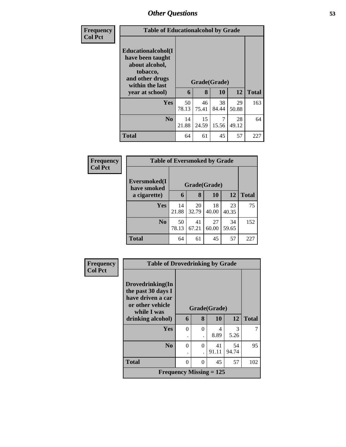| <b>Frequency</b> | <b>Table of Educationalcohol by Grade</b>                                                                                     |             |             |                    |             |              |
|------------------|-------------------------------------------------------------------------------------------------------------------------------|-------------|-------------|--------------------|-------------|--------------|
| <b>Col Pct</b>   | Educationalcohol(I<br>have been taught<br>about alcohol,<br>tobacco,<br>and other drugs<br>within the last<br>year at school) | 6           | 8           | Grade(Grade)<br>10 | 12          | <b>Total</b> |
|                  | Yes                                                                                                                           | 50<br>78.13 | 46<br>75.41 | 38<br>84.44        | 29<br>50.88 | 163          |
|                  | N <sub>0</sub>                                                                                                                | 14<br>21.88 | 15<br>24.59 | 7<br>15.56         | 28<br>49.12 | 64           |
|                  | <b>Total</b>                                                                                                                  | 64          | 61          | 45                 | 57          | 227          |

| Frequency      |                             | <b>Table of Eversmoked by Grade</b> |             |             |             |              |  |  |  |
|----------------|-----------------------------|-------------------------------------|-------------|-------------|-------------|--------------|--|--|--|
| <b>Col Pct</b> | Eversmoked(I<br>have smoked |                                     |             |             |             |              |  |  |  |
|                | a cigarette)                | 6                                   | 8           | 10          | 12          | <b>Total</b> |  |  |  |
|                | Yes                         | 14<br>21.88                         | 20<br>32.79 | 18<br>40.00 | 23<br>40.35 | 75           |  |  |  |
|                | N <sub>0</sub>              | 50<br>78.13                         | 41<br>67.21 | 27<br>60.00 | 34<br>59.65 | 152          |  |  |  |
|                | <b>Total</b>                | 64                                  | 61          | 45          | 57          | 227          |  |  |  |

| Frequency      | <b>Table of Drovedrinking by Grade</b>                                                         |          |          |              |           |              |
|----------------|------------------------------------------------------------------------------------------------|----------|----------|--------------|-----------|--------------|
| <b>Col Pct</b> | Drovedrinking(In<br>the past 30 days I<br>have driven a car<br>or other vehicle<br>while I was |          |          | Grade(Grade) |           |              |
|                | drinking alcohol)                                                                              | 6        | 8        | 10           | 12        | <b>Total</b> |
|                | Yes                                                                                            | 0        | $\Omega$ | 4<br>8.89    | 3<br>5.26 |              |
|                |                                                                                                |          |          |              |           |              |
|                | No                                                                                             | $\Omega$ | $\Omega$ | 41           | 54        | 95           |
|                |                                                                                                |          |          | 91.11        | 94.74     |              |
|                | <b>Total</b>                                                                                   | 0        | $\Omega$ | 45           | 57        | 102          |
|                | Frequency Missing $= 125$                                                                      |          |          |              |           |              |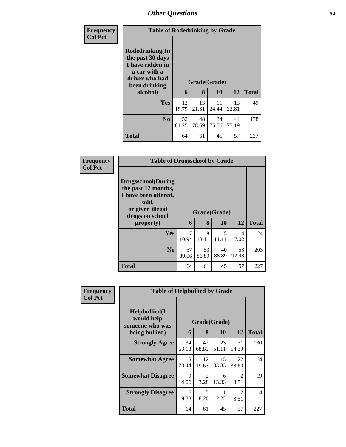| <b>Frequency</b> | <b>Table of Rodedrinking by Grade</b>                                                                                  |             |                   |             |             |              |  |
|------------------|------------------------------------------------------------------------------------------------------------------------|-------------|-------------------|-------------|-------------|--------------|--|
| <b>Col Pct</b>   | Rodedrinking(In<br>the past 30 days<br>I have ridden in<br>a car with a<br>driver who had<br>been drinking<br>alcohol) | 6           | Grade(Grade)<br>8 | 10          | 12          | <b>Total</b> |  |
|                  | Yes                                                                                                                    | 12<br>18.75 | 13<br>21.31       | 11<br>24.44 | 13<br>22.81 | 49           |  |
|                  | N <sub>0</sub>                                                                                                         | 52<br>81.25 | 48<br>78.69       | 34<br>75.56 | 44<br>77.19 | 178          |  |
|                  | <b>Total</b>                                                                                                           | 64          | 61                | 45          | 57          | 227          |  |

| Frequency      | <b>Table of Drugsschool by Grade</b>                                                                                                   |             |             |                    |             |              |  |  |  |  |
|----------------|----------------------------------------------------------------------------------------------------------------------------------------|-------------|-------------|--------------------|-------------|--------------|--|--|--|--|
| <b>Col Pct</b> | <b>Drugsschool</b> (During<br>the past 12 months,<br>I have been offered,<br>sold,<br>or given illegal<br>drugs on school<br>property) | 6           | 8           | Grade(Grade)<br>10 | 12          | <b>Total</b> |  |  |  |  |
|                | <b>Yes</b>                                                                                                                             | 7<br>10.94  | 8<br>13.11  | 5<br>11.11         | 4<br>7.02   | 24           |  |  |  |  |
|                | N <sub>0</sub>                                                                                                                         | 57<br>89.06 | 53<br>86.89 | 40<br>88.89        | 53<br>92.98 | 203          |  |  |  |  |
|                | Total                                                                                                                                  | 64          | 61          | 45                 | 57          | 227          |  |  |  |  |

| <b>Frequency</b> | <b>Table of Helpbullied by Grade</b>                              |             |                        |                    |                                     |              |  |  |
|------------------|-------------------------------------------------------------------|-------------|------------------------|--------------------|-------------------------------------|--------------|--|--|
| <b>Col Pct</b>   | Helpbullied(I)<br>would help<br>someone who was<br>being bullied) | 6           | 8                      | Grade(Grade)<br>10 | 12                                  | <b>Total</b> |  |  |
|                  | <b>Strongly Agree</b>                                             | 34<br>53.13 | 42<br>68.85            | 23<br>51.11        | 31<br>54.39                         | 130          |  |  |
|                  | <b>Somewhat Agree</b>                                             | 15<br>23.44 | 12<br>19.67            | 15<br>33.33        | 22<br>38.60                         | 64           |  |  |
|                  | <b>Somewhat Disagree</b>                                          | 9<br>14.06  | $\mathfrak{D}$<br>3.28 | 6<br>13.33         | $\mathcal{D}_{\mathcal{L}}$<br>3.51 | 19           |  |  |
|                  | <b>Strongly Disagree</b>                                          | 6<br>9.38   | 5<br>8.20              | 2.22               | $\mathfrak{D}$<br>3.51              | 14           |  |  |
|                  | <b>Total</b>                                                      | 64          | 61                     | 45                 | 57                                  | 227          |  |  |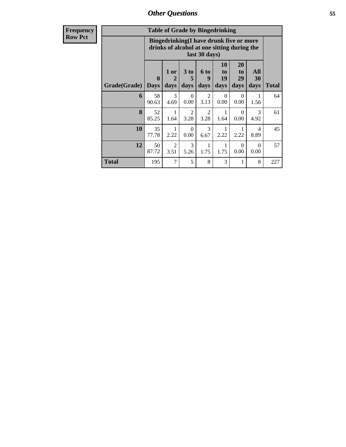| Frequency      |              |                             |                        | <b>Table of Grade by Bingedrinking</b> |                                                                                                         |                        |                        |                   |              |
|----------------|--------------|-----------------------------|------------------------|----------------------------------------|---------------------------------------------------------------------------------------------------------|------------------------|------------------------|-------------------|--------------|
| <b>Row Pct</b> |              |                             |                        |                                        | Bingedrinking(I have drunk five or more<br>drinks of alcohol at one sitting during the<br>last 30 days) |                        |                        |                   |              |
|                | Grade(Grade) | $\mathbf{0}$<br><b>Days</b> | 1 or<br>2<br>days      | 3 to<br>5<br>days                      | <b>6 to</b><br>9<br>days                                                                                | 10<br>to<br>19<br>days | 20<br>to<br>29<br>days | All<br>30<br>days | <b>Total</b> |
|                | 6            | 58<br>90.63                 | 3<br>4.69              | $\Omega$<br>0.00                       | $\mathfrak{D}$<br>3.13                                                                                  | $\Omega$<br>0.00       | $\Omega$<br>0.00       | 1<br>1.56         | 64           |
|                | $\mathbf{8}$ | 52<br>85.25                 | 1.64                   | $\overline{2}$<br>3.28                 | $\overline{2}$<br>3.28                                                                                  | 1.64                   | $\Omega$<br>0.00       | 3<br>4.92         | 61           |
|                | 10           | 35<br>77.78                 | 2.22                   | $\Omega$<br>0.00                       | 3<br>6.67                                                                                               | 2.22                   | 2.22                   | 4<br>8.89         | 45           |
|                | 12           | 50<br>87.72                 | $\overline{2}$<br>3.51 | 3<br>5.26                              | 1.75                                                                                                    | 1.75                   | $\Omega$<br>0.00       | $\Omega$<br>0.00  | 57           |
|                | <b>Total</b> | 195                         | 7                      | 5                                      | 8                                                                                                       | 3                      | 1                      | 8                 | 227          |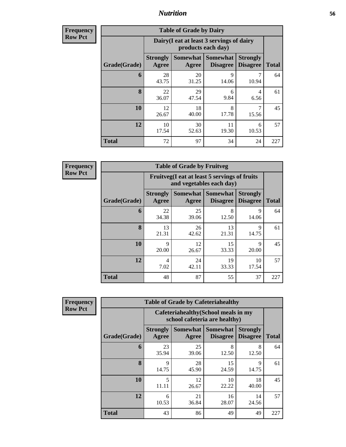**Frequency Row Pct**

| <b>Table of Grade by Dairy</b> |                          |                                                                 |                                    |                                    |              |  |  |  |  |
|--------------------------------|--------------------------|-----------------------------------------------------------------|------------------------------------|------------------------------------|--------------|--|--|--|--|
|                                |                          | Dairy (I eat at least 3 servings of dairy<br>products each day) |                                    |                                    |              |  |  |  |  |
| Grade(Grade)                   | <b>Strongly</b><br>Agree | <b>Somewhat</b><br>Agree                                        | <b>Somewhat</b><br><b>Disagree</b> | <b>Strongly</b><br><b>Disagree</b> | <b>Total</b> |  |  |  |  |
| 6                              | 28<br>43.75              | 20<br>31.25                                                     | 9<br>14.06                         | 10.94                              | 64           |  |  |  |  |
| 8                              | 22<br>36.07              | 29<br>47.54                                                     | 6<br>9.84                          | 4<br>6.56                          | 61           |  |  |  |  |
| 10                             | 12<br>26.67              | 18<br>40.00                                                     | 8<br>17.78                         | 7<br>15.56                         | 45           |  |  |  |  |
| 12                             | 10<br>17.54              | 30<br>11<br>6<br>19.30<br>10.53<br>52.63                        |                                    |                                    |              |  |  |  |  |
| <b>Total</b>                   | 72                       | 97                                                              | 34                                 | 24                                 | 227          |  |  |  |  |

**Frequency Row Pct**

| <b>Table of Grade by Fruitveg</b> |                          |                                                                          |                             |                                    |              |  |  |  |  |
|-----------------------------------|--------------------------|--------------------------------------------------------------------------|-----------------------------|------------------------------------|--------------|--|--|--|--|
|                                   |                          | Fruitveg(I eat at least 5 servings of fruits<br>and vegetables each day) |                             |                                    |              |  |  |  |  |
| Grade(Grade)                      | <b>Strongly</b><br>Agree | Somewhat  <br>Agree                                                      | Somewhat<br><b>Disagree</b> | <b>Strongly</b><br><b>Disagree</b> | <b>Total</b> |  |  |  |  |
| 6                                 | 22<br>34.38              | 25<br>39.06                                                              | 8<br>12.50                  | 9<br>14.06                         | 64           |  |  |  |  |
| $\mathbf{8}$                      | 13<br>21.31              | 26<br>42.62                                                              | 13<br>21.31                 | $\mathbf Q$<br>14.75               | 61           |  |  |  |  |
| 10                                | 9<br>20.00               | 12<br>26.67                                                              | 15<br>33.33                 | 9<br>20.00                         | 45           |  |  |  |  |
| 12                                | 4<br>7.02                | 10<br>19<br>24<br>42.11<br>33.33<br>17.54                                |                             |                                    |              |  |  |  |  |
| <b>Total</b>                      | 48                       | 87                                                                       | 55                          | 37                                 | 227          |  |  |  |  |

| <b>Table of Grade by Cafeteriahealthy</b> |                          |                                                                       |                                    |                                    |              |  |  |  |  |  |
|-------------------------------------------|--------------------------|-----------------------------------------------------------------------|------------------------------------|------------------------------------|--------------|--|--|--|--|--|
|                                           |                          | Cafeteriahealthy (School meals in my<br>school cafeteria are healthy) |                                    |                                    |              |  |  |  |  |  |
| Grade(Grade)                              | <b>Strongly</b><br>Agree | <b>Somewhat</b><br>Agree                                              | <b>Somewhat</b><br><b>Disagree</b> | <b>Strongly</b><br><b>Disagree</b> | <b>Total</b> |  |  |  |  |  |
| 6                                         | 23<br>35.94              | 25<br>39.06                                                           | 8<br>12.50                         | 8<br>12.50                         | 64           |  |  |  |  |  |
| 8                                         | 9<br>14.75               | 28<br>45.90                                                           | 15<br>24.59                        | 9<br>14.75                         | 61           |  |  |  |  |  |
| 10                                        | 5<br>11.11               | 12<br>26.67                                                           | 10<br>22.22                        | 18<br>40.00                        | 45           |  |  |  |  |  |
| 12                                        | 6<br>10.53               | 21<br>16<br>14<br>28.07<br>36.84<br>24.56                             |                                    |                                    |              |  |  |  |  |  |
| <b>Total</b>                              | 43                       | 86                                                                    | 49                                 | 49                                 | 227          |  |  |  |  |  |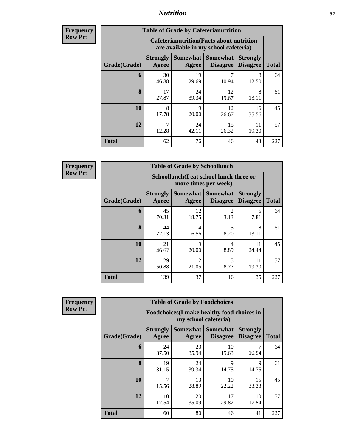| <b>Frequency</b> |
|------------------|
| <b>Row Pct</b>   |

| <b>Table of Grade by Cafeterianutrition</b> |                          |                                                                                           |                                      |                                    |              |  |  |  |
|---------------------------------------------|--------------------------|-------------------------------------------------------------------------------------------|--------------------------------------|------------------------------------|--------------|--|--|--|
|                                             |                          | <b>Cafeterianutrition</b> (Facts about nutrition<br>are available in my school cafeteria) |                                      |                                    |              |  |  |  |
| Grade(Grade)                                | <b>Strongly</b><br>Agree | Agree                                                                                     | Somewhat Somewhat<br><b>Disagree</b> | <b>Strongly</b><br><b>Disagree</b> | <b>Total</b> |  |  |  |
| 6                                           | 30<br>46.88              | 19<br>29.69                                                                               | 7<br>10.94                           | 8<br>12.50                         | 64           |  |  |  |
| 8                                           | 17<br>27.87              | 24<br>39.34                                                                               | 12<br>19.67                          | 8<br>13.11                         | 61           |  |  |  |
| 10                                          | 8<br>17.78               | $\mathbf Q$<br>20.00                                                                      | 12<br>26.67                          | 16<br>35.56                        | 45           |  |  |  |
| 12                                          | 7<br>12.28               | 24<br>42.11                                                                               | 15<br>26.32                          | 11<br>19.30                        | 57           |  |  |  |
| <b>Total</b>                                | 62                       | 76                                                                                        | 46                                   | 43                                 | 227          |  |  |  |

**Frequency Row Pct**

| <b>Table of Grade by Schoollunch</b> |                          |                                                                 |                                   |                                    |              |  |  |  |  |
|--------------------------------------|--------------------------|-----------------------------------------------------------------|-----------------------------------|------------------------------------|--------------|--|--|--|--|
|                                      |                          | Schoollunch(I eat school lunch three or<br>more times per week) |                                   |                                    |              |  |  |  |  |
| Grade(Grade)                         | <b>Strongly</b><br>Agree | Agree                                                           | Somewhat   Somewhat  <br>Disagree | <b>Strongly</b><br><b>Disagree</b> | <b>Total</b> |  |  |  |  |
| 6                                    | 45<br>70.31              | 12<br>18.75                                                     | 2<br>3.13                         | 5<br>7.81                          | 64           |  |  |  |  |
| 8                                    | 44<br>72.13              | 4<br>6.56                                                       | 5<br>8.20                         | 8<br>13.11                         | 61           |  |  |  |  |
| 10                                   | 21<br>46.67              | $\mathbf Q$<br>20.00                                            | 4<br>8.89                         | 11<br>24.44                        | 45           |  |  |  |  |
| 12                                   | 29<br>50.88              | 5<br>12<br>11<br>19.30<br>8.77<br>21.05                         |                                   |                                    |              |  |  |  |  |
| <b>Total</b>                         | 139                      | 37                                                              | 16                                | 35                                 | 227          |  |  |  |  |

| <b>Table of Grade by Foodchoices</b> |                          |                                                                            |                                    |                                    |              |  |  |  |
|--------------------------------------|--------------------------|----------------------------------------------------------------------------|------------------------------------|------------------------------------|--------------|--|--|--|
|                                      |                          | <b>Foodchoices</b> (I make healthy food choices in<br>my school cafeteria) |                                    |                                    |              |  |  |  |
| Grade(Grade)                         | <b>Strongly</b><br>Agree | <b>Somewhat</b><br>Agree                                                   | <b>Somewhat</b><br><b>Disagree</b> | <b>Strongly</b><br><b>Disagree</b> | <b>Total</b> |  |  |  |
| 6                                    | 24<br>37.50              | 23<br>35.94                                                                | 10<br>15.63                        | 10.94                              | 64           |  |  |  |
| 8                                    | 19<br>31.15              | 24<br>39.34                                                                | 9<br>14.75                         | $\mathbf Q$<br>14.75               | 61           |  |  |  |
| 10                                   | 7<br>15.56               | 13<br>28.89                                                                | 10<br>22.22                        | 15<br>33.33                        | 45           |  |  |  |
| 12                                   | 10<br>17.54              | 20<br>35.09                                                                | 17<br>29.82                        | 10<br>17.54                        | 57           |  |  |  |
| <b>Total</b>                         | 60                       | 80                                                                         | 46                                 | 41                                 | 227          |  |  |  |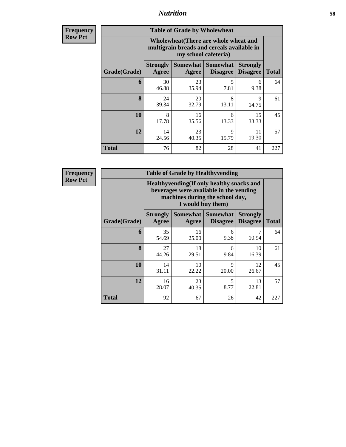**Frequency Row Pct**

| <b>Table of Grade by Wholewheat</b> |                                                                                                             |             |                                        |                                    |              |  |  |  |
|-------------------------------------|-------------------------------------------------------------------------------------------------------------|-------------|----------------------------------------|------------------------------------|--------------|--|--|--|
|                                     | Wholewheat (There are whole wheat and<br>multigrain breads and cereals available in<br>my school cafeteria) |             |                                        |                                    |              |  |  |  |
| Grade(Grade)                        | <b>Strongly</b><br>Agree                                                                                    | Agree       | Somewhat   Somewhat<br><b>Disagree</b> | <b>Strongly</b><br><b>Disagree</b> | <b>Total</b> |  |  |  |
| 6                                   | 30<br>46.88                                                                                                 | 23<br>35.94 | 5<br>7.81                              | 6<br>9.38                          | 64           |  |  |  |
| 8                                   | 24<br>39.34                                                                                                 | 20<br>32.79 | 8<br>13.11                             | 9<br>14.75                         | 61           |  |  |  |
| 10                                  | 8<br>17.78                                                                                                  | 16<br>35.56 | 6<br>13.33                             | 15<br>33.33                        | 45           |  |  |  |
| 12                                  | 14<br>24.56                                                                                                 | 23<br>40.35 | 9<br>15.79                             | 11<br>19.30                        | 57           |  |  |  |
| <b>Total</b>                        | 76                                                                                                          | 82          | 28                                     | 41                                 | 227          |  |  |  |

| <b>Table of Grade by Healthyvending</b> |                                                                                                                                               |                   |                             |                                    |              |  |  |  |  |
|-----------------------------------------|-----------------------------------------------------------------------------------------------------------------------------------------------|-------------------|-----------------------------|------------------------------------|--------------|--|--|--|--|
|                                         | Healthyvending (If only healthy snacks and<br>beverages were available in the vending<br>machines during the school day,<br>I would buy them) |                   |                             |                                    |              |  |  |  |  |
| Grade(Grade)                            | <b>Strongly</b><br>Agree                                                                                                                      | Somewhat<br>Agree | Somewhat<br><b>Disagree</b> | <b>Strongly</b><br><b>Disagree</b> | <b>Total</b> |  |  |  |  |
| 6                                       | 35<br>54.69                                                                                                                                   | 16<br>25.00       | 6<br>9.38                   | 7<br>10.94                         | 64           |  |  |  |  |
| 8                                       | 27<br>44.26                                                                                                                                   | 18<br>29.51       | 6<br>9.84                   | 10<br>16.39                        | 61           |  |  |  |  |
| 10                                      | 14<br>31.11                                                                                                                                   | 10<br>22.22       | 9<br>20.00                  | 12<br>26.67                        | 45           |  |  |  |  |
| 12                                      | 16<br>28.07                                                                                                                                   | 23<br>40.35       | 5<br>8.77                   | 13<br>22.81                        | 57           |  |  |  |  |
| <b>Total</b>                            | 92                                                                                                                                            | 67                | 26                          | 42                                 | 227          |  |  |  |  |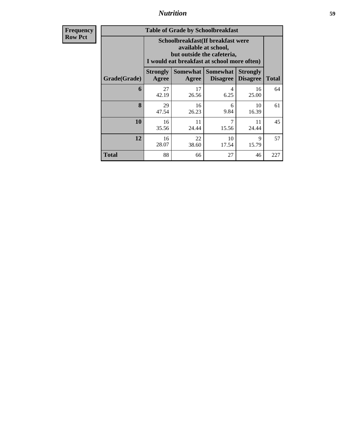|              | <b>Table of Grade by Schoolbreakfast</b>                |                                                                                                                                        |                                        |                                    |              |  |  |  |
|--------------|---------------------------------------------------------|----------------------------------------------------------------------------------------------------------------------------------------|----------------------------------------|------------------------------------|--------------|--|--|--|
|              |                                                         | Schoolbreakfast(If breakfast were<br>available at school,<br>but outside the cafeteria,<br>I would eat breakfast at school more often) |                                        |                                    |              |  |  |  |
| Grade(Grade) | <b>Strongly</b><br>Agree                                | Agree                                                                                                                                  | Somewhat   Somewhat<br><b>Disagree</b> | <b>Strongly</b><br><b>Disagree</b> | <b>Total</b> |  |  |  |
| 6            | 27<br>42.19                                             | 17<br>26.56                                                                                                                            | 4<br>6.25                              | 16<br>25.00                        | 64           |  |  |  |
| 8            | 29<br>47.54                                             | 16<br>26.23                                                                                                                            | 6<br>9.84                              | 10<br>16.39                        | 61           |  |  |  |
| 10           | 16<br>35.56                                             | 11<br>24.44                                                                                                                            | 7<br>15.56                             | 11<br>24.44                        | 45           |  |  |  |
| 12           | 10<br>22<br>Q<br>16<br>28.07<br>15.79<br>38.60<br>17.54 |                                                                                                                                        |                                        |                                    |              |  |  |  |
| Total        | 88                                                      | 66                                                                                                                                     | 27                                     | 46                                 | 227          |  |  |  |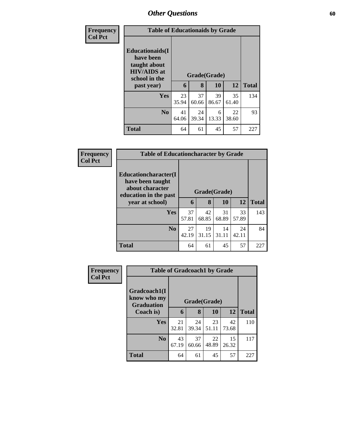| <b>Frequency</b> |                                                                                             | <b>Table of Educationaids by Grade</b> |              |       |       |              |  |  |
|------------------|---------------------------------------------------------------------------------------------|----------------------------------------|--------------|-------|-------|--------------|--|--|
| <b>Col Pct</b>   | <b>Educationaids</b> (I<br>have been<br>taught about<br><b>HIV/AIDS</b> at<br>school in the |                                        | Grade(Grade) |       |       |              |  |  |
|                  | past year)                                                                                  | 6                                      | 8            | 10    | 12    | <b>Total</b> |  |  |
|                  | <b>Yes</b>                                                                                  | 23                                     | 37           | 39    | 35    | 134          |  |  |
|                  |                                                                                             | 35.94                                  | 60.66        | 86.67 | 61.40 |              |  |  |
|                  | N <sub>0</sub>                                                                              | 41                                     | 24           | 6     | 22    | 93           |  |  |
|                  |                                                                                             | 64.06                                  | 39.34        | 13.33 | 38.60 |              |  |  |
|                  | <b>Total</b>                                                                                | 64                                     | 61           | 45    | 57    | 227          |  |  |

| Frequency      | <b>Table of Educationcharacter by Grade</b>                                          |              |             |             |             |              |
|----------------|--------------------------------------------------------------------------------------|--------------|-------------|-------------|-------------|--------------|
| <b>Col Pct</b> | Educationcharacter(I<br>have been taught<br>about character<br>education in the past | Grade(Grade) |             |             |             |              |
|                | year at school)                                                                      | 6            | 8           | 10          | 12          | <b>Total</b> |
|                | <b>Yes</b>                                                                           | 37<br>57.81  | 42<br>68.85 | 31<br>68.89 | 33<br>57.89 | 143          |
|                | No.                                                                                  | 27<br>42.19  | 19<br>31.15 | 14<br>31.11 | 24<br>42.11 | 84           |
|                | <b>Total</b>                                                                         | 64           | 61          | 45          | 57          | 227          |

| <b>Frequency</b> |                                                  | <b>Table of Gradcoach1 by Grade</b> |             |             |             |              |  |
|------------------|--------------------------------------------------|-------------------------------------|-------------|-------------|-------------|--------------|--|
| <b>Col Pct</b>   | Gradcoach1(I<br>know who my<br><b>Graduation</b> | Grade(Grade)                        |             |             |             |              |  |
|                  | Coach is)                                        | 6                                   | 8           | 10          | 12          | <b>Total</b> |  |
|                  | <b>Yes</b>                                       | 21<br>32.81                         | 24<br>39.34 | 23<br>51.11 | 42<br>73.68 | 110          |  |
|                  | N <sub>o</sub>                                   | 43<br>67.19                         | 37<br>60.66 | 22<br>48.89 | 15<br>26.32 | 117          |  |
|                  | <b>Total</b>                                     | 64                                  | 61          | 45          | 57          | 227          |  |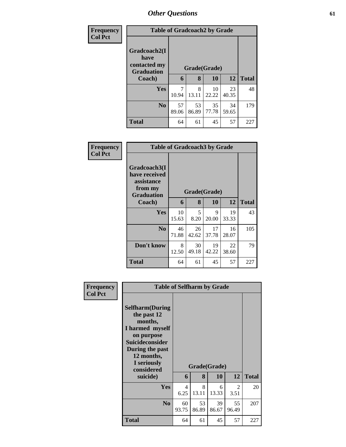| Frequency<br><b>Col Pct</b> | <b>Table of Gradcoach2 by Grade</b>                       |              |             |             |             |              |
|-----------------------------|-----------------------------------------------------------|--------------|-------------|-------------|-------------|--------------|
|                             | Gradcoach2(I<br>have<br>contacted my<br><b>Graduation</b> | Grade(Grade) |             |             |             |              |
|                             | Coach)                                                    | 6            | 8           | 10          | <b>12</b>   | <b>Total</b> |
|                             | <b>Yes</b>                                                | 7<br>10.94   | 8<br>13.11  | 10<br>22.22 | 23<br>40.35 | 48           |
|                             | $\bf No$                                                  | 57<br>89.06  | 53<br>86.89 | 35<br>77.78 | 34<br>59.65 | 179          |
|                             | <b>Total</b>                                              | 64           | 61          | 45          | 57          | 227          |

| Frequency      |                                                                             | <b>Table of Gradcoach3 by Grade</b> |              |             |             |              |  |
|----------------|-----------------------------------------------------------------------------|-------------------------------------|--------------|-------------|-------------|--------------|--|
| <b>Col Pct</b> | Gradcoach3(I<br>have received<br>assistance<br>from my<br><b>Graduation</b> |                                     | Grade(Grade) |             |             |              |  |
|                | Coach)                                                                      | 6                                   | 8            | 10          | 12          | <b>Total</b> |  |
|                | Yes                                                                         | 10<br>15.63                         | 5<br>8.20    | 9<br>20.00  | 19<br>33.33 | 43           |  |
|                | N <sub>0</sub>                                                              | 46<br>71.88                         | 26<br>42.62  | 17<br>37.78 | 16<br>28.07 | 105          |  |
|                | Don't know                                                                  | 8<br>12.50                          | 30<br>49.18  | 19<br>42.22 | 22<br>38.60 | 79           |  |
|                | <b>Total</b>                                                                | 64                                  | 61           | 45          | 57          | 227          |  |

| <b>Frequency</b><br><b>Col Pct</b> | <b>Table of Selfharm by Grade</b>                                                                                                                                          |                        |              |             |             |              |
|------------------------------------|----------------------------------------------------------------------------------------------------------------------------------------------------------------------------|------------------------|--------------|-------------|-------------|--------------|
|                                    | <b>Selfharm</b> (During<br>the past 12<br>months,<br>I harmed myself<br>on purpose<br><b>Suicideconsider</b><br>During the past<br>12 months,<br>I seriously<br>considered |                        | Grade(Grade) |             |             |              |
|                                    | suicide)                                                                                                                                                                   | 6                      | 8            | <b>10</b>   | 12          | <b>Total</b> |
|                                    | <b>Yes</b>                                                                                                                                                                 | $\overline{4}$<br>6.25 | 8<br>13.11   | 6<br>13.33  | 2<br>3.51   | 20           |
|                                    | N <sub>0</sub>                                                                                                                                                             | 60<br>93.75            | 53<br>86.89  | 39<br>86.67 | 55<br>96.49 | 207          |
|                                    | <b>Total</b>                                                                                                                                                               | 64                     | 61           | 45          | 57          | 227          |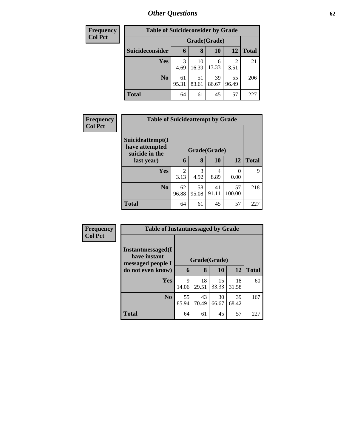| <b>Frequency</b> | <b>Table of Suicideconsider by Grade</b> |             |              |             |             |              |
|------------------|------------------------------------------|-------------|--------------|-------------|-------------|--------------|
| <b>Col Pct</b>   |                                          |             | Grade(Grade) |             |             |              |
|                  | Suicideconsider                          | $\mathbf b$ | 8            | 10          | <b>12</b>   | <b>Total</b> |
|                  | Yes                                      | 3<br>4.69   | 10<br>16.39  | 6<br>13.33  | 2<br>3.51   | 21           |
|                  | N <sub>0</sub>                           | 61<br>95.31 | 51<br>83.61  | 39<br>86.67 | 55<br>96.49 | 206          |
|                  | <b>Total</b>                             | 64          | 61           | 45          | 57          | 227          |

| <b>Frequency</b> | <b>Table of Suicideattempt by Grade</b>              |                        |             |             |                  |              |
|------------------|------------------------------------------------------|------------------------|-------------|-------------|------------------|--------------|
| <b>Col Pct</b>   | Suicideattempt(I<br>have attempted<br>suicide in the | Grade(Grade)           |             |             |                  |              |
|                  | last year)                                           | 6                      | 8           | 10          | 12               | <b>Total</b> |
|                  | Yes                                                  | $\mathfrak{D}$<br>3.13 | 3<br>4.92   | 4<br>8.89   | $\Omega$<br>0.00 | 9            |
|                  | N <sub>0</sub>                                       | 62<br>96.88            | 58<br>95.08 | 41<br>91.11 | 57<br>100.00     | 218          |
|                  | <b>Total</b>                                         | 64                     | 61          | 45          | 57               | 227          |

| Frequency      | <b>Table of Instantmessaged by Grade</b>               |              |             |             |             |              |  |  |
|----------------|--------------------------------------------------------|--------------|-------------|-------------|-------------|--------------|--|--|
| <b>Col Pct</b> | Instantmessaged(I<br>have instant<br>messaged people I | Grade(Grade) |             |             |             |              |  |  |
|                | do not even know)                                      | 6            | 8           | <b>10</b>   | 12          | <b>Total</b> |  |  |
|                | <b>Yes</b>                                             | 9<br>14.06   | 18<br>29.51 | 15<br>33.33 | 18<br>31.58 | 60           |  |  |
|                | No.                                                    | 55<br>85.94  | 43<br>70.49 | 30<br>66.67 | 39<br>68.42 | 167          |  |  |
|                | <b>Total</b>                                           | 64           | 61          | 45          | 57          | 227          |  |  |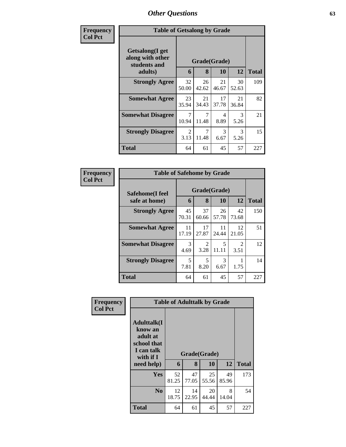| Frequency      | <b>Table of Getsalong by Grade</b>                  |                        |                         |             |             |              |
|----------------|-----------------------------------------------------|------------------------|-------------------------|-------------|-------------|--------------|
| <b>Col Pct</b> | Getsalong(I get<br>along with other<br>students and |                        | Grade(Grade)            |             |             |              |
|                | adults)                                             | 6                      | 8                       | 10          | 12          | <b>Total</b> |
|                | <b>Strongly Agree</b>                               | 32<br>50.00            | 26<br>42.62             | 21<br>46.67 | 30<br>52.63 | 109          |
|                | <b>Somewhat Agree</b>                               | 23<br>35.94            | 21<br>34.43             | 17<br>37.78 | 21<br>36.84 | 82           |
|                | <b>Somewhat Disagree</b>                            | 7<br>10.94             | 7<br>11.48              | 4<br>8.89   | 3<br>5.26   | 21           |
|                | <b>Strongly Disagree</b>                            | $\mathfrak{D}$<br>3.13 | $\overline{7}$<br>11.48 | 3<br>6.67   | 3<br>5.26   | 15           |
|                | Total                                               | 64                     | 61                      | 45          | 57          | 227          |

| Frequency      | <b>Table of Safehome by Grade</b> |                   |              |             |                        |     |  |  |  |
|----------------|-----------------------------------|-------------------|--------------|-------------|------------------------|-----|--|--|--|
| <b>Col Pct</b> | Safehome(I feel<br>safe at home)  | Grade(Grade)<br>6 | <b>Total</b> |             |                        |     |  |  |  |
|                | <b>Strongly Agree</b>             | 45<br>70.31       | 37<br>60.66  | 26<br>57.78 | 42<br>73.68            | 150 |  |  |  |
|                | <b>Somewhat Agree</b>             | 11<br>17.19       | 17<br>27.87  | 11<br>24.44 | 12<br>21.05            | 51  |  |  |  |
|                | <b>Somewhat Disagree</b>          | 3<br>4.69         | 2<br>3.28    | 5<br>11.11  | $\mathfrak{D}$<br>3.51 | 12  |  |  |  |
|                | <b>Strongly Disagree</b>          | 5<br>7.81         | 5<br>8.20    | 3<br>6.67   | 1.75                   | 14  |  |  |  |
|                | <b>Total</b>                      | 64                | 61           | 45          | 57                     | 227 |  |  |  |

| Frequency      |                                                                                                   | <b>Table of Adulttalk by Grade</b> |             |                    |             |              |
|----------------|---------------------------------------------------------------------------------------------------|------------------------------------|-------------|--------------------|-------------|--------------|
| <b>Col Pct</b> | <b>Adulttalk(I</b><br>know an<br>adult at<br>school that<br>I can talk<br>with if I<br>need help) | 6                                  | 8           | Grade(Grade)<br>10 | 12          | <b>Total</b> |
|                | <b>Yes</b>                                                                                        | 52<br>81.25                        | 47<br>77.05 | 25<br>55.56        | 49<br>85.96 | 173          |
|                | N <sub>0</sub>                                                                                    | 12<br>18.75                        | 14<br>22.95 | 20<br>44.44        | 8<br>14.04  | 54           |
|                | <b>Total</b>                                                                                      | 64                                 | 61          | 45                 | 57          | 227          |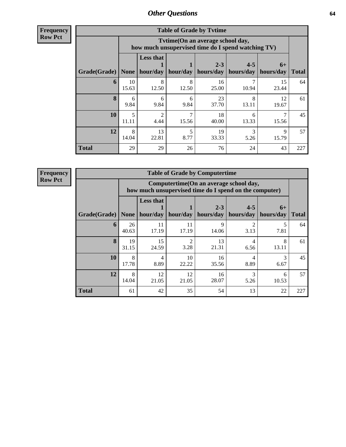**Frequency Row Pct**

| <b>Table of Grade by Tvtime</b> |             |                                                                                        |                     |                      |                                  |                      |              |  |  |  |
|---------------------------------|-------------|----------------------------------------------------------------------------------------|---------------------|----------------------|----------------------------------|----------------------|--------------|--|--|--|
|                                 |             | Tvtime(On an average school day,<br>how much unsupervised time do I spend watching TV) |                     |                      |                                  |                      |              |  |  |  |
| Grade(Grade)   None             |             | <b>Less that</b>                                                                       | hour/day   hour/day | $2 - 3$<br>hours/day | $4 - 5$<br>hours/day   hours/day | $6+$                 | <b>Total</b> |  |  |  |
| 6                               | 10<br>15.63 | 8<br>12.50                                                                             | 8<br>12.50          | 16<br>25.00          | 10.94                            | 15<br>23.44          | 64           |  |  |  |
| 8                               | 6<br>9.84   | 6<br>9.84                                                                              | 6<br>9.84           | 23<br>37.70          | 8<br>13.11                       | 12<br>19.67          | 61           |  |  |  |
| 10                              | 5<br>11.11  | $\mathcal{D}_{\mathcal{L}}$<br>4.44                                                    | 15.56               | 18<br>40.00          | 6<br>13.33                       | 15.56                | 45           |  |  |  |
| 12                              | 8<br>14.04  | 13<br>22.81                                                                            | 8.77                | 19<br>33.33          | 3<br>5.26                        | $\mathbf Q$<br>15.79 | 57           |  |  |  |
| <b>Total</b>                    | 29          | 29                                                                                     | 26                  | 76                   | 24                               | 43                   | 227          |  |  |  |

| <b>Table of Grade by Computertime</b> |             |                                                                                                  |                       |                      |                      |                   |              |  |  |  |
|---------------------------------------|-------------|--------------------------------------------------------------------------------------------------|-----------------------|----------------------|----------------------|-------------------|--------------|--|--|--|
|                                       |             | Computertime(On an average school day,<br>how much unsupervised time do I spend on the computer) |                       |                      |                      |                   |              |  |  |  |
| Grade(Grade)                          | <b>None</b> | <b>Less that</b><br>hour/day                                                                     | hour/day              | $2 - 3$<br>hours/day | $4 - 5$<br>hours/day | $6+$<br>hours/day | <b>Total</b> |  |  |  |
| 6                                     | 26<br>40.63 | 11<br>17.19                                                                                      | 11<br>17.19           | q<br>14.06           | 2<br>3.13            | 5<br>7.81         | 64           |  |  |  |
| $\mathbf{8}$                          | 19<br>31.15 | 15<br>24.59                                                                                      | $\mathcal{D}$<br>3.28 | 13<br>21.31          | 4<br>6.56            | 8<br>13.11        | 61           |  |  |  |
| 10                                    | 8<br>17.78  | 4<br>8.89                                                                                        | 10<br>22.22           | 16<br>35.56          | 4<br>8.89            | 3<br>6.67         | 45           |  |  |  |
| 12                                    | 8<br>14.04  | 12<br>21.05                                                                                      | 12<br>21.05           | 16<br>28.07          | 3<br>5.26            | 6<br>10.53        | 57           |  |  |  |
| <b>Total</b>                          | 61          | 42                                                                                               | 35                    | 54                   | 13                   | 22                | 227          |  |  |  |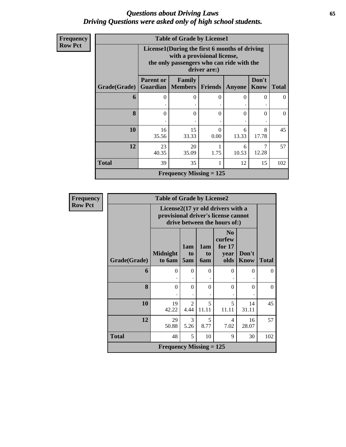### *Questions about Driving Laws* **65** *Driving Questions were asked only of high school students.*

| <b>Frequency</b> |  |
|------------------|--|
| <b>I Row Pct</b> |  |

| <b>Table of Grade by License1</b> |                                                                                                                                           |                                            |                  |               |                      |              |  |  |  |
|-----------------------------------|-------------------------------------------------------------------------------------------------------------------------------------------|--------------------------------------------|------------------|---------------|----------------------|--------------|--|--|--|
|                                   | License1(During the first 6 months of driving<br>with a provisional license,<br>the only passengers who can ride with the<br>driver are:) |                                            |                  |               |                      |              |  |  |  |
| Grade(Grade)                      | <b>Parent or</b>                                                                                                                          | <b>Family</b><br><b>Guardian</b>   Members | <b>Friends</b>   | <b>Anyone</b> | Don't<br><b>Know</b> | <b>Total</b> |  |  |  |
| 6                                 |                                                                                                                                           | 0                                          | 0                | 0             | 0                    | 0            |  |  |  |
| 8                                 | 0                                                                                                                                         | $\Omega$                                   | $\theta$         | 0             | $\Omega$             | $\Omega$     |  |  |  |
| 10                                | 16<br>35.56                                                                                                                               | 15<br>33.33                                | $\Omega$<br>0.00 | 6<br>13.33    | 8<br>17.78           | 45           |  |  |  |
| 12                                | 23<br>40.35                                                                                                                               | 20<br>35.09                                | 1.75             | 6<br>10.53    | 12.28                | 57           |  |  |  |
| <b>Total</b>                      | 39                                                                                                                                        | 35                                         |                  | 12            | 15                   | 102          |  |  |  |
|                                   |                                                                                                                                           | Frequency Missing $= 125$                  |                  |               |                      |              |  |  |  |

| <b>Frequency</b> |              | <b>Table of Grade by License2</b> |                        |                         |                                                                                                          |               |              |
|------------------|--------------|-----------------------------------|------------------------|-------------------------|----------------------------------------------------------------------------------------------------------|---------------|--------------|
| <b>Row Pct</b>   |              |                                   |                        |                         | License2(17 yr old drivers with a<br>provisional driver's license cannot<br>drive between the hours of:) |               |              |
|                  | Grade(Grade) | <b>Midnight</b><br>to 6am         | 1am<br>to<br>5am       | 1am<br>to<br><b>6am</b> | N <sub>0</sub><br>curfew<br>for $17$<br>year<br>olds                                                     | Don't<br>Know | <b>Total</b> |
|                  | 6            | $\theta$<br>$\bullet$             | $\Omega$               | $\Omega$                | $\Omega$                                                                                                 | $\Omega$      | $\Omega$     |
|                  | 8            | $\theta$                          | $\Omega$               | $\theta$                | $\theta$                                                                                                 | $\Omega$      | $\Omega$     |
|                  | 10           | 19<br>42.22                       | $\mathfrak{D}$<br>4.44 | 5<br>11.11              | 5<br>11.11                                                                                               | 14<br>31.11   | 45           |
|                  | 12           | 29<br>50.88                       | 3<br>5.26              | 5<br>8.77               | 4<br>7.02                                                                                                | 16<br>28.07   | 57           |
|                  | <b>Total</b> | 48                                | 5                      | 10                      | 9                                                                                                        | 30            | 102          |
|                  |              | <b>Frequency Missing = 125</b>    |                        |                         |                                                                                                          |               |              |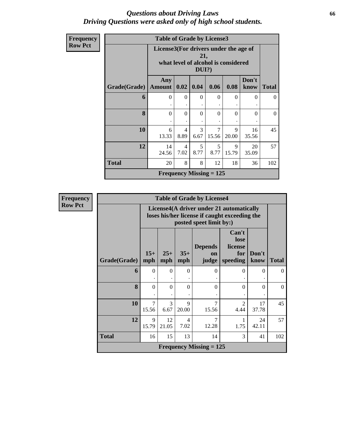### *Questions about Driving Laws* **66** *Driving Questions were asked only of high school students.*

| Frequency      |              | <b>Table of Grade by License3</b> |                                                                                                 |           |                                |            |               |              |  |
|----------------|--------------|-----------------------------------|-------------------------------------------------------------------------------------------------|-----------|--------------------------------|------------|---------------|--------------|--|
| <b>Row Pct</b> |              |                                   | License3(For drivers under the age of<br>21,<br>what level of alcohol is considered<br>$DUI$ ?) |           |                                |            |               |              |  |
|                | Grade(Grade) | Any<br>Amount                     | 0.02                                                                                            | 0.04      | 0.06                           | 0.08       | Don't<br>know | <b>Total</b> |  |
|                | 6            | $\theta$                          | $\Omega$                                                                                        | $\Omega$  | $\Omega$                       | $\Omega$   | $\theta$<br>۰ | $\Omega$     |  |
|                | 8            | $\theta$                          | $\Omega$                                                                                        | $\theta$  | $\Omega$                       | $\Omega$   | $\mathbf{0}$  | $\theta$     |  |
|                | 10           | 6<br>13.33                        | $\overline{4}$<br>8.89                                                                          | 3<br>6.67 | 7<br>15.56                     | 9<br>20.00 | 16<br>35.56   | 45           |  |
|                | 12           | 14<br>24.56                       | 4<br>7.02                                                                                       | 5<br>8.77 | 5<br>8.77                      | 9<br>15.79 | 20<br>35.09   | 57           |  |
|                | <b>Total</b> | 20                                | 8                                                                                               | 8         | 12                             | 18         | 36            | 102          |  |
|                |              |                                   |                                                                                                 |           | <b>Frequency Missing = 125</b> |            |               |              |  |

| <b>Frequency</b> |              |                         |                       |                      | <b>Table of Grade by License4</b> |                                                                                           |               |              |
|------------------|--------------|-------------------------|-----------------------|----------------------|-----------------------------------|-------------------------------------------------------------------------------------------|---------------|--------------|
| <b>Row Pct</b>   |              |                         |                       |                      | posted speet limit by:)           | License4(A driver under 21 automatically<br>loses his/her license if caught exceeding the |               |              |
|                  | Grade(Grade) | $15+$<br>mph            | $25+$<br>mph          | $35+$<br>mph         | <b>Depends</b><br>on<br>judge     | Can't<br>lose<br>license<br>for<br>speeding                                               | Don't<br>know | <b>Total</b> |
|                  | 6            | $\Omega$                | $\theta$              | $\Omega$             | $\Omega$                          | $\Omega$                                                                                  | $\Omega$      | $\theta$     |
|                  | 8            | $\theta$                | $\theta$              | $\Omega$             | $\Omega$                          | $\Omega$                                                                                  | $\theta$      | $\Omega$     |
|                  | 10           | $\overline{7}$<br>15.56 | $\mathcal{E}$<br>6.67 | $\mathbf Q$<br>20.00 | $\overline{7}$<br>15.56           | $\overline{2}$<br>4.44                                                                    | 17<br>37.78   | 45           |
|                  | 12           | 9<br>15.79              | 12<br>21.05           | 4<br>7.02            | $\overline{7}$<br>12.28           | 1<br>1.75                                                                                 | 24<br>42.11   | 57           |
|                  | <b>Total</b> | 16                      | 15                    | 13                   | 14                                | 3                                                                                         | 41            | 102          |
|                  |              |                         |                       |                      | <b>Frequency Missing = 125</b>    |                                                                                           |               |              |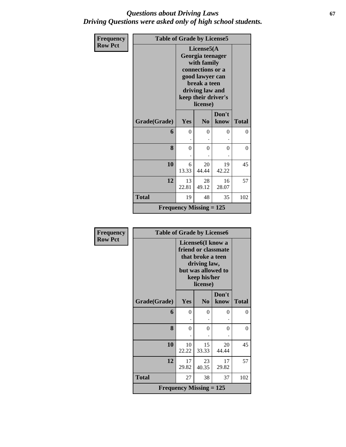### *Questions about Driving Laws* **67** *Driving Questions were asked only of high school students.*

| Frequency      | <b>Table of Grade by License5</b> |                                |                                                                                                                                                             |               |              |  |  |  |  |
|----------------|-----------------------------------|--------------------------------|-------------------------------------------------------------------------------------------------------------------------------------------------------------|---------------|--------------|--|--|--|--|
| <b>Row Pct</b> |                                   |                                | License5(A)<br>Georgia teenager<br>with family<br>connections or a<br>good lawyer can<br>break a teen<br>driving law and<br>keep their driver's<br>license) |               |              |  |  |  |  |
|                | Grade(Grade)                      | Yes                            | N <sub>0</sub>                                                                                                                                              | Don't<br>know | <b>Total</b> |  |  |  |  |
|                | 6                                 | $\theta$                       | $\theta$                                                                                                                                                    | 0             | $\Omega$     |  |  |  |  |
|                | 8                                 | $\theta$                       | $\theta$                                                                                                                                                    | $\theta$      | $\Omega$     |  |  |  |  |
|                | 10                                | 6<br>13.33                     | 20<br>44.44                                                                                                                                                 | 19<br>42.22   | 45           |  |  |  |  |
|                | 12                                | 13<br>22.81                    | 28<br>49.12                                                                                                                                                 | 16<br>28.07   | 57           |  |  |  |  |
|                | <b>Total</b>                      | 19                             | 48                                                                                                                                                          | 35            | 102          |  |  |  |  |
|                |                                   | <b>Frequency Missing = 125</b> |                                                                                                                                                             |               |              |  |  |  |  |

| <b>Frequency</b> | <b>Table of Grade by License6</b> |                                                                                                                                              |                |               |              |
|------------------|-----------------------------------|----------------------------------------------------------------------------------------------------------------------------------------------|----------------|---------------|--------------|
| <b>Row Pct</b>   |                                   | License <sub>6</sub> (I know a<br>friend or classmate<br>that broke a teen<br>driving law,<br>but was allowed to<br>keep his/her<br>license) |                |               |              |
|                  | Grade(Grade)                      | Yes                                                                                                                                          | N <sub>0</sub> | Don't<br>know | <b>Total</b> |
|                  | 6                                 | $\theta$                                                                                                                                     | 0              | 0             | 0            |
|                  | 8                                 | $\theta$                                                                                                                                     | 0              | 0             | 0            |
|                  | 10                                | 10<br>22.22                                                                                                                                  | 15<br>33.33    | 20<br>44.44   | 45           |
|                  | 12                                | 17<br>29.82                                                                                                                                  | 23<br>40.35    | 17<br>29.82   | 57           |
|                  | <b>Total</b>                      | 27                                                                                                                                           | 38             | 37            | 102          |
|                  |                                   | <b>Frequency Missing = 125</b>                                                                                                               |                |               |              |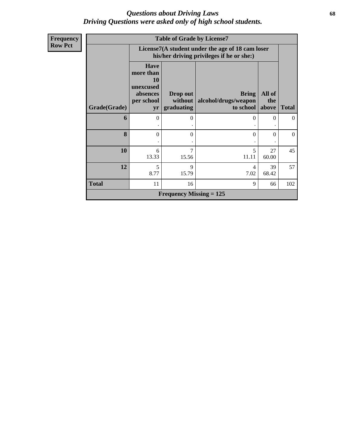### *Questions about Driving Laws* **68** *Driving Questions were asked only of high school students.*

| <b>Frequency</b> |                     | <b>Table of Grade by License7</b>                                            |                                |                                                                                               |               |                |  |  |  |  |
|------------------|---------------------|------------------------------------------------------------------------------|--------------------------------|-----------------------------------------------------------------------------------------------|---------------|----------------|--|--|--|--|
| <b>Row Pct</b>   |                     |                                                                              |                                | License7(A student under the age of 18 cam loser<br>his/her driving privileges if he or she:) |               |                |  |  |  |  |
|                  |                     | <b>Have</b><br>more than<br><b>10</b><br>unexcused<br>absences<br>per school | Drop out<br>without            | <b>Bring</b><br>alcohol/drugs/weapon                                                          | All of<br>the |                |  |  |  |  |
|                  | <b>Grade(Grade)</b> | yr                                                                           | graduating                     | to school above                                                                               |               | <b>Total</b>   |  |  |  |  |
|                  | 6                   | $\Omega$                                                                     | 0                              | $\Omega$                                                                                      | $\Omega$      | $\theta$       |  |  |  |  |
|                  | 8                   | $\Omega$                                                                     | 0                              | $\Omega$                                                                                      | $\Omega$      | $\overline{0}$ |  |  |  |  |
|                  | 10                  | 6<br>13.33                                                                   | 7<br>15.56                     | 5<br>11.11                                                                                    | 27<br>60.00   | 45             |  |  |  |  |
|                  | 12                  | 5<br>8.77                                                                    | 9<br>15.79                     | 4<br>7.02                                                                                     | 39<br>68.42   | 57             |  |  |  |  |
|                  | <b>Total</b>        | 11                                                                           | 16                             | 9                                                                                             | 66            | 102            |  |  |  |  |
|                  |                     |                                                                              | <b>Frequency Missing = 125</b> |                                                                                               |               |                |  |  |  |  |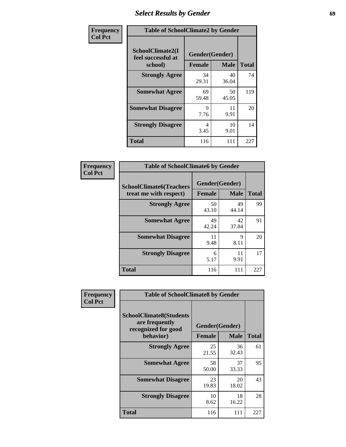# *Select Results by Gender* **69**

| Frequency      | <b>Table of SchoolClimate2 by Gender</b>          |                                 |             |              |
|----------------|---------------------------------------------------|---------------------------------|-------------|--------------|
| <b>Col Pct</b> | SchoolClimate2(I<br>feel successful at<br>school) | Gender(Gender)<br><b>Female</b> | <b>Male</b> | <b>Total</b> |
|                | <b>Strongly Agree</b>                             | 34<br>29.31                     | 40<br>36.04 | 74           |
|                | <b>Somewhat Agree</b>                             | 69<br>59.48                     | 50<br>45.05 | 119          |
|                | <b>Somewhat Disagree</b>                          | 9<br>7.76                       | 11<br>9.91  | 20           |
|                | <b>Strongly Disagree</b>                          | 4<br>3.45                       | 10<br>9.01  | 14           |
|                | <b>Total</b>                                      | 116                             | 111         | 227          |

| <b>Frequency</b> | <b>Table of SchoolClimate6 by Gender</b> |               |                |              |  |  |
|------------------|------------------------------------------|---------------|----------------|--------------|--|--|
| <b>Col Pct</b>   | <b>SchoolClimate6(Teachers</b>           |               | Gender(Gender) |              |  |  |
|                  | treat me with respect)                   | <b>Female</b> | <b>Male</b>    | <b>Total</b> |  |  |
|                  | <b>Strongly Agree</b>                    | 50<br>43.10   | 49<br>44.14    | 99           |  |  |
|                  | <b>Somewhat Agree</b>                    | 49<br>42.24   | 42<br>37.84    | 91           |  |  |
|                  | <b>Somewhat Disagree</b>                 | 11<br>9.48    | 9<br>8.11      | 20           |  |  |
|                  | <b>Strongly Disagree</b>                 | 6<br>5.17     | 11<br>9.91     | 17           |  |  |
|                  | <b>Total</b>                             | 116           | 111            | 227          |  |  |

| <b>Frequency</b> | <b>Table of SchoolClimate8 by Gender</b>                                             |                                 |             |              |
|------------------|--------------------------------------------------------------------------------------|---------------------------------|-------------|--------------|
| <b>Col Pct</b>   | <b>SchoolClimate8(Students</b><br>are frequently<br>recognized for good<br>behavior) | Gender(Gender)<br><b>Female</b> | <b>Male</b> | <b>Total</b> |
|                  | <b>Strongly Agree</b>                                                                | 25<br>21.55                     | 36<br>32.43 | 61           |
|                  | <b>Somewhat Agree</b>                                                                | 58<br>50.00                     | 37<br>33.33 | 95           |
|                  | <b>Somewhat Disagree</b>                                                             | 23<br>19.83                     | 20<br>18.02 | 43           |
|                  | <b>Strongly Disagree</b>                                                             | 10<br>8.62                      | 18<br>16.22 | 28           |
|                  | Total                                                                                | 116                             | 111         | 227          |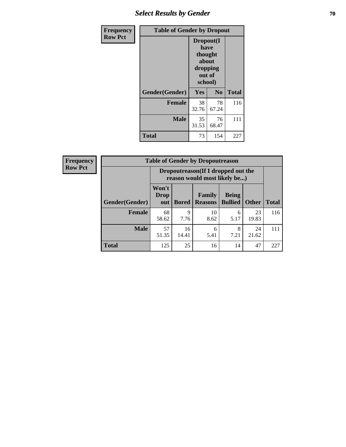# **Select Results by Gender 70**

| Frequency      | <b>Table of Gender by Dropout</b> |                                                                        |                |              |
|----------------|-----------------------------------|------------------------------------------------------------------------|----------------|--------------|
| <b>Row Pct</b> |                                   | Dropout(I<br>have<br>thought<br>about<br>dropping<br>out of<br>school) |                |              |
|                | Gender(Gender)                    | <b>Yes</b>                                                             | N <sub>0</sub> | <b>Total</b> |
|                | <b>Female</b>                     | 38<br>32.76                                                            | 78<br>67.24    | 116          |
|                | <b>Male</b>                       | 35<br>31.53                                                            | 76<br>68.47    | 111          |
|                | <b>Total</b>                      | 73                                                                     | 154            | 227          |

| <b>Frequency</b> | <b>Table of Gender by Dropoutreason</b> |                                                                    |              |                          |                                |              |              |
|------------------|-----------------------------------------|--------------------------------------------------------------------|--------------|--------------------------|--------------------------------|--------------|--------------|
| <b>Row Pct</b>   |                                         | Dropoutreason(If I dropped out the<br>reason would most likely be) |              |                          |                                |              |              |
|                  | Gender(Gender)                          | Won't<br><b>Drop</b><br>out                                        | <b>Bored</b> | Family<br><b>Reasons</b> | <b>Being</b><br><b>Bullied</b> | <b>Other</b> | <b>Total</b> |
|                  | Female                                  | 68<br>58.62                                                        | 9<br>7.76    | 10<br>8.62               | 6<br>5.17                      | 23<br>19.83  | 116          |
|                  | <b>Male</b>                             | 57<br>51.35                                                        | 16<br>14.41  | 6<br>5.41                | 8<br>7.21                      | 24<br>21.62  | 111          |
|                  | <b>Total</b>                            | 125                                                                | 25           | 16                       | 14                             | 47           | 227          |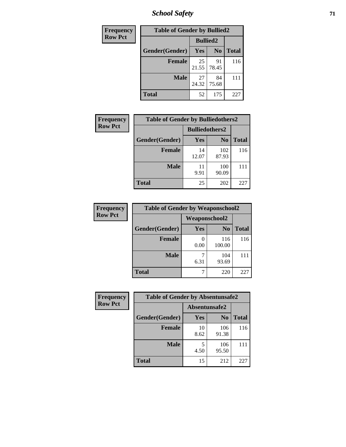*School Safety* **71**

| Frequency      | <b>Table of Gender by Bullied2</b> |                 |                |              |
|----------------|------------------------------------|-----------------|----------------|--------------|
| <b>Row Pct</b> |                                    | <b>Bullied2</b> |                |              |
|                | Gender(Gender)                     | <b>Yes</b>      | N <sub>0</sub> | <b>Total</b> |
|                | <b>Female</b>                      | 25<br>21.55     | 91<br>78.45    | 116          |
|                | <b>Male</b>                        | 27<br>24.32     | 84<br>75.68    | 111          |
|                | <b>Total</b>                       | 52              | 175            | 227          |

| Frequency      | <b>Table of Gender by Bulliedothers2</b> |                       |                |              |
|----------------|------------------------------------------|-----------------------|----------------|--------------|
| <b>Row Pct</b> |                                          | <b>Bulliedothers2</b> |                |              |
|                | Gender(Gender)                           | Yes                   | N <sub>0</sub> | <b>Total</b> |
|                | <b>Female</b>                            | 14<br>12.07           | 102<br>87.93   | 116          |
|                | <b>Male</b>                              | 11<br>9.91            | 100<br>90.09   | 111          |
|                | <b>Total</b>                             | 25                    | 202            | 227          |

| <b>Frequency</b> | <b>Table of Gender by Weaponschool2</b> |                      |                |              |
|------------------|-----------------------------------------|----------------------|----------------|--------------|
| <b>Row Pct</b>   |                                         | <b>Weaponschool2</b> |                |              |
|                  | Gender(Gender)                          | Yes                  | N <sub>0</sub> | <b>Total</b> |
|                  | <b>Female</b>                           | 0.00                 | 116<br>100.00  | 116          |
|                  | <b>Male</b>                             | 6.31                 | 104<br>93.69   |              |
|                  | <b>Total</b>                            |                      | 220            | 227          |

| Frequency      | <b>Table of Gender by Absentunsafe2</b> |               |                |              |
|----------------|-----------------------------------------|---------------|----------------|--------------|
| <b>Row Pct</b> |                                         | Absentunsafe2 |                |              |
|                | Gender(Gender)                          | Yes           | N <sub>0</sub> | <b>Total</b> |
|                | <b>Female</b>                           | 10<br>8.62    | 106<br>91.38   | 116          |
|                | <b>Male</b>                             | 4.50          | 106<br>95.50   | 111          |
|                | <b>Total</b>                            | 15            | 212            | 227          |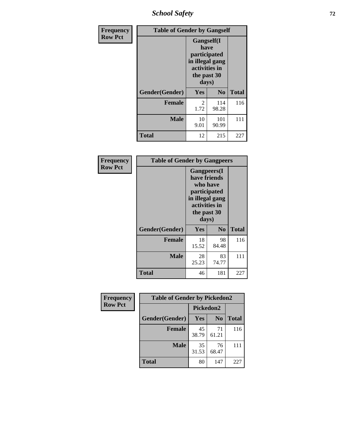*School Safety* **72**

| Frequency      | <b>Table of Gender by Gangself</b> |                                                                                                        |                |              |
|----------------|------------------------------------|--------------------------------------------------------------------------------------------------------|----------------|--------------|
| <b>Row Pct</b> |                                    | <b>Gangself</b> (I<br>have<br>participated<br>in illegal gang<br>activities in<br>the past 30<br>days) |                |              |
|                | Gender(Gender)                     | Yes                                                                                                    | N <sub>0</sub> | <b>Total</b> |
|                | <b>Female</b>                      | $\overline{c}$<br>1.72                                                                                 | 114<br>98.28   | 116          |
|                | <b>Male</b>                        | 10<br>9.01                                                                                             | 101<br>90.99   | 111          |
|                | <b>Total</b>                       | 12                                                                                                     | 215            | 227          |

| Frequency      | <b>Table of Gender by Gangpeers</b> |                                                                                                                             |                |              |
|----------------|-------------------------------------|-----------------------------------------------------------------------------------------------------------------------------|----------------|--------------|
| <b>Row Pct</b> |                                     | <b>Gangpeers</b> (I<br>have friends<br>who have<br>participated<br>in illegal gang<br>activities in<br>the past 30<br>days) |                |              |
|                | Gender(Gender)                      | <b>Yes</b>                                                                                                                  | N <sub>0</sub> | <b>Total</b> |
|                | <b>Female</b>                       | 18<br>15.52                                                                                                                 | 98<br>84.48    | 116          |
|                | <b>Male</b>                         | 28<br>25.23                                                                                                                 | 83<br>74.77    | 111          |
|                | <b>Total</b>                        | 46                                                                                                                          | 181            | 227          |

| Frequency      | <b>Table of Gender by Pickedon2</b> |             |                |              |
|----------------|-------------------------------------|-------------|----------------|--------------|
| <b>Row Pct</b> |                                     | Pickedon2   |                |              |
|                | Gender(Gender)                      | <b>Yes</b>  | N <sub>0</sub> | <b>Total</b> |
|                | <b>Female</b>                       | 45<br>38.79 | 71<br>61.21    | 116          |
|                | <b>Male</b>                         | 35<br>31.53 | 76<br>68.47    | 111          |
|                | <b>Total</b>                        | 80          | 147            | 227          |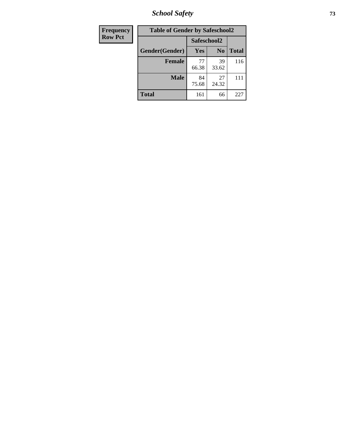*School Safety* **73**

| <b>Frequency</b> | <b>Table of Gender by Safeschool2</b> |             |                |              |
|------------------|---------------------------------------|-------------|----------------|--------------|
| <b>Row Pct</b>   |                                       | Safeschool2 |                |              |
|                  | Gender(Gender)                        | <b>Yes</b>  | N <sub>0</sub> | <b>Total</b> |
|                  | <b>Female</b>                         | 77<br>66.38 | 39<br>33.62    | 116          |
|                  | <b>Male</b>                           | 84<br>75.68 | 27<br>24.32    | 111          |
|                  | <b>Total</b>                          | 161         | 66             | 227          |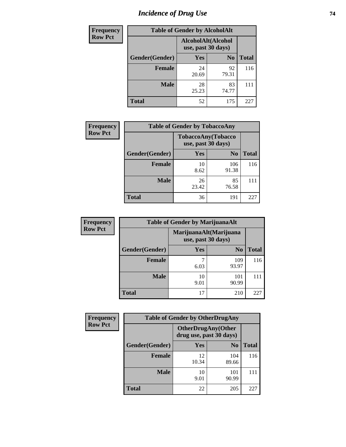# *Incidence of Drug Use* 74

| <b>Frequency</b> | <b>Table of Gender by AlcoholAlt</b> |                                          |                |              |  |
|------------------|--------------------------------------|------------------------------------------|----------------|--------------|--|
| <b>Row Pct</b>   |                                      | AlcoholAlt(Alcohol<br>use, past 30 days) |                |              |  |
|                  | Gender(Gender)                       | Yes                                      | N <sub>0</sub> | <b>Total</b> |  |
|                  | <b>Female</b>                        | 24<br>20.69                              | 92<br>79.31    | 116          |  |
|                  | <b>Male</b>                          | 28<br>25.23                              | 83<br>74.77    | 111          |  |
|                  | <b>Total</b>                         | 52                                       | 175            | 227          |  |

| Frequency      | <b>Table of Gender by TobaccoAny</b> |                                          |                |              |  |
|----------------|--------------------------------------|------------------------------------------|----------------|--------------|--|
| <b>Row Pct</b> |                                      | TobaccoAny(Tobacco<br>use, past 30 days) |                |              |  |
|                | Gender(Gender)                       | Yes                                      | N <sub>0</sub> | <b>Total</b> |  |
|                | <b>Female</b>                        | 10<br>8.62                               | 106<br>91.38   | 116          |  |
|                | <b>Male</b>                          | 26<br>23.42                              | 85<br>76.58    |              |  |
|                | <b>Total</b>                         | 36                                       | 191            | 227          |  |

| <b>Frequency</b> | <b>Table of Gender by MarijuanaAlt</b> |                                              |                |              |
|------------------|----------------------------------------|----------------------------------------------|----------------|--------------|
| <b>Row Pct</b>   |                                        | MarijuanaAlt(Marijuana<br>use, past 30 days) |                |              |
|                  | Gender(Gender)                         | Yes                                          | N <sub>0</sub> | <b>Total</b> |
|                  | <b>Female</b>                          | 6.03                                         | 109<br>93.97   | 116          |
|                  | <b>Male</b>                            | 10<br>9.01                                   | 101<br>90.99   | 111          |
|                  | <b>Total</b>                           |                                              | 210            | 227          |

| <b>Frequency</b> | <b>Table of Gender by OtherDrugAny</b> |                                                       |                |              |  |
|------------------|----------------------------------------|-------------------------------------------------------|----------------|--------------|--|
| <b>Row Pct</b>   |                                        | <b>OtherDrugAny</b> (Other<br>drug use, past 30 days) |                |              |  |
|                  | Gender(Gender)                         | <b>Yes</b>                                            | N <sub>0</sub> | <b>Total</b> |  |
|                  | <b>Female</b>                          | 12<br>10.34                                           | 104<br>89.66   | 116          |  |
|                  | <b>Male</b>                            | 10<br>9.01                                            | 101<br>90.99   | 111          |  |
|                  | <b>Total</b>                           | 22                                                    | 205            | 227          |  |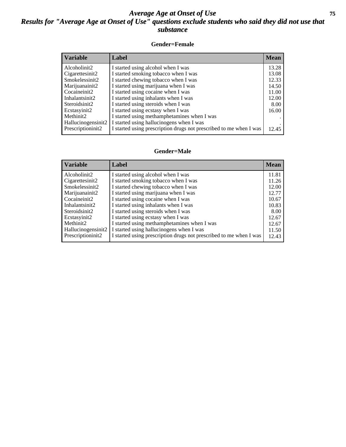## *Average Age at Onset of Use* **75** *Results for "Average Age at Onset of Use" questions exclude students who said they did not use that substance*

### **Gender=Female**

| <b>Variable</b>    | <b>Label</b>                                                       | <b>Mean</b> |
|--------------------|--------------------------------------------------------------------|-------------|
| Alcoholinit2       | I started using alcohol when I was                                 | 13.28       |
| Cigarettesinit2    | I started smoking tobacco when I was                               | 13.08       |
| Smokelessinit2     | I started chewing tobacco when I was                               | 12.33       |
| Marijuanainit2     | I started using marijuana when I was                               | 14.50       |
| Cocaineinit2       | I started using cocaine when I was                                 | 11.00       |
| Inhalantsinit2     | I started using inhalants when I was                               | 12.00       |
| Steroidsinit2      | I started using steroids when I was                                | 8.00        |
| Ecstasyinit2       | I started using ecstasy when I was                                 | 16.00       |
| Methinit2          | I started using methamphetamines when I was                        |             |
| Hallucinogensinit2 | I started using hallucinogens when I was                           |             |
| Prescription in t2 | I started using prescription drugs not prescribed to me when I was | 12.45       |

### **Gender=Male**

| <b>Variable</b>    | Label                                                              | <b>Mean</b> |
|--------------------|--------------------------------------------------------------------|-------------|
| Alcoholinit2       | I started using alcohol when I was                                 | 11.81       |
| Cigarettesinit2    | I started smoking tobacco when I was                               | 11.26       |
| Smokelessinit2     | I started chewing tobacco when I was                               | 12.00       |
| Marijuanainit2     | I started using marijuana when I was                               | 12.77       |
| Cocaineinit2       | I started using cocaine when I was                                 | 10.67       |
| Inhalantsinit2     | I started using inhalants when I was                               | 10.83       |
| Steroidsinit2      | I started using steroids when I was                                | 8.00        |
| Ecstasyinit2       | I started using ecstasy when I was                                 | 12.67       |
| Methinit2          | I started using methamphetamines when I was                        | 12.67       |
| Hallucinogensinit2 | I started using hallucinogens when I was                           | 11.50       |
| Prescriptioninit2  | I started using prescription drugs not prescribed to me when I was | 12.43       |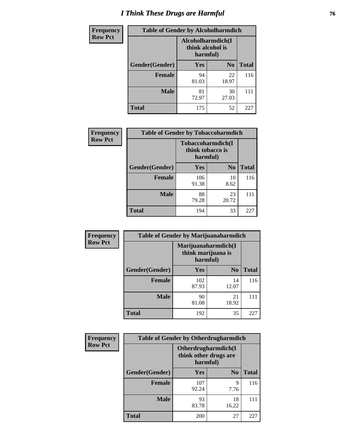# *I Think These Drugs are Harmful* **76**

| <b>Frequency</b> | <b>Table of Gender by Alcoholharmdich</b> |                                                   |                |              |
|------------------|-------------------------------------------|---------------------------------------------------|----------------|--------------|
| <b>Row Pct</b>   |                                           | Alcoholharmdich(I<br>think alcohol is<br>harmful) |                |              |
|                  | Gender(Gender)                            | <b>Yes</b>                                        | N <sub>0</sub> | <b>Total</b> |
|                  | <b>Female</b>                             | 94<br>81.03                                       | 22<br>18.97    | 116          |
|                  | <b>Male</b>                               | 81<br>72.97                                       | 30<br>27.03    | 111          |
|                  | <b>Total</b>                              | 175                                               | 52             | 227          |

| Frequency      | <b>Table of Gender by Tobaccoharmdich</b> |                              |                   |              |
|----------------|-------------------------------------------|------------------------------|-------------------|--------------|
| <b>Row Pct</b> |                                           | think tobacco is<br>harmful) | Tobaccoharmdich(I |              |
|                | Gender(Gender)                            | Yes                          | N <sub>0</sub>    | <b>Total</b> |
|                | <b>Female</b>                             | 106<br>91.38                 | 10<br>8.62        | 116          |
|                | <b>Male</b>                               | 88<br>79.28                  | 23<br>20.72       |              |
|                | <b>Total</b>                              | 194                          | 33                | 225          |

| Frequency      | <b>Table of Gender by Marijuanaharmdich</b> |                                                       |                |              |  |
|----------------|---------------------------------------------|-------------------------------------------------------|----------------|--------------|--|
| <b>Row Pct</b> |                                             | Marijuanaharmdich(I<br>think marijuana is<br>harmful) |                |              |  |
|                | Gender(Gender)                              | <b>Yes</b>                                            | N <sub>0</sub> | <b>Total</b> |  |
|                | <b>Female</b>                               | 102<br>87.93                                          | 14<br>12.07    | 116          |  |
|                | <b>Male</b>                                 | 90<br>81.08                                           | 21<br>18.92    | 111          |  |
|                | <b>Total</b>                                | 192                                                   | 35             | 227          |  |

| Frequency      | <b>Table of Gender by Otherdrugharmdich</b> |                                                          |                |              |
|----------------|---------------------------------------------|----------------------------------------------------------|----------------|--------------|
| <b>Row Pct</b> |                                             | Otherdrugharmdich(I<br>think other drugs are<br>harmful) |                |              |
|                | Gender(Gender)                              | <b>Yes</b>                                               | N <sub>0</sub> | <b>Total</b> |
|                | <b>Female</b>                               | 107<br>92.24                                             | 9<br>7.76      | 116          |
|                | <b>Male</b>                                 | 93<br>83.78                                              | 18<br>16.22    | 111          |
|                | <b>Total</b>                                | 200                                                      | 27             | 227          |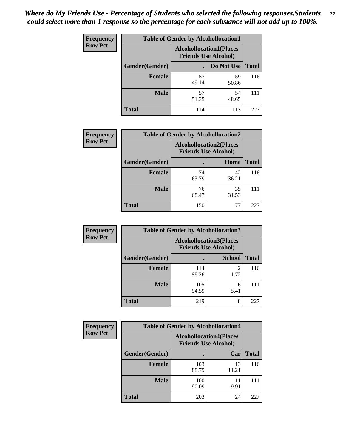| <b>Frequency</b> | <b>Table of Gender by Alcohollocation1</b>                    |             |             |              |
|------------------|---------------------------------------------------------------|-------------|-------------|--------------|
| <b>Row Pct</b>   | <b>Alcohollocation1(Places</b><br><b>Friends Use Alcohol)</b> |             |             |              |
|                  | Gender(Gender)                                                |             | Do Not Use  | <b>Total</b> |
|                  | <b>Female</b>                                                 | 57<br>49.14 | 59<br>50.86 | 116          |
|                  | <b>Male</b>                                                   | 57<br>51.35 | 54<br>48.65 | 111          |
|                  | <b>Total</b>                                                  | 114         | 113         | 227          |

| <b>Frequency</b> | <b>Table of Gender by Alcohollocation2</b> |                                                               |             |              |
|------------------|--------------------------------------------|---------------------------------------------------------------|-------------|--------------|
| <b>Row Pct</b>   |                                            | <b>Alcohollocation2(Places</b><br><b>Friends Use Alcohol)</b> |             |              |
|                  | Gender(Gender)                             |                                                               | <b>Home</b> | <b>Total</b> |
|                  | <b>Female</b>                              | 74<br>63.79                                                   | 42<br>36.21 | 116          |
|                  | <b>Male</b>                                | 76<br>68.47                                                   | 35<br>31.53 |              |
|                  | <b>Total</b>                               | 150                                                           | 77          | 225          |

| Frequency      | <b>Table of Gender by Alcohollocation3</b> |                                                               |               |              |
|----------------|--------------------------------------------|---------------------------------------------------------------|---------------|--------------|
| <b>Row Pct</b> |                                            | <b>Alcohollocation3(Places</b><br><b>Friends Use Alcohol)</b> |               |              |
|                | Gender(Gender)                             |                                                               | <b>School</b> | <b>Total</b> |
|                | <b>Female</b>                              | 114<br>98.28                                                  | 2<br>1.72     | 116          |
|                | <b>Male</b>                                | 105<br>94.59                                                  | 6<br>5.41     | 111          |
|                | <b>Total</b>                               | 219                                                           | 8             | 227          |

| <b>Frequency</b> | <b>Table of Gender by Alcohollocation4</b> |                                                               |             |              |
|------------------|--------------------------------------------|---------------------------------------------------------------|-------------|--------------|
| <b>Row Pct</b>   |                                            | <b>Alcohollocation4(Places</b><br><b>Friends Use Alcohol)</b> |             |              |
|                  | Gender(Gender)                             |                                                               | Car         | <b>Total</b> |
|                  | Female                                     | 103<br>88.79                                                  | 13<br>11.21 | 116          |
|                  | <b>Male</b>                                | 100<br>90.09                                                  | 11<br>9.91  | 111          |
|                  | <b>Total</b>                               | 203                                                           | 24          | 227          |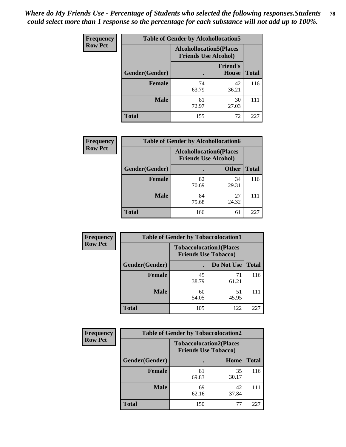| <b>Frequency</b> | <b>Table of Gender by Alcohollocation5</b> |                                                               |                                 |              |
|------------------|--------------------------------------------|---------------------------------------------------------------|---------------------------------|--------------|
| <b>Row Pct</b>   |                                            | <b>Alcohollocation5(Places</b><br><b>Friends Use Alcohol)</b> |                                 |              |
|                  | Gender(Gender)                             |                                                               | <b>Friend's</b><br><b>House</b> | <b>Total</b> |
|                  | <b>Female</b>                              | 74<br>63.79                                                   | 42<br>36.21                     | 116          |
|                  | <b>Male</b>                                | 81<br>72.97                                                   | 30<br>27.03                     | 111          |
|                  | <b>Total</b>                               | 155                                                           | 72                              | 227          |

| Frequency      | <b>Table of Gender by Alcohollocation6</b> |                                                               |              |              |
|----------------|--------------------------------------------|---------------------------------------------------------------|--------------|--------------|
| <b>Row Pct</b> |                                            | <b>Alcohollocation6(Places</b><br><b>Friends Use Alcohol)</b> |              |              |
|                | Gender(Gender)                             |                                                               | <b>Other</b> | <b>Total</b> |
|                | <b>Female</b>                              | 82<br>70.69                                                   | 34<br>29.31  | 116          |
|                | <b>Male</b>                                | 84<br>75.68                                                   | 27<br>24.32  |              |
|                | <b>Total</b>                               | 166                                                           | 61           | 227          |

| Frequency      | <b>Table of Gender by Tobaccolocation1</b> |                                                               |             |              |  |
|----------------|--------------------------------------------|---------------------------------------------------------------|-------------|--------------|--|
| <b>Row Pct</b> |                                            | <b>Tobaccolocation1(Places</b><br><b>Friends Use Tobacco)</b> |             |              |  |
|                | Gender(Gender)                             |                                                               | Do Not Use  | <b>Total</b> |  |
|                | Female                                     | 45<br>38.79                                                   | 71<br>61.21 | 116          |  |
|                | <b>Male</b>                                | 60<br>54.05                                                   | 51<br>45.95 | 111          |  |
|                | <b>Total</b>                               | 105                                                           | 122         | 227          |  |

| <b>Frequency</b> | <b>Table of Gender by Tobaccolocation2</b> |                                                               |             |              |
|------------------|--------------------------------------------|---------------------------------------------------------------|-------------|--------------|
| <b>Row Pct</b>   |                                            | <b>Tobaccolocation2(Places</b><br><b>Friends Use Tobacco)</b> |             |              |
|                  | Gender(Gender)                             |                                                               | Home        | <b>Total</b> |
|                  | Female                                     | 81<br>69.83                                                   | 35<br>30.17 | 116          |
|                  | <b>Male</b>                                | 69<br>62.16                                                   | 42<br>37.84 | 111          |
|                  | <b>Total</b>                               | 150                                                           | 77          | 227          |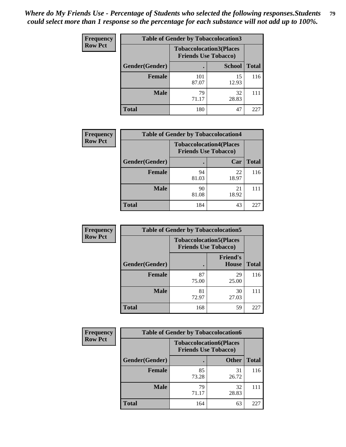| <b>Frequency</b> | <b>Table of Gender by Tobaccolocation3</b> |                                                               |               |              |
|------------------|--------------------------------------------|---------------------------------------------------------------|---------------|--------------|
| <b>Row Pct</b>   |                                            | <b>Tobaccolocation3(Places</b><br><b>Friends Use Tobacco)</b> |               |              |
|                  | Gender(Gender)                             |                                                               | <b>School</b> | <b>Total</b> |
|                  | <b>Female</b>                              | 101<br>87.07                                                  | 15<br>12.93   | 116          |
|                  | <b>Male</b>                                | 79<br>71.17                                                   | 32<br>28.83   |              |
|                  | <b>Total</b>                               | 180                                                           | 47            | 227          |

| <b>Frequency</b> | <b>Table of Gender by Tobaccolocation4</b> |                                                               |             |              |
|------------------|--------------------------------------------|---------------------------------------------------------------|-------------|--------------|
| <b>Row Pct</b>   |                                            | <b>Tobaccolocation4(Places</b><br><b>Friends Use Tobacco)</b> |             |              |
|                  | Gender(Gender)                             |                                                               | Car         | <b>Total</b> |
|                  | <b>Female</b>                              | 94<br>81.03                                                   | 22<br>18.97 | 116          |
|                  | <b>Male</b>                                | 90<br>81.08                                                   | 21<br>18.92 |              |
|                  | <b>Total</b>                               | 184                                                           | 43          | 227          |

| <b>Frequency</b> | <b>Table of Gender by Tobaccolocation5</b> |                             |                                |              |
|------------------|--------------------------------------------|-----------------------------|--------------------------------|--------------|
| <b>Row Pct</b>   |                                            | <b>Friends Use Tobacco)</b> | <b>Tobaccolocation5(Places</b> |              |
|                  | Gender(Gender)                             |                             | <b>Friend's</b><br>House       | <b>Total</b> |
|                  | Female                                     | 87<br>75.00                 | 29<br>25.00                    | 116          |
|                  | <b>Male</b>                                | 81<br>72.97                 | 30<br>27.03                    | 111          |
|                  | <b>Total</b>                               | 168                         | 59                             | 227          |

| <b>Frequency</b> | <b>Table of Gender by Tobaccolocation6</b> |                                                               |              |              |  |
|------------------|--------------------------------------------|---------------------------------------------------------------|--------------|--------------|--|
| <b>Row Pct</b>   |                                            | <b>Tobaccolocation6(Places</b><br><b>Friends Use Tobacco)</b> |              |              |  |
|                  | Gender(Gender)                             |                                                               | <b>Other</b> | <b>Total</b> |  |
|                  | Female                                     | 85<br>73.28                                                   | 31<br>26.72  | 116          |  |
|                  | <b>Male</b>                                | 79<br>71.17                                                   | 32<br>28.83  | 111          |  |
|                  | <b>Total</b>                               | 164                                                           | 63           | 227          |  |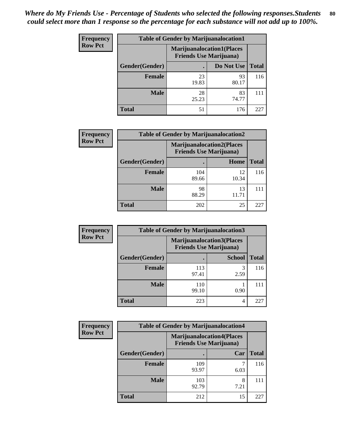| <b>Frequency</b> | <b>Table of Gender by Marijuanalocation1</b> |                                                                    |             |              |
|------------------|----------------------------------------------|--------------------------------------------------------------------|-------------|--------------|
| <b>Row Pct</b>   |                                              | <b>Marijuanalocation1(Places</b><br><b>Friends Use Marijuana</b> ) |             |              |
|                  | Gender(Gender)                               |                                                                    | Do Not Use  | <b>Total</b> |
|                  | <b>Female</b>                                | 23<br>19.83                                                        | 93<br>80.17 | 116          |
|                  | <b>Male</b>                                  | 28<br>25.23                                                        | 83<br>74.77 | 111          |
|                  | <b>Total</b>                                 | 51                                                                 | 176         | 227          |

| <b>Frequency</b> | <b>Table of Gender by Marijuanalocation2</b> |                                                                    |             |              |  |
|------------------|----------------------------------------------|--------------------------------------------------------------------|-------------|--------------|--|
| <b>Row Pct</b>   |                                              | <b>Marijuanalocation2(Places</b><br><b>Friends Use Marijuana</b> ) |             |              |  |
|                  | Gender(Gender)                               |                                                                    | Home        | <b>Total</b> |  |
|                  | <b>Female</b>                                | 104<br>89.66                                                       | 12<br>10.34 | 116          |  |
|                  | <b>Male</b>                                  | 98<br>88.29                                                        | 13<br>11.71 | 111          |  |
|                  | <b>Total</b>                                 | 202                                                                | 25          | 227          |  |

| Frequency      | <b>Table of Gender by Marijuanalocation3</b> |                                                                    |               |              |
|----------------|----------------------------------------------|--------------------------------------------------------------------|---------------|--------------|
| <b>Row Pct</b> |                                              | <b>Marijuanalocation3(Places</b><br><b>Friends Use Marijuana</b> ) |               |              |
|                | Gender(Gender)                               |                                                                    | <b>School</b> | <b>Total</b> |
|                | Female                                       | 113<br>97.41                                                       | 2.59          | 116          |
|                | <b>Male</b>                                  | 110<br>99.10                                                       | 0.90          |              |
|                | <b>Total</b>                                 | 223                                                                | 4             | 227          |

| <b>Frequency</b> | <b>Table of Gender by Marijuanalocation4</b> |                                                                    |           |              |
|------------------|----------------------------------------------|--------------------------------------------------------------------|-----------|--------------|
| <b>Row Pct</b>   |                                              | <b>Marijuanalocation4(Places</b><br><b>Friends Use Marijuana</b> ) |           |              |
|                  | Gender(Gender)                               |                                                                    | Car       | <b>Total</b> |
|                  | <b>Female</b>                                | 109<br>93.97                                                       | 6.03      | 116          |
|                  | <b>Male</b>                                  | 103<br>92.79                                                       | 8<br>7.21 | 111          |
|                  | <b>Total</b>                                 | 212                                                                | 15        | 221          |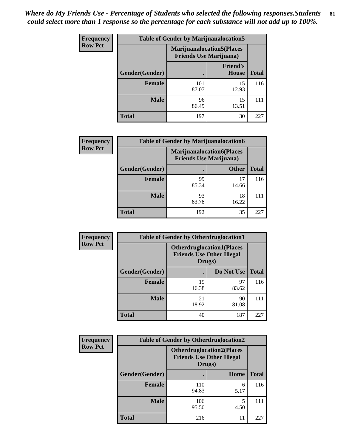| <b>Frequency</b> | <b>Table of Gender by Marijuanalocation5</b> |                                                                     |                                 |              |
|------------------|----------------------------------------------|---------------------------------------------------------------------|---------------------------------|--------------|
| <b>Row Pct</b>   |                                              | <b>Marijuanalocation5</b> (Places<br><b>Friends Use Marijuana</b> ) |                                 |              |
|                  | Gender(Gender)                               |                                                                     | <b>Friend's</b><br><b>House</b> | <b>Total</b> |
|                  | <b>Female</b>                                | 101<br>87.07                                                        | 15<br>12.93                     | 116          |
|                  | <b>Male</b>                                  | 96<br>86.49                                                         | 15<br>13.51                     |              |
|                  | <b>Total</b>                                 | 197                                                                 | 30                              | 227          |

| <b>Frequency</b> | <b>Table of Gender by Marijuanalocation6</b> |                                                                     |              |              |  |
|------------------|----------------------------------------------|---------------------------------------------------------------------|--------------|--------------|--|
| <b>Row Pct</b>   |                                              | <b>Marijuanalocation6(Places)</b><br><b>Friends Use Marijuana</b> ) |              |              |  |
|                  | <b>Gender</b> (Gender)                       |                                                                     | <b>Other</b> | <b>Total</b> |  |
|                  | <b>Female</b>                                | 99<br>85.34                                                         | 17<br>14.66  | 116          |  |
|                  | <b>Male</b>                                  | 93<br>83.78                                                         | 18<br>16.22  | 111          |  |
|                  | <b>Total</b>                                 | 192                                                                 | 35           | 227          |  |

| <b>Frequency</b> | <b>Table of Gender by Otherdruglocation1</b> |                                                                                |             |              |
|------------------|----------------------------------------------|--------------------------------------------------------------------------------|-------------|--------------|
| <b>Row Pct</b>   |                                              | <b>Otherdruglocation1(Places</b><br><b>Friends Use Other Illegal</b><br>Drugs) |             |              |
|                  | Gender(Gender)                               |                                                                                | Do Not Use  | <b>Total</b> |
|                  | <b>Female</b>                                | 19<br>16.38                                                                    | 97<br>83.62 | 116          |
|                  | <b>Male</b>                                  | 21<br>18.92                                                                    | 90<br>81.08 | 111          |
|                  | <b>Total</b>                                 | 40                                                                             | 187         | 227          |

| Frequency      | <b>Table of Gender by Otherdruglocation2</b> |                                                                                |           |              |
|----------------|----------------------------------------------|--------------------------------------------------------------------------------|-----------|--------------|
| <b>Row Pct</b> |                                              | <b>Otherdruglocation2(Places</b><br><b>Friends Use Other Illegal</b><br>Drugs) |           |              |
|                | Gender(Gender)                               |                                                                                | Home      | <b>Total</b> |
|                | Female                                       | 110<br>94.83                                                                   | 6<br>5.17 | 116          |
|                | <b>Male</b>                                  | 106<br>95.50                                                                   | 4.50      | 111          |
|                | <b>Total</b>                                 | 216                                                                            | 11        | 227          |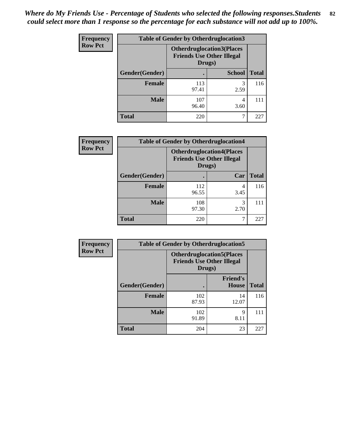| Frequency      | <b>Table of Gender by Otherdruglocation3</b> |                                                                                |               |              |
|----------------|----------------------------------------------|--------------------------------------------------------------------------------|---------------|--------------|
| <b>Row Pct</b> |                                              | <b>Otherdruglocation3(Places</b><br><b>Friends Use Other Illegal</b><br>Drugs) |               |              |
|                | Gender(Gender)                               |                                                                                | <b>School</b> | <b>Total</b> |
|                | <b>Female</b>                                | 113<br>97.41                                                                   | 3<br>2.59     | 116          |
|                | <b>Male</b>                                  | 107<br>96.40                                                                   | 4<br>3.60     | 111          |
|                | <b>Total</b>                                 | 220                                                                            |               | 227          |

| Frequency      | <b>Table of Gender by Otherdruglocation4</b> |                                                                                |           |              |
|----------------|----------------------------------------------|--------------------------------------------------------------------------------|-----------|--------------|
| <b>Row Pct</b> |                                              | <b>Otherdruglocation4(Places</b><br><b>Friends Use Other Illegal</b><br>Drugs) |           |              |
|                | Gender(Gender)                               |                                                                                | Car       | <b>Total</b> |
|                | <b>Female</b>                                | 112<br>96.55                                                                   | 4<br>3.45 | 116          |
|                | <b>Male</b>                                  | 108<br>97.30                                                                   | 3<br>2.70 | 111          |
|                | <b>Total</b>                                 | 220                                                                            |           | 227          |

| Frequency      | <b>Table of Gender by Otherdruglocation5</b> |              |                                                                                |              |
|----------------|----------------------------------------------|--------------|--------------------------------------------------------------------------------|--------------|
| <b>Row Pct</b> |                                              |              | <b>Otherdruglocation5(Places</b><br><b>Friends Use Other Illegal</b><br>Drugs) |              |
|                | Gender(Gender)                               |              | <b>Friend's</b><br><b>House</b>                                                | <b>Total</b> |
|                | <b>Female</b>                                | 102<br>87.93 | 14<br>12.07                                                                    | 116          |
|                | <b>Male</b>                                  | 102<br>91.89 | 9<br>8.11                                                                      | 111          |
|                | <b>Total</b>                                 | 204          | 23                                                                             | 227          |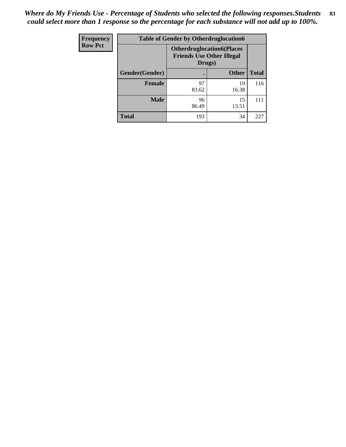| <b>Frequency</b> | <b>Table of Gender by Otherdruglocation6</b> |                                            |                                  |              |
|------------------|----------------------------------------------|--------------------------------------------|----------------------------------|--------------|
| <b>Row Pct</b>   |                                              | <b>Friends Use Other Illegal</b><br>Drugs) | <b>Otherdruglocation6(Places</b> |              |
|                  | Gender(Gender)                               |                                            | <b>Other</b>                     | <b>Total</b> |
|                  | <b>Female</b>                                | 97<br>83.62                                | 19<br>16.38                      | 116          |
|                  | <b>Male</b>                                  | 96<br>86.49                                | 15<br>13.51                      | 111          |
|                  | <b>Total</b>                                 | 193                                        | 34                               | 227          |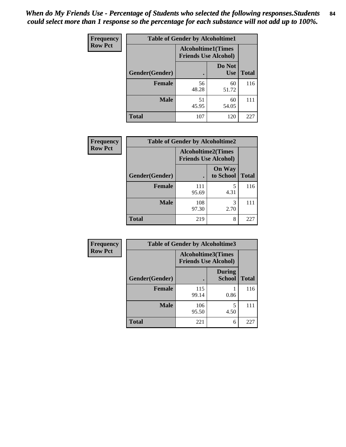| <b>Frequency</b> | <b>Table of Gender by Alcoholtime1</b> |                                                          |                      |              |
|------------------|----------------------------------------|----------------------------------------------------------|----------------------|--------------|
| <b>Row Pct</b>   |                                        | <b>Alcoholtime1(Times</b><br><b>Friends Use Alcohol)</b> |                      |              |
|                  | Gender(Gender)                         | $\bullet$                                                | Do Not<br><b>Use</b> | <b>Total</b> |
|                  | <b>Female</b>                          | 56<br>48.28                                              | 60<br>51.72          | 116          |
|                  | <b>Male</b>                            | 51<br>45.95                                              | 60<br>54.05          | 111          |
|                  | <b>Total</b>                           | 107                                                      | 120                  | 227          |

| <b>Frequency</b> | <b>Table of Gender by Alcoholtime2</b> |                                                          |                            |              |
|------------------|----------------------------------------|----------------------------------------------------------|----------------------------|--------------|
| <b>Row Pct</b>   |                                        | <b>Alcoholtime2(Times</b><br><b>Friends Use Alcohol)</b> |                            |              |
|                  | Gender(Gender)                         |                                                          | <b>On Way</b><br>to School | <b>Total</b> |
|                  | <b>Female</b>                          | 111<br>95.69                                             | 5<br>4.31                  | 116          |
|                  | <b>Male</b>                            | 108<br>97.30                                             | 3<br>2.70                  | 111          |
|                  | <b>Total</b>                           | 219                                                      | 8                          | 227          |

| <b>Frequency</b> | <b>Table of Gender by Alcoholtime3</b> |                                                          |                         |              |
|------------------|----------------------------------------|----------------------------------------------------------|-------------------------|--------------|
| <b>Row Pct</b>   |                                        | <b>Alcoholtime3(Times</b><br><b>Friends Use Alcohol)</b> |                         |              |
|                  | Gender(Gender)                         |                                                          | <b>During</b><br>School | <b>Total</b> |
|                  | <b>Female</b>                          | 115<br>99.14                                             | 0.86                    | 116          |
|                  | <b>Male</b>                            | 106<br>95.50                                             | 5<br>4.50               | 111          |
|                  | <b>Total</b>                           | 221                                                      | 6                       | 227          |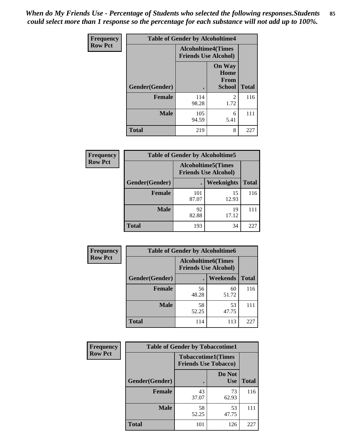*When do My Friends Use - Percentage of Students who selected the following responses.Students could select more than 1 response so the percentage for each substance will not add up to 100%.* **85**

| <b>Frequency</b> | <b>Table of Gender by Alcoholtime4</b> |                                                          |                                                |              |
|------------------|----------------------------------------|----------------------------------------------------------|------------------------------------------------|--------------|
| <b>Row Pct</b>   |                                        | <b>Alcoholtime4(Times</b><br><b>Friends Use Alcohol)</b> |                                                |              |
|                  | Gender(Gender)                         |                                                          | <b>On Way</b><br>Home<br>From<br><b>School</b> | <b>Total</b> |
|                  | <b>Female</b>                          | 114<br>98.28                                             | $\overline{2}$<br>1.72                         | 116          |
|                  | <b>Male</b>                            | 105<br>94.59                                             | 6<br>5.41                                      | 111          |
|                  | <b>Total</b>                           | 219                                                      | 8                                              | 227          |

| <b>Frequency</b> | <b>Table of Gender by Alcoholtime5</b> |              |                                                           |              |  |
|------------------|----------------------------------------|--------------|-----------------------------------------------------------|--------------|--|
| <b>Row Pct</b>   |                                        |              | <b>Alcoholtime5</b> (Times<br><b>Friends Use Alcohol)</b> |              |  |
|                  | Gender(Gender)                         |              | Weeknights                                                | <b>Total</b> |  |
|                  | <b>Female</b>                          | 101<br>87.07 | 15<br>12.93                                               | 116          |  |
|                  | <b>Male</b>                            | 92<br>82.88  | 19<br>17.12                                               | 111          |  |
|                  | <b>Total</b>                           | 193          | 34                                                        | 227          |  |

| <b>Frequency</b> | <b>Table of Gender by Alcoholtime6</b> |                                                          |             |              |
|------------------|----------------------------------------|----------------------------------------------------------|-------------|--------------|
| <b>Row Pct</b>   |                                        | <b>Alcoholtime6(Times</b><br><b>Friends Use Alcohol)</b> |             |              |
|                  | Gender(Gender)                         |                                                          | Weekends    | <b>Total</b> |
|                  | Female                                 | 56<br>48.28                                              | 60<br>51.72 | 116          |
|                  | <b>Male</b>                            | 58<br>52.25                                              | 53<br>47.75 | 111          |
|                  | <b>Total</b>                           | 114                                                      | 113         | 227          |

| <b>Frequency</b> | <b>Table of Gender by Tobaccotime1</b> |             |                                                          |              |
|------------------|----------------------------------------|-------------|----------------------------------------------------------|--------------|
| <b>Row Pct</b>   |                                        |             | <b>Tobaccotime1(Times</b><br><b>Friends Use Tobacco)</b> |              |
|                  | Gender(Gender)                         |             | Do Not<br><b>Use</b>                                     | <b>Total</b> |
|                  | Female                                 | 43<br>37.07 | 73<br>62.93                                              | 116          |
|                  | <b>Male</b>                            | 58<br>52.25 | 53<br>47.75                                              | 111          |
|                  | <b>Total</b>                           | 101         | 126                                                      | 227          |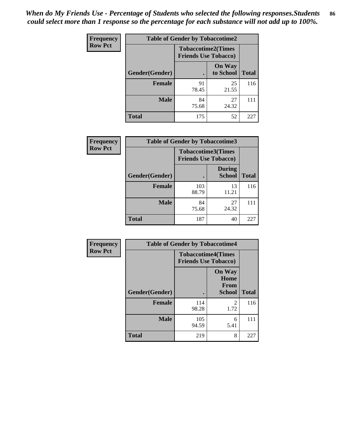| <b>Frequency</b> | <b>Table of Gender by Tobaccotime2</b> |                             |                            |              |
|------------------|----------------------------------------|-----------------------------|----------------------------|--------------|
| <b>Row Pct</b>   |                                        | <b>Friends Use Tobacco)</b> | <b>Tobaccotime2(Times</b>  |              |
|                  | Gender(Gender)                         |                             | <b>On Way</b><br>to School | <b>Total</b> |
|                  | <b>Female</b>                          | 91<br>78.45                 | 25<br>21.55                | 116          |
|                  | <b>Male</b>                            | 84<br>75.68                 | 27<br>24.32                | 111          |
|                  | <b>Total</b>                           | 175                         | 52                         | 227          |

| Frequency      | <b>Table of Gender by Tobaccotime3</b> |                             |                                |              |
|----------------|----------------------------------------|-----------------------------|--------------------------------|--------------|
| <b>Row Pct</b> |                                        | <b>Friends Use Tobacco)</b> | <b>Tobaccotime3(Times</b>      |              |
|                | Gender(Gender)                         |                             | <b>During</b><br><b>School</b> | <b>Total</b> |
|                | <b>Female</b>                          | 103<br>88.79                | 13<br>11.21                    | 116          |
|                | <b>Male</b>                            | 84<br>75.68                 | 27<br>24.32                    | 111          |
|                | <b>Total</b>                           | 187                         | 40                             | 227          |

| <b>Frequency</b> | <b>Table of Gender by Tobaccotime4</b> |                                                          |                                                |              |
|------------------|----------------------------------------|----------------------------------------------------------|------------------------------------------------|--------------|
| <b>Row Pct</b>   |                                        | <b>Tobaccotime4(Times</b><br><b>Friends Use Tobacco)</b> |                                                |              |
|                  | Gender(Gender)                         |                                                          | <b>On Way</b><br>Home<br>From<br><b>School</b> | <b>Total</b> |
|                  | <b>Female</b>                          | 114<br>98.28                                             | $\mathfrak{D}$<br>1.72                         | 116          |
|                  | <b>Male</b>                            | 105<br>94.59                                             | 6<br>5.41                                      | 111          |
|                  | <b>Total</b>                           | 219                                                      | 8                                              | 227          |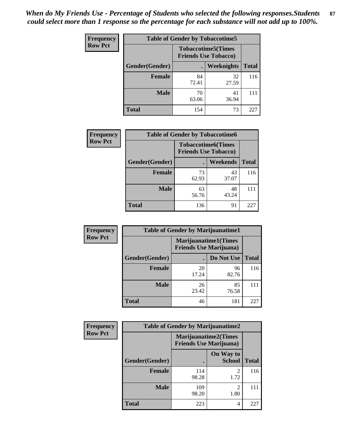| Frequency      | <b>Table of Gender by Tobaccotime5</b> |             |                                                          |              |  |
|----------------|----------------------------------------|-------------|----------------------------------------------------------|--------------|--|
| <b>Row Pct</b> |                                        |             | <b>Tobaccotime5(Times</b><br><b>Friends Use Tobacco)</b> |              |  |
|                | Gender(Gender)                         |             | Weeknights                                               | <b>Total</b> |  |
|                | <b>Female</b>                          | 84<br>72.41 | 32<br>27.59                                              | 116          |  |
|                | <b>Male</b>                            | 70<br>63.06 | 41<br>36.94                                              | 111          |  |
|                | <b>Total</b>                           | 154         | 73                                                       | 227          |  |

| <b>Frequency</b> | <b>Table of Gender by Tobaccotime6</b> |                                                          |                 |              |
|------------------|----------------------------------------|----------------------------------------------------------|-----------------|--------------|
| <b>Row Pct</b>   |                                        | <b>Tobaccotime6(Times</b><br><b>Friends Use Tobacco)</b> |                 |              |
|                  | Gender(Gender)                         |                                                          | <b>Weekends</b> | <b>Total</b> |
|                  | Female                                 | 73<br>62.93                                              | 43<br>37.07     | 116          |
|                  | <b>Male</b>                            | 63<br>56.76                                              | 48<br>43.24     | 111          |
|                  | <b>Total</b>                           | 136                                                      | 91              | 227          |

| <b>Frequency</b> | <b>Table of Gender by Marijuanatime1</b> |                                                               |             |              |
|------------------|------------------------------------------|---------------------------------------------------------------|-------------|--------------|
| <b>Row Pct</b>   |                                          | <b>Marijuanatime1(Times</b><br><b>Friends Use Marijuana</b> ) |             |              |
|                  | Gender(Gender)                           |                                                               | Do Not Use  | <b>Total</b> |
|                  | <b>Female</b>                            | 20<br>17.24                                                   | 96<br>82.76 | 116          |
|                  | <b>Male</b>                              | 26<br>23.42                                                   | 85<br>76.58 | 111          |
|                  | <b>Total</b>                             | 46                                                            | 181         | 227          |

| <b>Frequency</b> | <b>Table of Gender by Marijuanatime2</b> |                                                               |                                     |              |
|------------------|------------------------------------------|---------------------------------------------------------------|-------------------------------------|--------------|
| <b>Row Pct</b>   |                                          | <b>Marijuanatime2(Times</b><br><b>Friends Use Marijuana</b> ) |                                     |              |
|                  | Gender(Gender)                           |                                                               | On Way to<br><b>School</b>          | <b>Total</b> |
|                  | <b>Female</b>                            | 114<br>98.28                                                  | 2<br>1.72                           | 116          |
|                  | <b>Male</b>                              | 109<br>98.20                                                  | $\mathcal{D}_{\mathcal{L}}$<br>1.80 | 111          |
|                  | <b>Total</b>                             | 223                                                           | 4                                   | 227          |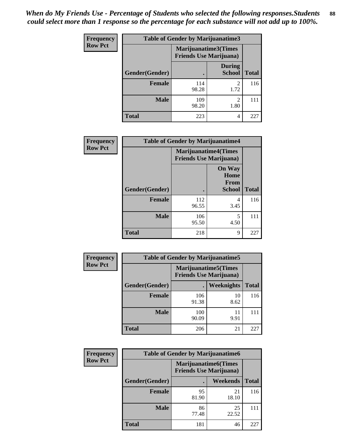| <b>Frequency</b> | <b>Table of Gender by Marijuanatime3</b> |                                |                                     |              |
|------------------|------------------------------------------|--------------------------------|-------------------------------------|--------------|
| <b>Row Pct</b>   |                                          | <b>Friends Use Marijuana</b> ) | Marijuanatime3(Times                |              |
|                  | Gender(Gender)                           |                                | <b>During</b><br><b>School</b>      | <b>Total</b> |
|                  | <b>Female</b>                            | 114<br>98.28                   | $\mathfrak{D}$<br>1.72              | 116          |
|                  | <b>Male</b>                              | 109<br>98.20                   | $\mathcal{D}_{\mathcal{L}}$<br>1.80 | 111          |
|                  | <b>Total</b>                             | 223                            | 4                                   | 227          |

| Frequency      | <b>Table of Gender by Marijuanatime4</b> |                                                               |                                                |              |
|----------------|------------------------------------------|---------------------------------------------------------------|------------------------------------------------|--------------|
| <b>Row Pct</b> |                                          | <b>Marijuanatime4(Times</b><br><b>Friends Use Marijuana</b> ) |                                                |              |
|                | Gender(Gender)                           |                                                               | <b>On Way</b><br>Home<br>From<br><b>School</b> | <b>Total</b> |
|                | <b>Female</b>                            | 112<br>96.55                                                  | 4<br>3.45                                      | 116          |
|                | <b>Male</b>                              | 106<br>95.50                                                  | 5<br>4.50                                      | 111          |
|                | <b>Total</b>                             | 218                                                           | 9                                              | 227          |

| <b>Frequency</b> | <b>Table of Gender by Marijuanatime5</b> |              |                                                                |              |
|------------------|------------------------------------------|--------------|----------------------------------------------------------------|--------------|
| <b>Row Pct</b>   |                                          |              | <b>Marijuanatime5</b> (Times<br><b>Friends Use Marijuana</b> ) |              |
|                  | Gender(Gender)                           | ٠            | Weeknights                                                     | <b>Total</b> |
|                  | <b>Female</b>                            | 106<br>91.38 | 10<br>8.62                                                     | 116          |
|                  | <b>Male</b>                              | 100<br>90.09 | 11<br>9.91                                                     | 111          |
|                  | <b>Total</b>                             | 206          | 21                                                             | 227          |

| <b>Frequency</b> | <b>Table of Gender by Marijuanatime6</b> |                                                                |                 |              |  |
|------------------|------------------------------------------|----------------------------------------------------------------|-----------------|--------------|--|
| <b>Row Pct</b>   |                                          | <b>Marijuanatime6</b> (Times<br><b>Friends Use Marijuana</b> ) |                 |              |  |
|                  | Gender(Gender)                           |                                                                | <b>Weekends</b> | <b>Total</b> |  |
|                  | <b>Female</b>                            | 95<br>81.90                                                    | 21<br>18.10     | 116          |  |
|                  | <b>Male</b>                              | 86<br>77.48                                                    | 25<br>22.52     | 111          |  |
|                  | <b>Total</b>                             | 181                                                            | 46              | 227          |  |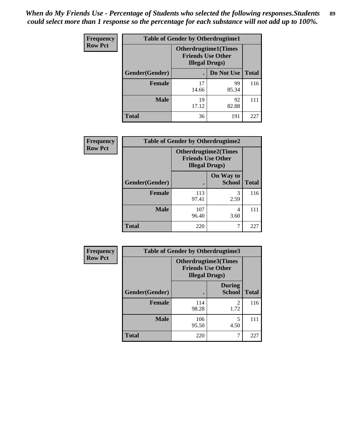*When do My Friends Use - Percentage of Students who selected the following responses.Students could select more than 1 response so the percentage for each substance will not add up to 100%.* **89**

| <b>Frequency</b> | <b>Table of Gender by Otherdrugtime1</b> |                                                                                    |             |              |
|------------------|------------------------------------------|------------------------------------------------------------------------------------|-------------|--------------|
| <b>Row Pct</b>   |                                          | <b>Otherdrugtime1</b> (Times<br><b>Friends Use Other</b><br><b>Illegal Drugs</b> ) |             |              |
|                  | Gender(Gender)                           |                                                                                    | Do Not Use  | <b>Total</b> |
|                  | <b>Female</b>                            | 17<br>14.66                                                                        | 99<br>85.34 | 116          |
|                  | <b>Male</b>                              | 19<br>17.12                                                                        | 92<br>82.88 | 111          |
|                  | <b>Total</b>                             | 36                                                                                 | 191         | 227          |

| <b>Frequency</b> | <b>Table of Gender by Otherdrugtime2</b> |                                                                                   |                            |              |
|------------------|------------------------------------------|-----------------------------------------------------------------------------------|----------------------------|--------------|
| <b>Row Pct</b>   |                                          | <b>Otherdrugtime2(Times</b><br><b>Friends Use Other</b><br><b>Illegal Drugs</b> ) |                            |              |
|                  | <b>Gender</b> (Gender)                   |                                                                                   | On Way to<br><b>School</b> | <b>Total</b> |
|                  | <b>Female</b>                            | 113<br>97.41                                                                      | 3<br>2.59                  | 116          |
|                  | <b>Male</b>                              | 107<br>96.40                                                                      | 4<br>3.60                  | 111          |
|                  | <b>Total</b>                             | 220                                                                               |                            | 227          |

| <b>Frequency</b> |                | <b>Table of Gender by Otherdrugtime3</b>           |                                |              |
|------------------|----------------|----------------------------------------------------|--------------------------------|--------------|
| <b>Row Pct</b>   |                | <b>Friends Use Other</b><br><b>Illegal Drugs</b> ) | Otherdrugtime3(Times           |              |
|                  | Gender(Gender) |                                                    | <b>During</b><br><b>School</b> | <b>Total</b> |
|                  | <b>Female</b>  | 114<br>98.28                                       | $\overline{2}$<br>1.72         | 116          |
|                  | <b>Male</b>    | 106<br>95.50                                       | 5<br>4.50                      | 111          |
|                  | <b>Total</b>   | 220                                                | 7                              | 227          |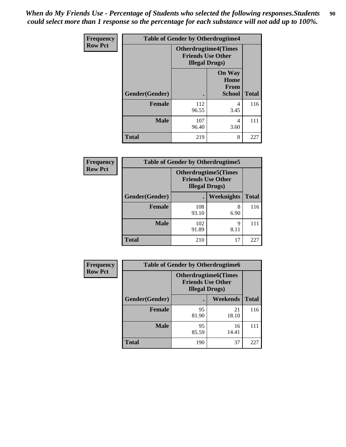*When do My Friends Use - Percentage of Students who selected the following responses.Students could select more than 1 response so the percentage for each substance will not add up to 100%.* **90**

| Frequency      | <b>Table of Gender by Otherdrugtime4</b> |                                                    |                                                       |              |
|----------------|------------------------------------------|----------------------------------------------------|-------------------------------------------------------|--------------|
| <b>Row Pct</b> |                                          | <b>Friends Use Other</b><br><b>Illegal Drugs</b> ) | <b>Otherdrugtime4(Times</b>                           |              |
|                | Gender(Gender)                           |                                                    | <b>On Way</b><br>Home<br><b>From</b><br><b>School</b> | <b>Total</b> |
|                | <b>Female</b>                            | 112<br>96.55                                       | 4<br>3.45                                             | 116          |
|                | <b>Male</b>                              | 107<br>96.40                                       | 4<br>3.60                                             | 111          |
|                | <b>Total</b>                             | 219                                                | 8                                                     | 227          |

| <b>Frequency</b> | <b>Table of Gender by Otherdrugtime5</b> |                                                                                    |            |              |
|------------------|------------------------------------------|------------------------------------------------------------------------------------|------------|--------------|
| <b>Row Pct</b>   |                                          | <b>Otherdrugtime5</b> (Times<br><b>Friends Use Other</b><br><b>Illegal Drugs</b> ) |            |              |
|                  | Gender(Gender)                           |                                                                                    | Weeknights | <b>Total</b> |
|                  | <b>Female</b>                            | 108<br>93.10                                                                       | 8<br>6.90  | 116          |
|                  | <b>Male</b>                              | 102<br>91.89                                                                       | 9<br>8.11  | 111          |
|                  | <b>Total</b>                             | 210                                                                                | 17         | 227          |

| <b>Frequency</b> | <b>Table of Gender by Otherdrugtime6</b> |                                                                                   |             |              |
|------------------|------------------------------------------|-----------------------------------------------------------------------------------|-------------|--------------|
| <b>Row Pct</b>   |                                          | <b>Otherdrugtime6(Times</b><br><b>Friends Use Other</b><br><b>Illegal Drugs</b> ) |             |              |
|                  | Gender(Gender)                           |                                                                                   | Weekends    | <b>Total</b> |
|                  | <b>Female</b>                            | 95<br>81.90                                                                       | 21<br>18.10 | 116          |
|                  | <b>Male</b>                              | 95<br>85.59                                                                       | 16<br>14.41 | 111          |
|                  | <b>Total</b>                             | 190                                                                               | 37          | 227          |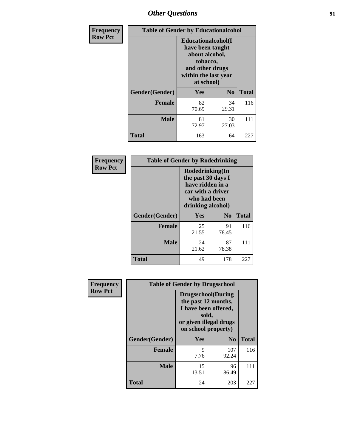# *Other Questions* **91**

| <b>Frequency</b> | <b>Table of Gender by Educationalcohol</b> |                                                                                                                                       |                |              |
|------------------|--------------------------------------------|---------------------------------------------------------------------------------------------------------------------------------------|----------------|--------------|
| <b>Row Pct</b>   |                                            | <b>Educationalcohol</b> (I<br>have been taught<br>about alcohol,<br>tobacco,<br>and other drugs<br>within the last year<br>at school) |                |              |
|                  | Gender(Gender)                             | <b>Yes</b>                                                                                                                            | N <sub>0</sub> | <b>Total</b> |
|                  | <b>Female</b>                              | 82<br>70.69                                                                                                                           | 34<br>29.31    | 116          |
|                  | <b>Male</b>                                | 81<br>72.97                                                                                                                           | 30<br>27.03    | 111          |
|                  | <b>Total</b>                               | 163                                                                                                                                   | 64             | 227          |

| Frequency      | <b>Table of Gender by Rodedrinking</b> |                                                                                                                     |             |              |  |
|----------------|----------------------------------------|---------------------------------------------------------------------------------------------------------------------|-------------|--------------|--|
| <b>Row Pct</b> |                                        | Rodedrinking(In<br>the past 30 days I<br>have ridden in a<br>car with a driver<br>who had been<br>drinking alcohol) |             |              |  |
|                | Gender(Gender)                         | Yes                                                                                                                 | $\bf N_0$   | <b>Total</b> |  |
|                | <b>Female</b>                          | 25<br>21.55                                                                                                         | 91<br>78.45 | 116          |  |
|                | <b>Male</b>                            | 24<br>21.62                                                                                                         | 87<br>78.38 | 111          |  |
|                | <b>Total</b>                           | 49                                                                                                                  | 178         | 227          |  |

| Frequency      | <b>Table of Gender by Drugsschool</b> |                                                                                                                                     |                |              |  |
|----------------|---------------------------------------|-------------------------------------------------------------------------------------------------------------------------------------|----------------|--------------|--|
| <b>Row Pct</b> |                                       | <b>Drugsschool</b> (During<br>the past 12 months,<br>I have been offered,<br>sold,<br>or given illegal drugs<br>on school property) |                |              |  |
|                | Gender(Gender)                        | Yes                                                                                                                                 | N <sub>0</sub> | <b>Total</b> |  |
|                | <b>Female</b>                         | 9<br>7.76                                                                                                                           | 107<br>92.24   | 116          |  |
|                | <b>Male</b>                           | 15<br>13.51                                                                                                                         | 96<br>86.49    | 111          |  |
|                | <b>Total</b>                          | 24                                                                                                                                  | 203            | 227          |  |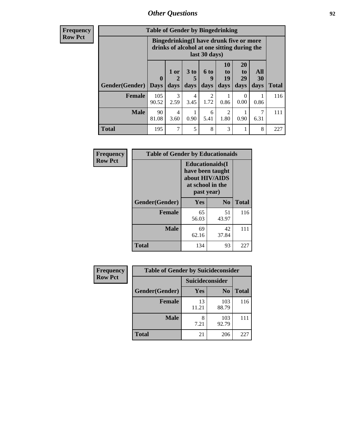## *Other Questions* **92**

**Frequency Row Pct**

| <b>Table of Gender by Bingedrinking</b> |                                                                                                         |              |                   |                        |                        |                               |                          |              |
|-----------------------------------------|---------------------------------------------------------------------------------------------------------|--------------|-------------------|------------------------|------------------------|-------------------------------|--------------------------|--------------|
|                                         | Bingedrinking(I have drunk five or more<br>drinks of alcohol at one sitting during the<br>last 30 days) |              |                   |                        |                        |                               |                          |              |
| Gender(Gender)                          | $\mathbf 0$<br><b>Days</b>                                                                              | 1 or<br>days | 3 to<br>5<br>days | 6 to<br>q<br>days      | 10<br>to<br>19<br>days | <b>20</b><br>to<br>29<br>days | All<br><b>30</b><br>days | <b>Total</b> |
| <b>Female</b>                           | 105<br>90.52                                                                                            | 3<br>2.59    | 4<br>3.45         | $\overline{c}$<br>1.72 | 0.86                   | 0<br>0.00                     | 0.86                     | 116          |
| <b>Male</b>                             | 90<br>81.08                                                                                             | 4<br>3.60    | 0.90              | 6<br>5.41              | $\overline{2}$<br>1.80 | 0.90                          | 6.31                     | 111          |
| <b>Total</b>                            | 195                                                                                                     | 7            | 5                 | 8                      | 3                      |                               | 8                        | 227          |

| Frequency      | <b>Table of Gender by Educationaids</b> |                                                                                                 |                |              |
|----------------|-----------------------------------------|-------------------------------------------------------------------------------------------------|----------------|--------------|
| <b>Row Pct</b> |                                         | <b>Educationaids</b> (I<br>have been taught<br>about HIV/AIDS<br>at school in the<br>past year) |                |              |
|                | Gender(Gender)                          | Yes                                                                                             | N <sub>0</sub> | <b>Total</b> |
|                | <b>Female</b>                           | 65<br>56.03                                                                                     | 51<br>43.97    | 116          |
|                | <b>Male</b>                             | 69<br>62.16                                                                                     | 42<br>37.84    | 111          |
|                | <b>Total</b>                            | 134                                                                                             | 93             | 227          |

| Frequency      | <b>Table of Gender by Suicideconsider</b> |                 |                |              |
|----------------|-------------------------------------------|-----------------|----------------|--------------|
| <b>Row Pct</b> |                                           | Suicideconsider |                |              |
|                | Gender(Gender)                            | <b>Yes</b>      | N <sub>0</sub> | <b>Total</b> |
|                | <b>Female</b>                             | 13<br>11.21     | 103<br>88.79   | 116          |
|                | <b>Male</b>                               | 8<br>7.21       | 103<br>92.79   | 111          |
|                | <b>Total</b>                              | 21              | 206            | 227          |